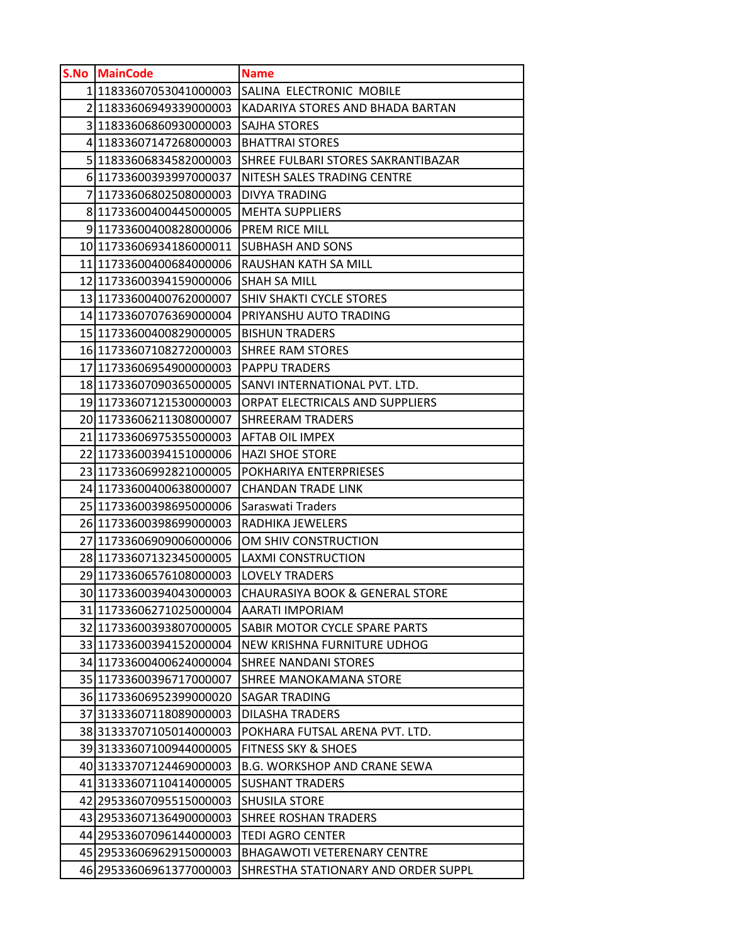| S.No MainCode                                      | <b>Name</b>                                |
|----------------------------------------------------|--------------------------------------------|
| 1 11833607053041000003                             | SALINA ELECTRONIC MOBILE                   |
| 211833606949339000003                              | KADARIYA STORES AND BHADA BARTAN           |
| 311833606860930000003                              | <b>SAJHA STORES</b>                        |
| 4 11833607147268000003                             | <b>BHATTRAI STORES</b>                     |
| 5 11833606834582000003                             | SHREE FULBARI STORES SAKRANTIBAZAR         |
| 6 11733600393997000037                             | NITESH SALES TRADING CENTRE                |
| 7 11733606802508000003                             | DIVYA TRADING                              |
| 8 11733600400445000005                             | <b>MEHTA SUPPLIERS</b>                     |
| 911733600400828000006                              | PREM RICE MILL                             |
| 10 11733606934186000011                            | <b>SUBHASH AND SONS</b>                    |
| 11 11733600400684000006                            | RAUSHAN KATH SA MILL                       |
| 12 11733600394159000006                            | <b>SHAH SA MILL</b>                        |
| 13 11733600400762000007                            | SHIV SHAKTI CYCLE STORES                   |
| 14 11733607076369000004                            | PRIYANSHU AUTO TRADING                     |
| 15 11733600400829000005                            | <b>BISHUN TRADERS</b>                      |
| 16 11733607108272000003                            | <b>SHREE RAM STORES</b>                    |
| 17 11733606954900000003                            | <b>PAPPU TRADERS</b>                       |
| 18 11733607090365000005                            | SANVI INTERNATIONAL PVT. LTD.              |
| 19 11733607121530000003                            | ORPAT ELECTRICALS AND SUPPLIERS            |
| 20 11733606211308000007                            | <b>SHREERAM TRADERS</b>                    |
| 21 11733606975355000003                            | AFTAB OIL IMPEX                            |
| 22 11733600394151000006                            | <b>HAZI SHOE STORE</b>                     |
| 23 11733606992821000005                            | POKHARIYA ENTERPRIESES                     |
| 24 11733600400638000007                            | <b>CHANDAN TRADE LINK</b>                  |
| 25 11733600398695000006                            | Saraswati Traders                          |
| 26 11733600398699000003                            | RADHIKA JEWELERS<br>OM SHIV CONSTRUCTION   |
| 27 11733606909006000006<br>28 11733607132345000005 | <b>LAXMI CONSTRUCTION</b>                  |
| 29 11733606576108000003                            | <b>LOVELY TRADERS</b>                      |
| 30 11733600394043000003                            | <b>CHAURASIYA BOOK &amp; GENERAL STORE</b> |
| 31 11733606271025000004                            | <b>AARATI IMPORIAM</b>                     |
| 32 11733600393807000005                            | SABIR MOTOR CYCLE SPARE PARTS              |
| 33 11733600394152000004                            | <b>NEW KRISHNA FURNITURE UDHOG</b>         |
| 34 11733600400624000004                            | <b>SHREE NANDANI STORES</b>                |
| 35 11733600396717000007                            | SHREE MANOKAMANA STORE                     |
| 36 11733606952399000020                            | <b>SAGAR TRADING</b>                       |
| 37 31333607118089000003                            | <b>DILASHA TRADERS</b>                     |
| 3831333707105014000003                             | POKHARA FUTSAL ARENA PVT. LTD.             |
| 3931333607100944000005                             | <b>FITNESS SKY &amp; SHOES</b>             |
| 40 31333707124469000003                            | <b>B.G. WORKSHOP AND CRANE SEWA</b>        |
| 41 31333607110414000005                            | <b>SUSHANT TRADERS</b>                     |
| 42 29533607095515000003                            | <b>SHUSILA STORE</b>                       |
| 43 29533607136490000003                            | <b>SHREE ROSHAN TRADERS</b>                |
| 44 29533607096144000003                            | <b>TEDI AGRO CENTER</b>                    |
| 45 29533606962915000003                            | <b>BHAGAWOTI VETERENARY CENTRE</b>         |
| 46 29533606961377000003                            | SHRESTHA STATIONARY AND ORDER SUPPL        |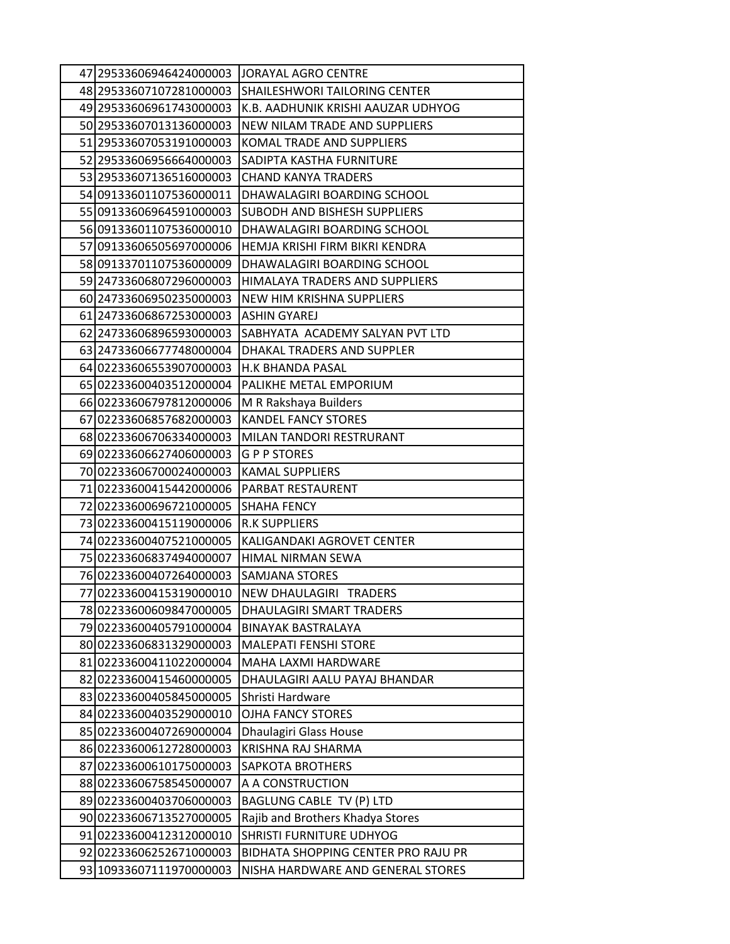| 47 29533606946424000003 | <b>JORAYAL AGRO CENTRE</b>          |
|-------------------------|-------------------------------------|
| 48 29533607107281000003 | SHAILESHWORI TAILORING CENTER       |
| 49 29533606961743000003 | K.B. AADHUNIK KRISHI AAUZAR UDHYOG  |
| 50 29533607013136000003 | NEW NILAM TRADE AND SUPPLIERS       |
| 51 29533607053191000003 | KOMAL TRADE AND SUPPLIERS           |
| 52 29533606956664000003 | SADIPTA KASTHA FURNITURE            |
| 53 29533607136516000003 | <b>CHAND KANYA TRADERS</b>          |
| 54 09133601107536000011 | DHAWALAGIRI BOARDING SCHOOL         |
| 55 09133606964591000003 | SUBODH AND BISHESH SUPPLIERS        |
| 5609133601107536000010  | DHAWALAGIRI BOARDING SCHOOL         |
| 57 09133606505697000006 | HEMJA KRISHI FIRM BIKRI KENDRA      |
| 58 09133701107536000009 | DHAWALAGIRI BOARDING SCHOOL         |
| 59 24733606807296000003 | HIMALAYA TRADERS AND SUPPLIERS      |
| 60 24733606950235000003 | NEW HIM KRISHNA SUPPLIERS           |
| 61 24733606867253000003 | <b>ASHIN GYAREJ</b>                 |
| 62 24733606896593000003 | SABHYATA ACADEMY SALYAN PVT LTD     |
| 63 24733606677748000004 | DHAKAL TRADERS AND SUPPLER          |
| 64 02233606553907000003 | H.K BHANDA PASAL                    |
| 65 02233600403512000004 | PALIKHE METAL EMPORIUM              |
| 66 02233606797812000006 | M R Rakshaya Builders               |
| 6702233606857682000003  | <b>KANDEL FANCY STORES</b>          |
| 68 02233606706334000003 | MILAN TANDORI RESTRURANT            |
| 69 02233606627406000003 | G P P STORES                        |
| 70002233606700024000003 | <b>KAMAL SUPPLIERS</b>              |
| 7102233600415442000006  | PARBAT RESTAURENT                   |
| 72 02233600696721000005 | <b>SHAHA FENCY</b>                  |
| 73 02233600415119000006 | <b>R.K SUPPLIERS</b>                |
| 74 02233600407521000005 | KALIGANDAKI AGROVET CENTER          |
| 75 02233606837494000007 | HIMAL NIRMAN SEWA                   |
| 7602233600407264000003  | <b>SAMJANA STORES</b>               |
| 77 02233600415319000010 | NEW DHAULAGIRI TRADERS              |
| 7802233600609847000005  | DHAULAGIRI SMART TRADERS            |
| 7902233600405791000004  | <b>BINAYAK BASTRALAYA</b>           |
| 8002233606831329000003  | <b>MALEPATI FENSHI STORE</b>        |
| 8102233600411022000004  | MAHA LAXMI HARDWARE                 |
| 82 02233600415460000005 | DHAULAGIRI AALU PAYAJ BHANDAR       |
| 83 02233600405845000005 | Shristi Hardware                    |
| 84 02233600403529000010 | <b>OJHA FANCY STORES</b>            |
| 85 02233600407269000004 | Dhaulagiri Glass House              |
| 8602233600612728000003  | KRISHNA RAJ SHARMA                  |
| 87 02233600610175000003 | SAPKOTA BROTHERS                    |
| 8802233606758545000007  | A A CONSTRUCTION                    |
| 8902233600403706000003  | BAGLUNG CABLE TV (P) LTD            |
| 90 02233606713527000005 | Rajib and Brothers Khadya Stores    |
| 91 02233600412312000010 | SHRISTI FURNITURE UDHYOG            |
| 92 02233606252671000003 | BIDHATA SHOPPING CENTER PRO RAJU PR |
| 93 10933607111970000003 | NISHA HARDWARE AND GENERAL STORES   |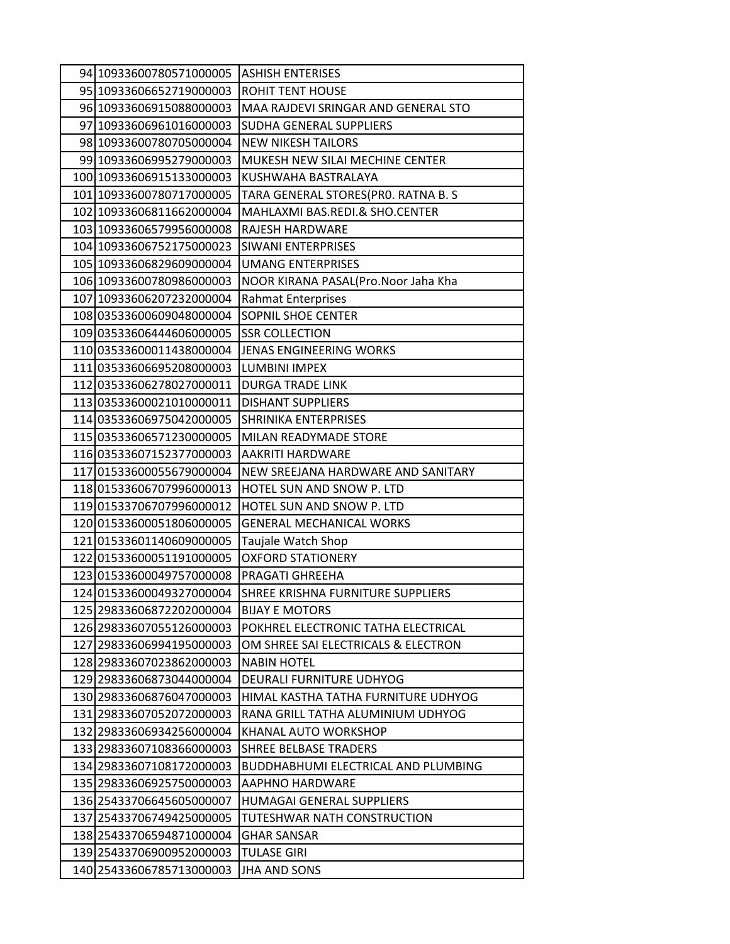| 94 10933600780571000005  | <b>ASHISH ENTERISES</b>             |
|--------------------------|-------------------------------------|
| 95 10933606652719000003  | <b>ROHIT TENT HOUSE</b>             |
| 96 10933606915088000003  | MAA RAJDEVI SRINGAR AND GENERAL STO |
| 97 10933606961016000003  | SUDHA GENERAL SUPPLIERS             |
| 98 10933600780705000004  | <b>NEW NIKESH TAILORS</b>           |
| 99 10933606995279000003  | MUKESH NEW SILAI MECHINE CENTER     |
| 100 10933606915133000003 | KUSHWAHA BASTRALAYA                 |
| 101 10933600780717000005 | TARA GENERAL STORES(PRO. RATNA B. S |
| 102 10933606811662000004 | MAHLAXMI BAS.REDI.& SHO.CENTER      |
| 103 10933606579956000008 | RAJESH HARDWARE                     |
| 104 10933606752175000023 | <b>SIWANI ENTERPRISES</b>           |
| 105 10933606829609000004 | <b>UMANG ENTERPRISES</b>            |
| 106 10933600780986000003 | NOOR KIRANA PASAL(Pro.Noor Jaha Kha |
| 107 10933606207232000004 | <b>Rahmat Enterprises</b>           |
| 108 03533600609048000004 | <b>SOPNIL SHOE CENTER</b>           |
| 109 03533606444606000005 | <b>SSR COLLECTION</b>               |
| 11003533600011438000004  | JENAS ENGINEERING WORKS             |
| 111 03533606695208000003 | <b>LUMBINI IMPEX</b>                |
| 112 03533606278027000011 | <b>DURGA TRADE LINK</b>             |
| 113 03533600021010000011 | <b>DISHANT SUPPLIERS</b>            |
| 114 03533606975042000005 | <b>SHRINIKA ENTERPRISES</b>         |
| 115 03533606571230000005 | MILAN READYMADE STORE               |
| 11603533607152377000003  | AAKRITI HARDWARE                    |
| 117 01533600055679000004 | NEW SREEJANA HARDWARE AND SANITARY  |
| 118 01533606707996000013 | HOTEL SUN AND SNOW P. LTD           |
| 11901533706707996000012  | HOTEL SUN AND SNOW P. LTD           |
| 120001533600051806000005 | <b>GENERAL MECHANICAL WORKS</b>     |
| 121 01533601140609000005 | Taujale Watch Shop                  |
| 122 01533600051191000005 | <b>OXFORD STATIONERY</b>            |
| 123 01533600049757000008 | PRAGATI GHREEHA                     |
| 124 01533600049327000004 | SHREE KRISHNA FURNITURE SUPPLIERS   |
| 125 29833606872202000004 | <b>BIJAY E MOTORS</b>               |
| 126 29833607055126000003 | POKHREL ELECTRONIC TATHA ELECTRICAL |
| 127 29833606994195000003 | OM SHREE SAI ELECTRICALS & ELECTRON |
| 128 29833607023862000003 | <b>NABIN HOTEL</b>                  |
| 129 29833606873044000004 | DEURALI FURNITURE UDHYOG            |
| 130 29833606876047000003 | HIMAL KASTHA TATHA FURNITURE UDHYOG |
| 131 29833607052072000003 | RANA GRILL TATHA ALUMINIUM UDHYOG   |
| 132 29833606934256000004 | KHANAL AUTO WORKSHOP                |
| 133 29833607108366000003 | <b>SHREE BELBASE TRADERS</b>        |
| 134 29833607108172000003 | BUDDHABHUMI ELECTRICAL AND PLUMBING |
| 135 29833606925750000003 | <b>AAPHNO HARDWARE</b>              |
| 136 25433706645605000007 | HUMAGAI GENERAL SUPPLIERS           |
| 137 25433706749425000005 | TUTESHWAR NATH CONSTRUCTION         |
| 138 25433706594871000004 | <b>GHAR SANSAR</b>                  |
| 139 25433706900952000003 | TULASE GIRI                         |
| 140 25433606785713000003 | <b>JHA AND SONS</b>                 |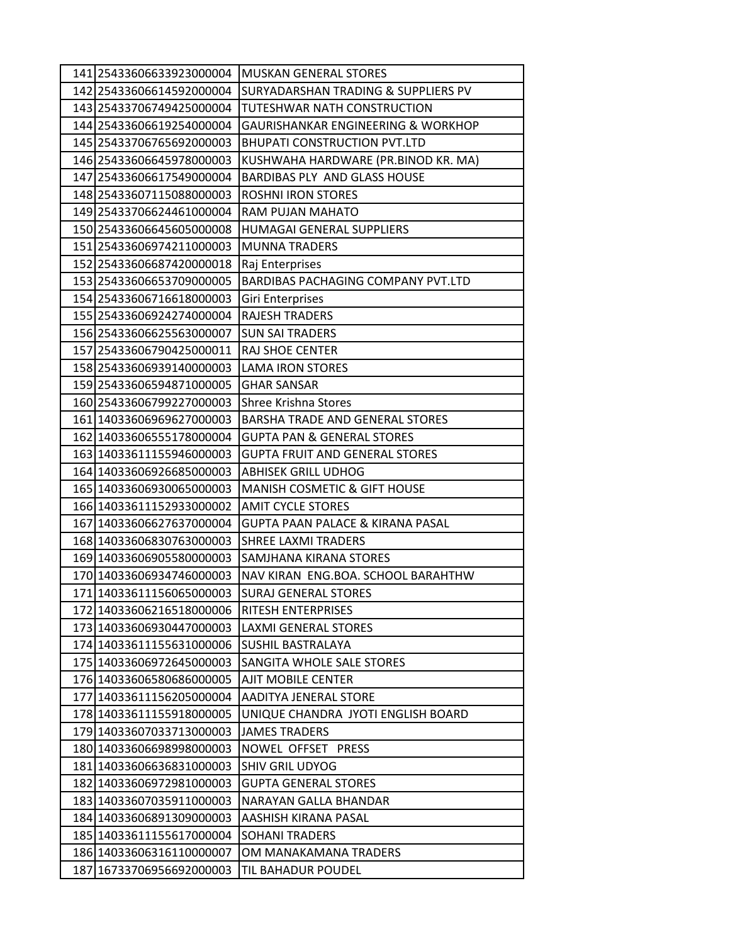| 141 25433606633923000004 | <b>MUSKAN GENERAL STORES</b>                   |
|--------------------------|------------------------------------------------|
| 142 25433606614592000004 | <b>SURYADARSHAN TRADING &amp; SUPPLIERS PV</b> |
| 143 25433706749425000004 | <b>TUTESHWAR NATH CONSTRUCTION</b>             |
| 144 25433606619254000004 | <b>GAURISHANKAR ENGINEERING &amp; WORKHOP</b>  |
| 145 25433706765692000003 | <b>BHUPATI CONSTRUCTION PVT.LTD</b>            |
| 146 25433606645978000003 | KUSHWAHA HARDWARE (PR.BINOD KR. MA)            |
| 147 25433606617549000004 | <b>BARDIBAS PLY AND GLASS HOUSE</b>            |
| 148 25433607115088000003 | ROSHNI IRON STORES                             |
| 149 25433706624461000004 | RAM PUJAN MAHATO                               |
| 150 25433606645605000008 | <b>HUMAGAI GENERAL SUPPLIERS</b>               |
| 151 25433606974211000003 | <b>MUNNA TRADERS</b>                           |
| 152 25433606687420000018 | Raj Enterprises                                |
| 153 25433606653709000005 | <b>BARDIBAS PACHAGING COMPANY PVT.LTD</b>      |
| 154 25433606716618000003 | Giri Enterprises                               |
| 155 25433606924274000004 | <b>RAJESH TRADERS</b>                          |
| 156 25433606625563000007 | <b>SUN SAI TRADERS</b>                         |
| 157 25433606790425000011 | RAJ SHOE CENTER                                |
| 158 25433606939140000003 | <b>LAMA IRON STORES</b>                        |
| 159 25433606594871000005 | <b>GHAR SANSAR</b>                             |
| 160 25433606799227000003 | Shree Krishna Stores                           |
| 161 14033606969627000003 | <b>BARSHA TRADE AND GENERAL STORES</b>         |
| 162 14033606555178000004 | <b>GUPTA PAN &amp; GENERAL STORES</b>          |
| 163 14033611155946000003 | <b>GUPTA FRUIT AND GENERAL STORES</b>          |
| 164 14033606926685000003 | <b>ABHISEK GRILL UDHOG</b>                     |
| 165 14033606930065000003 | <b>MANISH COSMETIC &amp; GIFT HOUSE</b>        |
| 166 14033611152933000002 | <b>AMIT CYCLE STORES</b>                       |
| 167 14033606627637000004 | GUPTA PAAN PALACE & KIRANA PASAL               |
| 168 14033606830763000003 | <b>SHREE LAXMI TRADERS</b>                     |
| 169 14033606905580000003 | SAMJHANA KIRANA STORES                         |
| 170 14033606934746000003 | NAV KIRAN ENG.BOA. SCHOOL BARAHTHW             |
| 171 14033611156065000003 | <b>SURAJ GENERAL STORES</b>                    |
| 172 14033606216518000006 | <b>RITESH ENTERPRISES</b>                      |
| 173 14033606930447000003 | <b>LAXMI GENERAL STORES</b>                    |
| 174 14033611155631000006 | <b>SUSHIL BASTRALAYA</b>                       |
| 175 14033606972645000003 | <b>SANGITA WHOLE SALE STORES</b>               |
| 176 14033606580686000005 | <b>AJIT MOBILE CENTER</b>                      |
| 177 14033611156205000004 | AADITYA JENERAL STORE                          |
| 178 14033611155918000005 | UNIQUE CHANDRA JYOTI ENGLISH BOARD             |
| 179 14033607033713000003 | <b>JAMES TRADERS</b>                           |
| 180 14033606698998000003 | NOWEL OFFSET PRESS                             |
| 181 14033606636831000003 | <b>SHIV GRIL UDYOG</b>                         |
| 182 14033606972981000003 | <b>GUPTA GENERAL STORES</b>                    |
| 183 14033607035911000003 | NARAYAN GALLA BHANDAR                          |
| 184 14033606891309000003 | AASHISH KIRANA PASAL                           |
| 185 14033611155617000004 | <b>SOHANI TRADERS</b>                          |
| 186 14033606316110000007 | OM MANAKAMANA TRADERS                          |
| 187 16733706956692000003 | TIL BAHADUR POUDEL                             |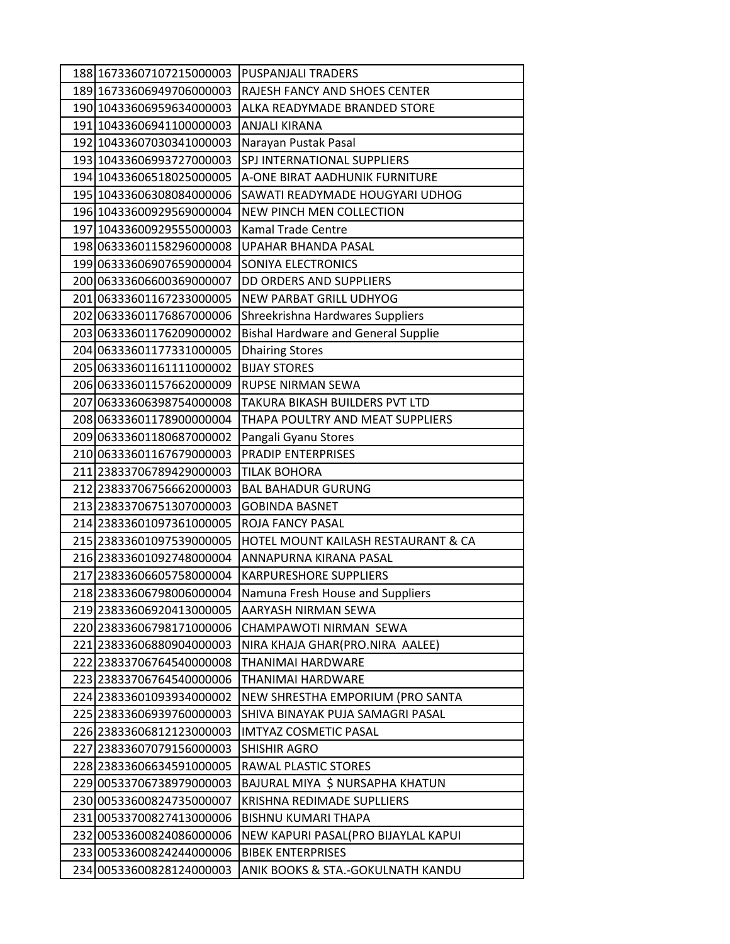| 188 16733607107215000003 | <b>PUSPANJALI TRADERS</b>                  |
|--------------------------|--------------------------------------------|
| 189 16733606949706000003 | RAJESH FANCY AND SHOES CENTER              |
| 190 10433606959634000003 | ALKA READYMADE BRANDED STORE               |
| 191 10433606941100000003 | <b>ANJALI KIRANA</b>                       |
| 192 10433607030341000003 | Narayan Pustak Pasal                       |
| 193 10433606993727000003 | SPJ INTERNATIONAL SUPPLIERS                |
| 194 10433606518025000005 | A-ONE BIRAT AADHUNIK FURNITURE             |
| 195 10433606308084000006 | SAWATI READYMADE HOUGYARI UDHOG            |
| 196 10433600929569000004 | NEW PINCH MEN COLLECTION                   |
| 197 10433600929555000003 | <b>Kamal Trade Centre</b>                  |
| 198 06333601158296000008 | UPAHAR BHANDA PASAL                        |
| 19906333606907659000004  | SONIYA ELECTRONICS                         |
| 200006333606600369000007 | DD ORDERS AND SUPPLIERS                    |
| 20106333601167233000005  | NEW PARBAT GRILL UDHYOG                    |
| 202 06333601176867000006 | Shreekrishna Hardwares Suppliers           |
| 20306333601176209000002  | <b>Bishal Hardware and General Supplie</b> |
| 204 06333601177331000005 | <b>Dhairing Stores</b>                     |
| 205 06333601161111000002 | <b>BIJAY STORES</b>                        |
| 206 06333601157662000009 | <b>RUPSE NIRMAN SEWA</b>                   |
| 207 06333606398754000008 | TAKURA BIKASH BUILDERS PVT LTD             |
| 208 06333601178900000004 | THAPA POULTRY AND MEAT SUPPLIERS           |
| 20906333601180687000002  | Pangali Gyanu Stores                       |
| 210 06333601167679000003 | <b>PRADIP ENTERPRISES</b>                  |
| 211 23833706789429000003 | <b>TILAK BOHORA</b>                        |
| 212 23833706756662000003 | <b>BAL BAHADUR GURUNG</b>                  |
| 213 23833706751307000003 | <b>GOBINDA BASNET</b>                      |
| 214 23833601097361000005 | ROJA FANCY PASAL                           |
| 215 23833601097539000005 | HOTEL MOUNT KAILASH RESTAURANT & CA        |
| 216 23833601092748000004 | ANNAPURNA KIRANA PASAL                     |
| 217 23833606605758000004 | <b>KARPURESHORE SUPPLIERS</b>              |
| 218 23833606798006000004 | Namuna Fresh House and Suppliers           |
| 219 23833606920413000005 | AARYASH NIRMAN SEWA                        |
| 220 23833606798171000006 | CHAMPAWOTI NIRMAN SEWA                     |
| 221 23833606880904000003 | NIRA KHAJA GHAR(PRO.NIRA AALEE)            |
| 222 23833706764540000008 | THANIMAI HARDWARE                          |
| 223 23833706764540000006 | THANIMAI HARDWARE                          |
| 224 23833601093934000002 | NEW SHRESTHA EMPORIUM (PRO SANTA           |
| 225 23833606939760000003 | SHIVA BINAYAK PUJA SAMAGRI PASAL           |
| 226 23833606812123000003 | IMTYAZ COSMETIC PASAL                      |
| 227 23833607079156000003 | <b>SHISHIR AGRO</b>                        |
| 228 23833606634591000005 | RAWAL PLASTIC STORES                       |
| 229 00533706738979000003 | BAJURAL MIYA \$ NURSAPHA KHATUN            |
| 230 00533600824735000007 | KRISHNA REDIMADE SUPLLIERS                 |
| 231 00533700827413000006 | <b>BISHNU KUMARI THAPA</b>                 |
| 232 00533600824086000006 | NEW KAPURI PASAL(PRO BIJAYLAL KAPUI        |
| 233 00533600824244000006 | <b>BIBEK ENTERPRISES</b>                   |
| 234 00533600828124000003 | ANIK BOOKS & STA.-GOKULNATH KANDU          |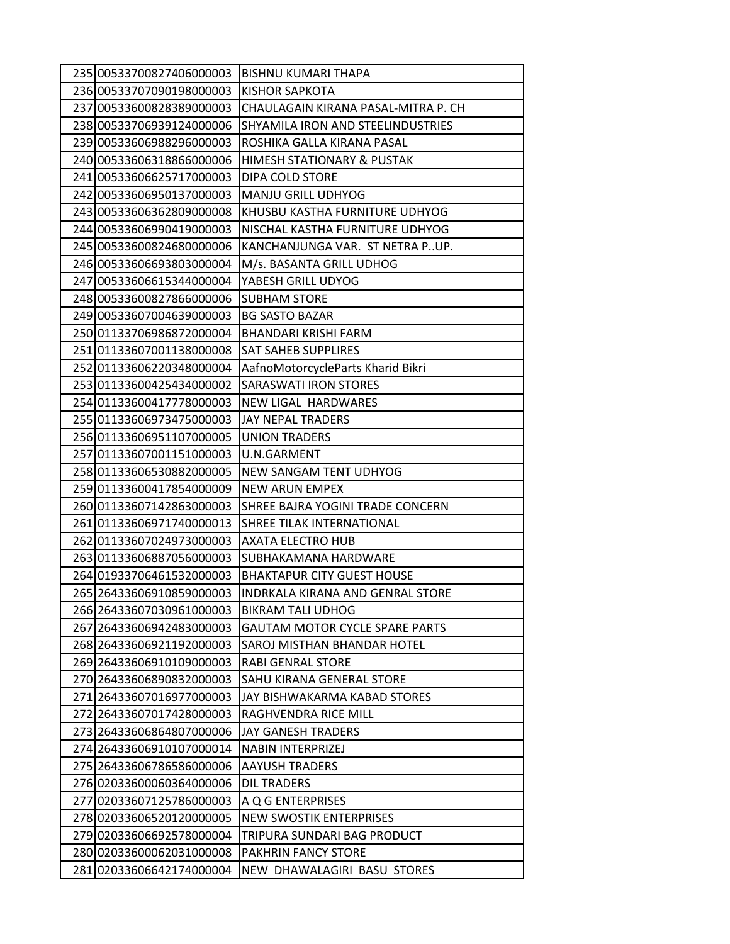| 235 00533700827406000003 | <b>BISHNU KUMARI THAPA</b>            |
|--------------------------|---------------------------------------|
| 236 00533707090198000003 | KISHOR SAPKOTA                        |
| 237 00533600828389000003 | CHAULAGAIN KIRANA PASAL-MITRA P. CH   |
| 238 00533706939124000006 | SHYAMILA IRON AND STEELINDUSTRIES     |
| 239 00533606988296000003 | ROSHIKA GALLA KIRANA PASAL            |
| 240 00533606318866000006 | HIMESH STATIONARY & PUSTAK            |
| 241 00533606625717000003 | DIPA COLD STORE                       |
| 242 00533606950137000003 | <b>MANJU GRILL UDHYOG</b>             |
| 243 00533606362809000008 | KHUSBU KASTHA FURNITURE UDHYOG        |
| 244 00533606990419000003 | NISCHAL KASTHA FURNITURE UDHYOG       |
| 245 00533600824680000006 | KANCHANJUNGA VAR. ST NETRA PUP.       |
| 246 00533606693803000004 | M/s. BASANTA GRILL UDHOG              |
| 247 00533606615344000004 | YABESH GRILL UDYOG                    |
| 248 00533600827866000006 | <b>SUBHAM STORE</b>                   |
| 249 00533607004639000003 | <b>BG SASTO BAZAR</b>                 |
| 25001133706986872000004  | BHANDARI KRISHI FARM                  |
| 251 01133607001138000008 | <b>SAT SAHEB SUPPLIRES</b>            |
| 252 01133606220348000004 | AafnoMotorcycleParts Kharid Bikri     |
| 253 01133600425434000002 | <b>SARASWATI IRON STORES</b>          |
| 254 01133600417778000003 | <b>NEW LIGAL HARDWARES</b>            |
| 255 01133606973475000003 | <b>JAY NEPAL TRADERS</b>              |
| 256 01133606951107000005 | <b>UNION TRADERS</b>                  |
| 257 01133607001151000003 | U.N.GARMENT                           |
| 258 01133606530882000005 | NEW SANGAM TENT UDHYOG                |
| 259 01133600417854000009 | <b>NEW ARUN EMPEX</b>                 |
| 260 01133607142863000003 | SHREE BAJRA YOGINI TRADE CONCERN      |
| 261 01133606971740000013 | SHREE TILAK INTERNATIONAL             |
| 262 01133607024973000003 | AXATA ELECTRO HUB                     |
| 263 01133606887056000003 | SUBHAKAMANA HARDWARE                  |
| 264 01933706461532000003 | <b>BHAKTAPUR CITY GUEST HOUSE</b>     |
| 265 26433606910859000003 | INDRKALA KIRANA AND GENRAL STORE      |
| 266 26433607030961000003 | <b>BIKRAM TALI UDHOG</b>              |
| 267 26433606942483000003 | <b>GAUTAM MOTOR CYCLE SPARE PARTS</b> |
| 268 26433606921192000003 | SAROJ MISTHAN BHANDAR HOTEL           |
| 269 26433606910109000003 | <b>RABI GENRAL STORE</b>              |
| 270 26433606890832000003 | SAHU KIRANA GENERAL STORE             |
| 271 26433607016977000003 | JAY BISHWAKARMA KABAD STORES          |
| 272 26433607017428000003 | RAGHVENDRA RICE MILL                  |
| 273 26433606864807000006 | JAY GANESH TRADERS                    |
| 274 26433606910107000014 | <b>NABIN INTERPRIZEJ</b>              |
| 275 26433606786586000006 | <b>AAYUSH TRADERS</b>                 |
| 27602033600060364000006  | <b>DIL TRADERS</b>                    |
| 277 02033607125786000003 | A Q G ENTERPRISES                     |
| 278 02033606520120000005 | <b>NEW SWOSTIK ENTERPRISES</b>        |
| 279 02033606692578000004 | TRIPURA SUNDARI BAG PRODUCT           |
| 28002033600062031000008  | PAKHRIN FANCY STORE                   |
| 281 02033606642174000004 | NEW DHAWALAGIRI BASU STORES           |
|                          |                                       |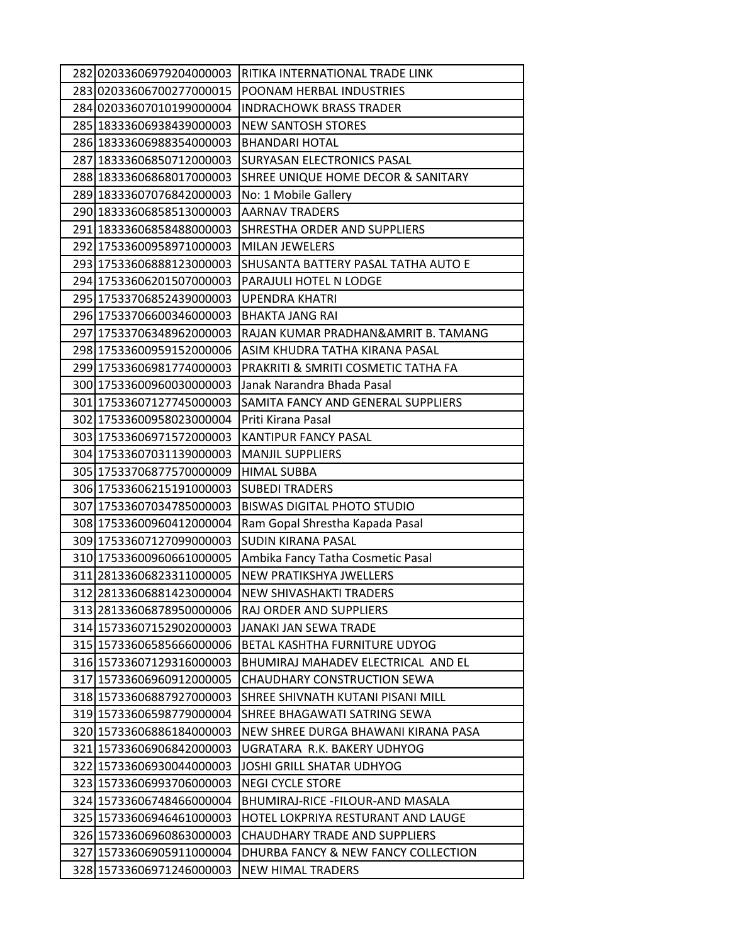| 282 02033606979204000003 | RITIKA INTERNATIONAL TRADE LINK      |
|--------------------------|--------------------------------------|
| 28302033606700277000015  | POONAM HERBAL INDUSTRIES             |
| 284 02033607010199000004 | <b>INDRACHOWK BRASS TRADER</b>       |
| 285 18333606938439000003 | <b>NEW SANTOSH STORES</b>            |
| 286 18333606988354000003 | <b>BHANDARI HOTAL</b>                |
| 287 18333606850712000003 | SURYASAN ELECTRONICS PASAL           |
| 288 18333606868017000003 | SHREE UNIQUE HOME DECOR & SANITARY   |
| 289 18333607076842000003 | No: 1 Mobile Gallery                 |
| 290 18333606858513000003 | <b>AARNAV TRADERS</b>                |
| 291 18333606858488000003 | SHRESTHA ORDER AND SUPPLIERS         |
| 292 17533600958971000003 | <b>MILAN JEWELERS</b>                |
| 293 17533606888123000003 | SHUSANTA BATTERY PASAL TATHA AUTO E  |
| 294 17533606201507000003 | PARAJULI HOTEL N LODGE               |
| 295 17533706852439000003 | <b>UPENDRA KHATRI</b>                |
| 296 17533706600346000003 | <b>BHAKTA JANG RAI</b>               |
| 297 17533706348962000003 | RAJAN KUMAR PRADHAN&AMRIT B. TAMANG  |
| 298 17533600959152000006 | ASIM KHUDRA TATHA KIRANA PASAL       |
| 299 17533606981774000003 | PRAKRITI & SMRITI COSMETIC TATHA FA  |
| 300 17533600960030000003 | Janak Narandra Bhada Pasal           |
| 301 17533607127745000003 | SAMITA FANCY AND GENERAL SUPPLIERS   |
| 302 17533600958023000004 | Priti Kirana Pasal                   |
| 303 17533606971572000003 | KANTIPUR FANCY PASAL                 |
| 304 17533607031139000003 | <b>MANJIL SUPPLIERS</b>              |
| 305 17533706877570000009 | <b>HIMAL SUBBA</b>                   |
| 306 17533606215191000003 | <b>SUBEDI TRADERS</b>                |
| 307 17533607034785000003 | <b>BISWAS DIGITAL PHOTO STUDIO</b>   |
| 308 17533600960412000004 | Ram Gopal Shrestha Kapada Pasal      |
| 309 17533607127099000003 | <b>SUDIN KIRANA PASAL</b>            |
| 310 17533600960661000005 | Ambika Fancy Tatha Cosmetic Pasal    |
| 311 28133606823311000005 | NEW PRATIKSHYA JWELLERS              |
| 312 28133606881423000004 | <b>NEW SHIVASHAKTI TRADERS</b>       |
| 313 28133606878950000006 | RAJ ORDER AND SUPPLIERS              |
| 314 15733607152902000003 | JANAKI JAN SEWA TRADE                |
| 315 15733606585666000006 | BETAL KASHTHA FURNITURE UDYOG        |
| 316 15733607129316000003 | BHUMIRAJ MAHADEV ELECTRICAL AND EL   |
| 317 15733606960912000005 | CHAUDHARY CONSTRUCTION SEWA          |
| 318 15733606887927000003 | SHREE SHIVNATH KUTANI PISANI MILL    |
| 319 15733606598779000004 | SHREE BHAGAWATI SATRING SEWA         |
| 320 15733606886184000003 | NEW SHREE DURGA BHAWANI KIRANA PASA  |
| 321 15733606906842000003 | UGRATARA R.K. BAKERY UDHYOG          |
| 322 15733606930044000003 | JOSHI GRILL SHATAR UDHYOG            |
| 323 15733606993706000003 | <b>NEGI CYCLE STORE</b>              |
| 324 15733606748466000004 | BHUMIRAJ-RICE - FILOUR-AND MASALA    |
| 325 15733606946461000003 | HOTEL LOKPRIYA RESTURANT AND LAUGE   |
| 326 15733606960863000003 | <b>CHAUDHARY TRADE AND SUPPLIERS</b> |
| 327 15733606905911000004 | DHURBA FANCY & NEW FANCY COLLECTION  |
| 328 15733606971246000003 | NEW HIMAL TRADERS                    |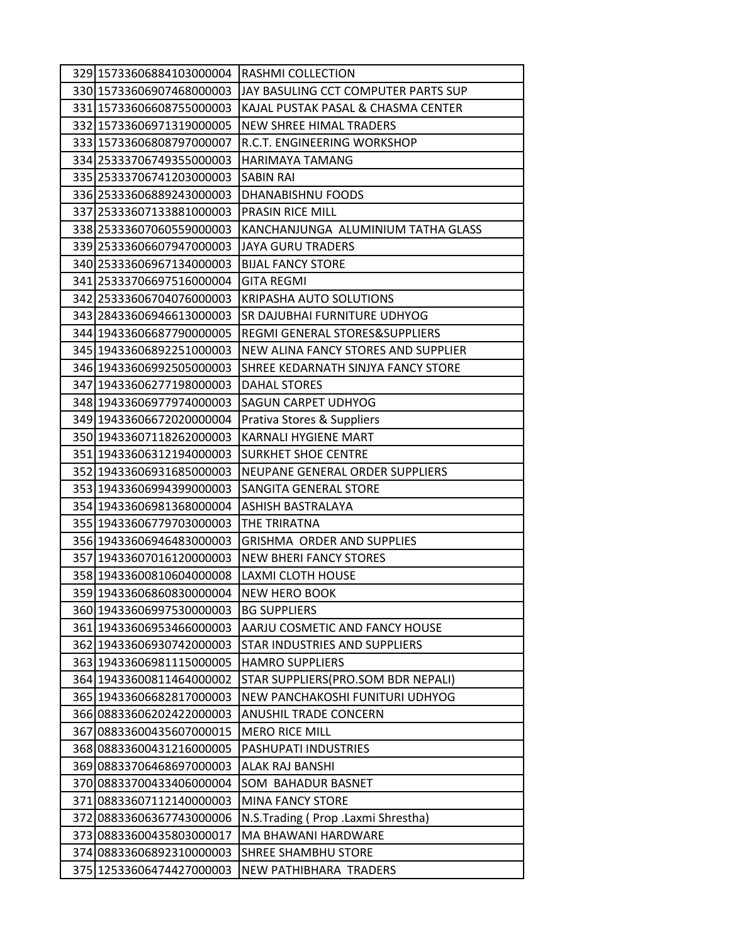| 329 15733606884103000004 | RASHMI COLLECTION                   |
|--------------------------|-------------------------------------|
| 330 15733606907468000003 | JAY BASULING CCT COMPUTER PARTS SUP |
| 331 15733606608755000003 | KAJAL PUSTAK PASAL & CHASMA CENTER  |
| 332 15733606971319000005 | <b>NEW SHREE HIMAL TRADERS</b>      |
| 333 15733606808797000007 | R.C.T. ENGINEERING WORKSHOP         |
| 334 25333706749355000003 | HARIMAYA TAMANG                     |
| 335 25333706741203000003 | <b>SABIN RAI</b>                    |
| 336 25333606889243000003 | DHANABISHNU FOODS                   |
| 337 25333607133881000003 | PRASIN RICE MILL                    |
| 338 25333607060559000003 | KANCHANJUNGA ALUMINIUM TATHA GLASS  |
| 339 25333606607947000003 | JAYA GURU TRADERS                   |
| 340 25333606967134000003 | <b>BIJAL FANCY STORE</b>            |
| 341 25333706697516000004 | GITA REGMI                          |
| 342 25333606704076000003 | KRIPASHA AUTO SOLUTIONS             |
| 343 28433606946613000003 | SR DAJUBHAI FURNITURE UDHYOG        |
| 344 19433606687790000005 | REGMI GENERAL STORES&SUPPLIERS      |
| 345 19433606892251000003 | NEW ALINA FANCY STORES AND SUPPLIER |
| 346 19433606992505000003 | SHREE KEDARNATH SINJYA FANCY STORE  |
| 347 19433606277198000003 | DAHAL STORES                        |
| 348 19433606977974000003 | <b>SAGUN CARPET UDHYOG</b>          |
| 349 19433606672020000004 | Prativa Stores & Suppliers          |
| 350 19433607118262000003 | <b>KARNALI HYGIENE MART</b>         |
| 351 19433606312194000003 | <b>SURKHET SHOE CENTRE</b>          |
| 352 19433606931685000003 | NEUPANE GENERAL ORDER SUPPLIERS     |
| 353 19433606994399000003 | SANGITA GENERAL STORE               |
| 354 19433606981368000004 | ASHISH BASTRALAYA                   |
| 355 19433606779703000003 | THE TRIRATNA                        |
| 356 19433606946483000003 | <b>GRISHMA ORDER AND SUPPLIES</b>   |
| 357 19433607016120000003 | <b>NEW BHERI FANCY STORES</b>       |
| 358 19433600810604000008 | LAXMI CLOTH HOUSE                   |
| 359 19433606860830000004 | <b>NEW HERO BOOK</b>                |
| 360 19433606997530000003 | <b>BG SUPPLIERS</b>                 |
| 361 19433606953466000003 | AARJU COSMETIC AND FANCY HOUSE      |
| 362 19433606930742000003 | STAR INDUSTRIES AND SUPPLIERS       |
| 363 19433606981115000005 | <b>HAMRO SUPPLIERS</b>              |
| 364 19433600811464000002 | STAR SUPPLIERS(PRO.SOM BDR NEPALI)  |
| 365 19433606682817000003 | NEW PANCHAKOSHI FUNITURI UDHYOG     |
| 366 08833606202422000003 | <b>ANUSHIL TRADE CONCERN</b>        |
| 367 08833600435607000015 | <b>MERO RICE MILL</b>               |
| 368 08833600431216000005 | PASHUPATI INDUSTRIES                |
| 369 08833706468697000003 | ALAK RAJ BANSHI                     |
| 370 08833700433406000004 | SOM BAHADUR BASNET                  |
| 371 08833607112140000003 | <b>MINA FANCY STORE</b>             |
| 372 08833606367743000006 | N.S.Trading (Prop .Laxmi Shrestha)  |
| 373 08833600435803000017 | MA BHAWANI HARDWARE                 |
| 374 08833606892310000003 | SHREE SHAMBHU STORE                 |
| 375 12533606474427000003 | NEW PATHIBHARA TRADERS              |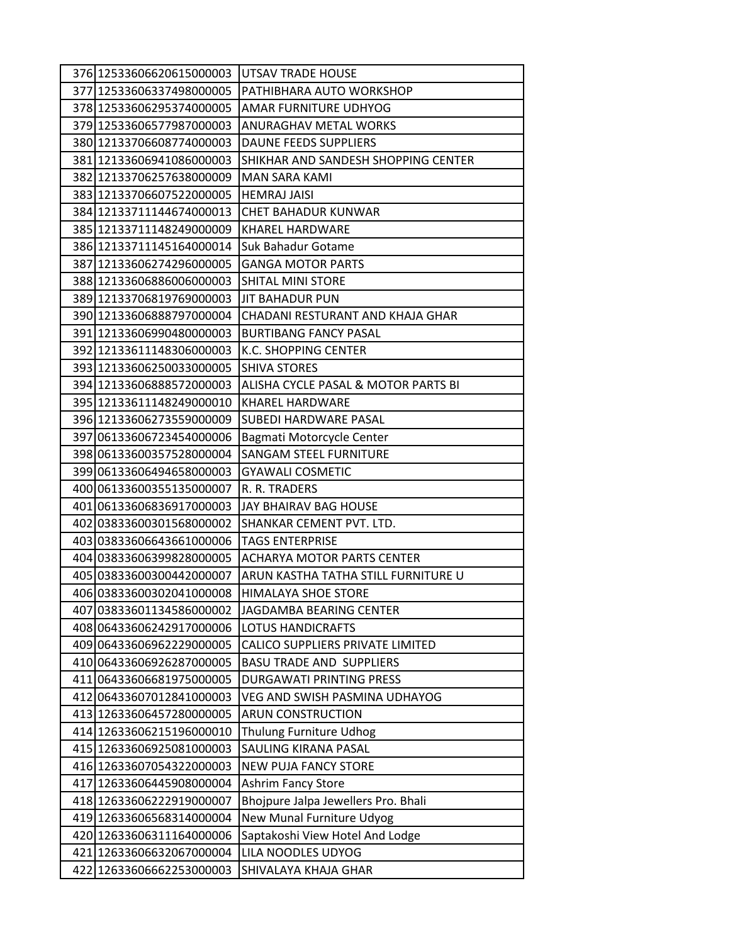| 376 12533606620615000003 | UTSAV TRADE HOUSE                   |
|--------------------------|-------------------------------------|
| 377 12533606337498000005 | PATHIBHARA AUTO WORKSHOP            |
| 378 12533606295374000005 | AMAR FURNITURE UDHYOG               |
| 379 12533606577987000003 | <b>ANURAGHAV METAL WORKS</b>        |
| 380 12133706608774000003 | <b>DAUNE FEEDS SUPPLIERS</b>        |
| 381 12133606941086000003 | SHIKHAR AND SANDESH SHOPPING CENTER |
| 382 12133706257638000009 | <b>MAN SARA KAMI</b>                |
| 383 12133706607522000005 | <b>HEMRAJ JAISI</b>                 |
| 384 12133711144674000013 | <b>CHET BAHADUR KUNWAR</b>          |
| 385 12133711148249000009 | <b>KHAREL HARDWARE</b>              |
| 386 12133711145164000014 | Suk Bahadur Gotame                  |
| 387 12133606274296000005 | <b>GANGA MOTOR PARTS</b>            |
| 388 12133606886006000003 | <b>SHITAL MINI STORE</b>            |
| 389 12133706819769000003 | <b>JIT BAHADUR PUN</b>              |
| 390 12133606888797000004 | CHADANI RESTURANT AND KHAJA GHAR    |
| 391 12133606990480000003 | <b>BURTIBANG FANCY PASAL</b>        |
| 392 12133611148306000003 | K.C. SHOPPING CENTER                |
| 393 12133606250033000005 | <b>SHIVA STORES</b>                 |
| 394 12133606888572000003 | ALISHA CYCLE PASAL & MOTOR PARTS BI |
| 395 12133611148249000010 | KHAREL HARDWARE                     |
| 396 12133606273559000009 | SUBEDI HARDWARE PASAL               |
| 397 06133606723454000006 | Bagmati Motorcycle Center           |
| 398 06133600357528000004 | <b>SANGAM STEEL FURNITURE</b>       |
| 399 06133606494658000003 | <b>GYAWALI COSMETIC</b>             |
| 400 06133600355135000007 | R. R. TRADERS                       |
| 401 06133606836917000003 | JAY BHAIRAV BAG HOUSE               |
| 402 03833600301568000002 | SHANKAR CEMENT PVT. LTD.            |
| 403 03833606643661000006 | <b>TAGS ENTERPRISE</b>              |
| 404 03833606399828000005 | <b>ACHARYA MOTOR PARTS CENTER</b>   |
| 405 03833600300442000007 | ARUN KASTHA TATHA STILL FURNITURE U |
| 406 03833600302041000008 | <b>HIMALAYA SHOE STORE</b>          |
| 407 03833601134586000002 | JAGDAMBA BEARING CENTER             |
| 408 06433606242917000006 | <b>LOTUS HANDICRAFTS</b>            |
| 409 06433606962229000005 | CALICO SUPPLIERS PRIVATE LIMITED    |
| 410 06433606926287000005 | <b>BASU TRADE AND SUPPLIERS</b>     |
| 411 06433606681975000005 | DURGAWATI PRINTING PRESS            |
| 412 06433607012841000003 | VEG AND SWISH PASMINA UDHAYOG       |
| 413 12633606457280000005 | <b>ARUN CONSTRUCTION</b>            |
| 414 12633606215196000010 | <b>Thulung Furniture Udhog</b>      |
| 415 12633606925081000003 | SAULING KIRANA PASAL                |
| 416 12633607054322000003 | <b>NEW PUJA FANCY STORE</b>         |
| 417 12633606445908000004 | <b>Ashrim Fancy Store</b>           |
| 418 12633606222919000007 | Bhojpure Jalpa Jewellers Pro. Bhali |
| 419 12633606568314000004 | New Munal Furniture Udyog           |
| 420 12633606311164000006 | Saptakoshi View Hotel And Lodge     |
| 421 12633606632067000004 | LILA NOODLES UDYOG                  |
| 422 12633606662253000003 | SHIVALAYA KHAJA GHAR                |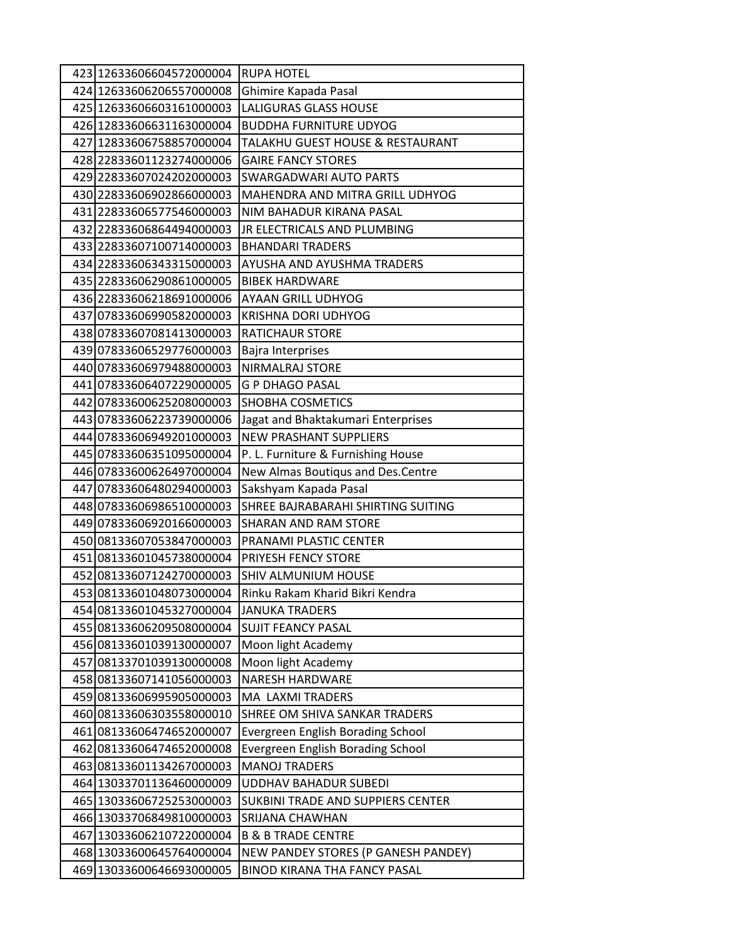| 423 12633606604572000004 | <b>RUPA HOTEL</b>                        |
|--------------------------|------------------------------------------|
| 424 12633606206557000008 | Ghimire Kapada Pasal                     |
| 425 12633606603161000003 | <b>LALIGURAS GLASS HOUSE</b>             |
| 426 12833606631163000004 | <b>BUDDHA FURNITURE UDYOG</b>            |
| 427 12833606758857000004 | TALAKHU GUEST HOUSE & RESTAURANT         |
| 428 22833601123274000006 | <b>GAIRE FANCY STORES</b>                |
| 429 22833607024202000003 | SWARGADWARI AUTO PARTS                   |
| 430 22833606902866000003 | MAHENDRA AND MITRA GRILL UDHYOG          |
| 431 22833606577546000003 | NIM BAHADUR KIRANA PASAL                 |
| 432 22833606864494000003 | JR ELECTRICALS AND PLUMBING              |
| 433 22833607100714000003 | <b>BHANDARI TRADERS</b>                  |
| 434 22833606343315000003 | AYUSHA AND AYUSHMA TRADERS               |
| 435 22833606290861000005 | <b>BIBEK HARDWARE</b>                    |
| 436 22833606218691000006 | <b>AYAAN GRILL UDHYOG</b>                |
| 437 07833606990582000003 | KRISHNA DORI UDHYOG                      |
| 438 07833607081413000003 | <b>RATICHAUR STORE</b>                   |
| 439 07833606529776000003 | <b>Bajra Interprises</b>                 |
| 440 07833606979488000003 | NIRMALRAJ STORE                          |
| 441 07833606407229000005 | <b>G P DHAGO PASAL</b>                   |
| 442 07833600625208000003 | SHOBHA COSMETICS                         |
| 443 07833606223739000006 | Jagat and Bhaktakumari Enterprises       |
| 444 07833606949201000003 | <b>NEW PRASHANT SUPPLIERS</b>            |
| 445 07833606351095000004 | P. L. Furniture & Furnishing House       |
| 446 07833600626497000004 | New Almas Boutiqus and Des.Centre        |
| 447 07833606480294000003 | Sakshyam Kapada Pasal                    |
| 448 07833606986510000003 | SHREE BAJRABARAHI SHIRTING SUITING       |
| 449 07833606920166000003 | <b>SHARAN AND RAM STORE</b>              |
| 450 08133607053847000003 | PRANAMI PLASTIC CENTER                   |
| 451 08133601045738000004 | PRIYESH FENCY STORE                      |
| 452 08133607124270000003 | SHIV ALMUNIUM HOUSE                      |
| 453 08133601048073000004 | Rinku Rakam Kharid Bikri Kendra          |
| 454 08133601045327000004 | <b>JANUKA TRADERS</b>                    |
| 455 08133606209508000004 | <b>SUJIT FEANCY PASAL</b>                |
| 456 08133601039130000007 | Moon light Academy                       |
| 457 08133701039130000008 | Moon light Academy                       |
| 458 08133607141056000003 | <b>NARESH HARDWARE</b>                   |
| 459 08133606995905000003 | MA LAXMI TRADERS                         |
| 460 08133606303558000010 | SHREE OM SHIVA SANKAR TRADERS            |
| 461 08133606474652000007 | <b>Evergreen English Borading School</b> |
| 462 08133606474652000008 | <b>Evergreen English Borading School</b> |
| 463 08133601134267000003 | <b>MANOJ TRADERS</b>                     |
| 464 13033701136460000009 | <b>UDDHAV BAHADUR SUBEDI</b>             |
| 465 13033606725253000003 | SUKBINI TRADE AND SUPPIERS CENTER        |
| 466 13033706849810000003 | SRIJANA CHAWHAN                          |
| 467 13033606210722000004 | <b>B &amp; B TRADE CENTRE</b>            |
| 468 13033600645764000004 | NEW PANDEY STORES (P GANESH PANDEY)      |
| 469 13033600646693000005 | BINOD KIRANA THA FANCY PASAL             |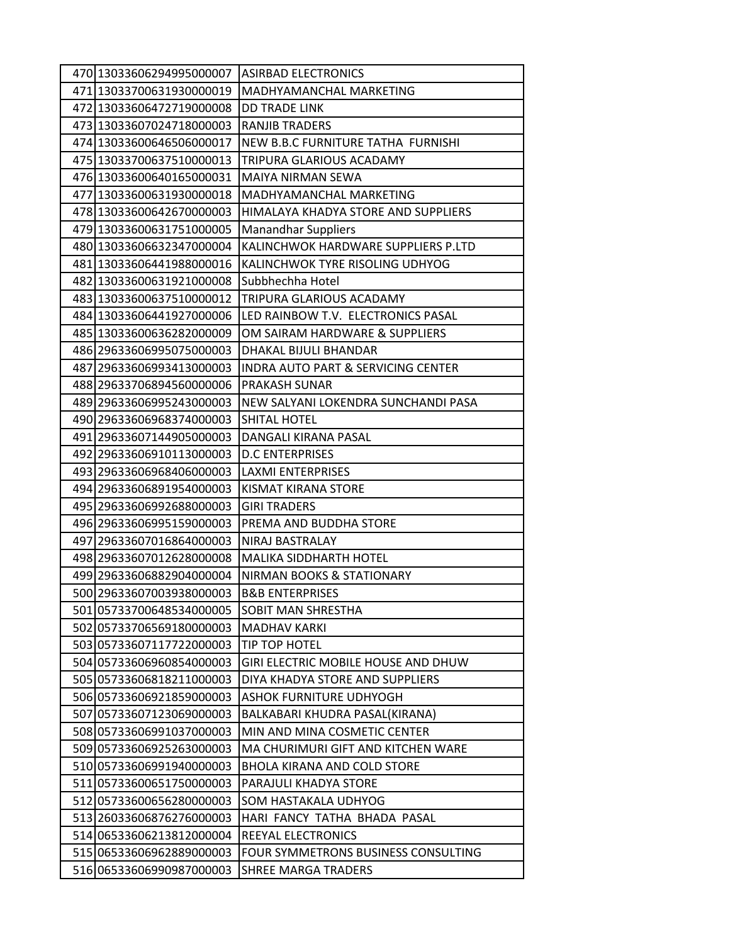| 470 13033606294995000007 | <b>ASIRBAD ELECTRONICS</b>                    |
|--------------------------|-----------------------------------------------|
| 471 13033700631930000019 | MADHYAMANCHAL MARKETING                       |
| 472 13033606472719000008 | DD TRADE LINK                                 |
| 473 13033607024718000003 | <b>RANJIB TRADERS</b>                         |
| 474 13033600646506000017 | NEW B.B.C FURNITURE TATHA FURNISHI            |
| 475 13033700637510000013 | TRIPURA GLARIOUS ACADAMY                      |
| 476 13033600640165000031 | <b>MAIYA NIRMAN SEWA</b>                      |
| 477 13033600631930000018 | MADHYAMANCHAL MARKETING                       |
| 478 13033600642670000003 | HIMALAYA KHADYA STORE AND SUPPLIERS           |
| 479 13033600631751000005 | <b>Manandhar Suppliers</b>                    |
| 480 13033606632347000004 | KALINCHWOK HARDWARE SUPPLIERS P.LTD           |
| 481 13033606441988000016 | KALINCHWOK TYRE RISOLING UDHYOG               |
| 482 13033600631921000008 | Subbhechha Hotel                              |
| 483 13033600637510000012 | TRIPURA GLARIOUS ACADAMY                      |
| 484 13033606441927000006 | LED RAINBOW T.V. ELECTRONICS PASAL            |
| 485 13033600636282000009 | OM SAIRAM HARDWARE & SUPPLIERS                |
| 486 29633606995075000003 | DHAKAL BIJULI BHANDAR                         |
| 487 29633606993413000003 | <b>INDRA AUTO PART &amp; SERVICING CENTER</b> |
| 488 29633706894560000006 | PRAKASH SUNAR                                 |
| 489 29633606995243000003 | NEW SALYANI LOKENDRA SUNCHANDI PASA           |
| 490 29633606968374000003 | <b>SHITAL HOTEL</b>                           |
| 491 29633607144905000003 | DANGALI KIRANA PASAL                          |
| 492 29633606910113000003 | <b>D.C ENTERPRISES</b>                        |
| 493 29633606968406000003 | <b>LAXMI ENTERPRISES</b>                      |
| 494 29633606891954000003 | KISMAT KIRANA STORE                           |
| 495 29633606992688000003 | <b>GIRI TRADERS</b>                           |
| 496 29633606995159000003 | PREMA AND BUDDHA STORE                        |
| 497 29633607016864000003 | NIRAJ BASTRALAY                               |
| 498 29633607012628000008 | <b>MALIKA SIDDHARTH HOTEL</b>                 |
| 499 29633606882904000004 | NIRMAN BOOKS & STATIONARY                     |
| 500 29633607003938000003 | <b>B&amp;B ENTERPRISES</b>                    |
| 501 05733700648534000005 | SOBIT MAN SHRESTHA                            |
| 502 05733706569180000003 | <b>MADHAV KARKI</b>                           |
| 503 05733607117722000003 | TIP TOP HOTEL                                 |
| 504 05733606960854000003 | <b>GIRI ELECTRIC MOBILE HOUSE AND DHUW</b>    |
| 505 05733606818211000003 | DIYA KHADYA STORE AND SUPPLIERS               |
| 506 05733606921859000003 | <b>ASHOK FURNITURE UDHYOGH</b>                |
| 507 05733607123069000003 | BALKABARI KHUDRA PASAL(KIRANA)                |
| 508 05733606991037000003 | MIN AND MINA COSMETIC CENTER                  |
| 509 05733606925263000003 | MA CHURIMURI GIFT AND KITCHEN WARE            |
| 510 05733606991940000003 | <b>BHOLA KIRANA AND COLD STORE</b>            |
| 511 05733600651750000003 | PARAJULI KHADYA STORE                         |
| 512 05733600656280000003 | SOM HASTAKALA UDHYOG                          |
| 513 26033606876276000003 | HARI FANCY TATHA BHADA PASAL                  |
| 514 06533606213812000004 | REEYAL ELECTRONICS                            |
| 515 06533606962889000003 | FOUR SYMMETRONS BUSINESS CONSULTING           |
| 516 06533606990987000003 | <b>SHREE MARGA TRADERS</b>                    |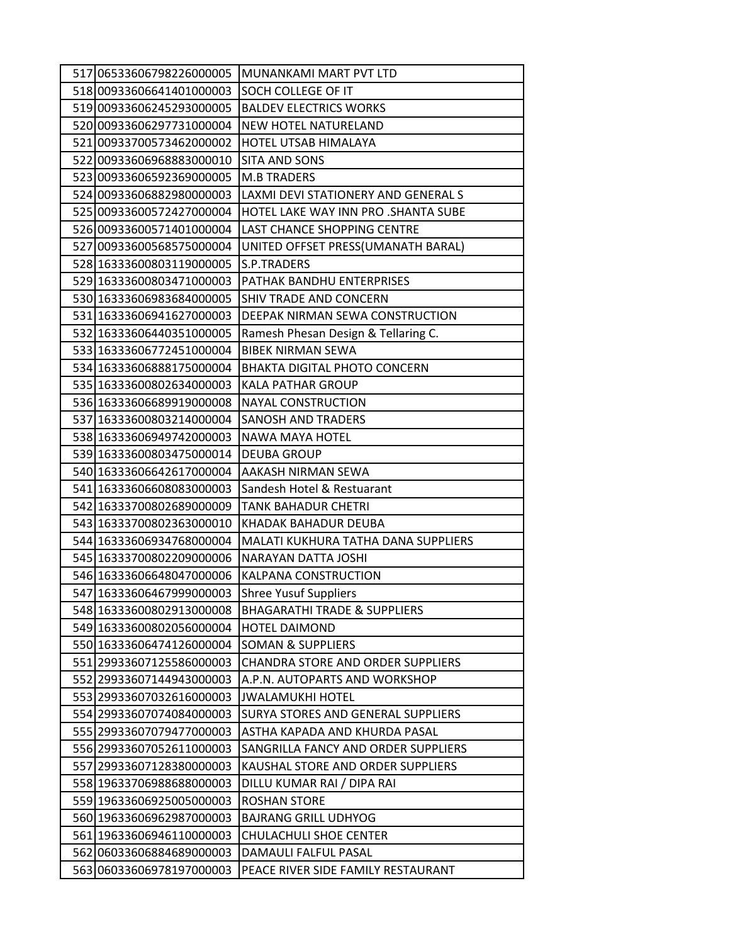| 517 06533606798226000005                             | <b>MUNANKAMI MART PVT LTD</b>                         |
|------------------------------------------------------|-------------------------------------------------------|
| 518 00933606641401000003                             | SOCH COLLEGE OF IT                                    |
| 51900933606245293000005                              | <b>BALDEV ELECTRICS WORKS</b>                         |
| 520 00933606297731000004                             | NEW HOTEL NATURELAND                                  |
| 521 00933700573462000002                             | HOTEL UTSAB HIMALAYA                                  |
| 522 00933606968883000010                             | SITA AND SONS                                         |
| 523 00933606592369000005                             | <b>M.B TRADERS</b>                                    |
| 524 00933606882980000003                             | LAXMI DEVI STATIONERY AND GENERAL S                   |
| 525 00933600572427000004                             | HOTEL LAKE WAY INN PRO . SHANTA SUBE                  |
| 526 00933600571401000004                             | LAST CHANCE SHOPPING CENTRE                           |
| 527 00933600568575000004                             | UNITED OFFSET PRESS(UMANATH BARAL)                    |
| 528 16333600803119000005                             | S.P.TRADERS                                           |
| 529 16333600803471000003                             | PATHAK BANDHU ENTERPRISES                             |
| 530 16333606983684000005                             | SHIV TRADE AND CONCERN                                |
| 531 16333606941627000003                             | DEEPAK NIRMAN SEWA CONSTRUCTION                       |
| 532 16333606440351000005                             | Ramesh Phesan Design & Tellaring C.                   |
| 533 16333606772451000004                             | <b>BIBEK NIRMAN SEWA</b>                              |
| 534 16333606888175000004                             | <b>BHAKTA DIGITAL PHOTO CONCERN</b>                   |
| 535 16333600802634000003                             | <b>KALA PATHAR GROUP</b>                              |
| 536 16333606689919000008                             | <b>NAYAL CONSTRUCTION</b>                             |
| 537 16333600803214000004                             | <b>SANOSH AND TRADERS</b>                             |
| 538 16333606949742000003                             | NAWA MAYA HOTEL                                       |
| 539 16333600803475000014                             | <b>DEUBA GROUP</b>                                    |
| 540 16333606642617000004                             | AAKASH NIRMAN SEWA                                    |
| 541 16333606608083000003                             | Sandesh Hotel & Restuarant                            |
| 542 16333700802689000009                             | <b>TANK BAHADUR CHETRI</b>                            |
| 543 16333700802363000010                             | KHADAK BAHADUR DEUBA                                  |
| 544 16333606934768000004                             | MALATI KUKHURA TATHA DANA SUPPLIERS                   |
| 545 16333700802209000006                             | NARAYAN DATTA JOSHI                                   |
| 546 16333606648047000006                             | KALPANA CONSTRUCTION                                  |
| 547 16333606467999000003                             | <b>Shree Yusuf Suppliers</b>                          |
| 548 16333600802913000008                             | <b>BHAGARATHI TRADE &amp; SUPPLIERS</b>               |
| 549 16333600802056000004                             | <b>HOTEL DAIMOND</b>                                  |
| 550 16333606474126000004                             | <b>SOMAN &amp; SUPPLIERS</b>                          |
| 551 29933607125586000003                             | <b>CHANDRA STORE AND ORDER SUPPLIERS</b>              |
| 552 29933607144943000003                             | A.P.N. AUTOPARTS AND WORKSHOP                         |
| 553 29933607032616000003                             | <b>JWALAMUKHI HOTEL</b>                               |
| 554 29933607074084000003                             | SURYA STORES AND GENERAL SUPPLIERS                    |
| 555 29933607079477000003                             | ASTHA KAPADA AND KHURDA PASAL                         |
| 556 29933607052611000003                             | SANGRILLA FANCY AND ORDER SUPPLIERS                   |
| 557 29933607128380000003                             | KAUSHAL STORE AND ORDER SUPPLIERS                     |
| 558 19633706988688000003                             | DILLU KUMAR RAI / DIPA RAI                            |
| 559 19633606925005000003                             | <b>ROSHAN STORE</b>                                   |
| 560 19633606962987000003<br>561 19633606946110000003 | <b>BAJRANG GRILL UDHYOG</b><br>CHULACHULI SHOE CENTER |
| 562 06033606884689000003                             | DAMAULI FALFUL PASAL                                  |
| 563 06033606978197000003                             | PEACE RIVER SIDE FAMILY RESTAURANT                    |
|                                                      |                                                       |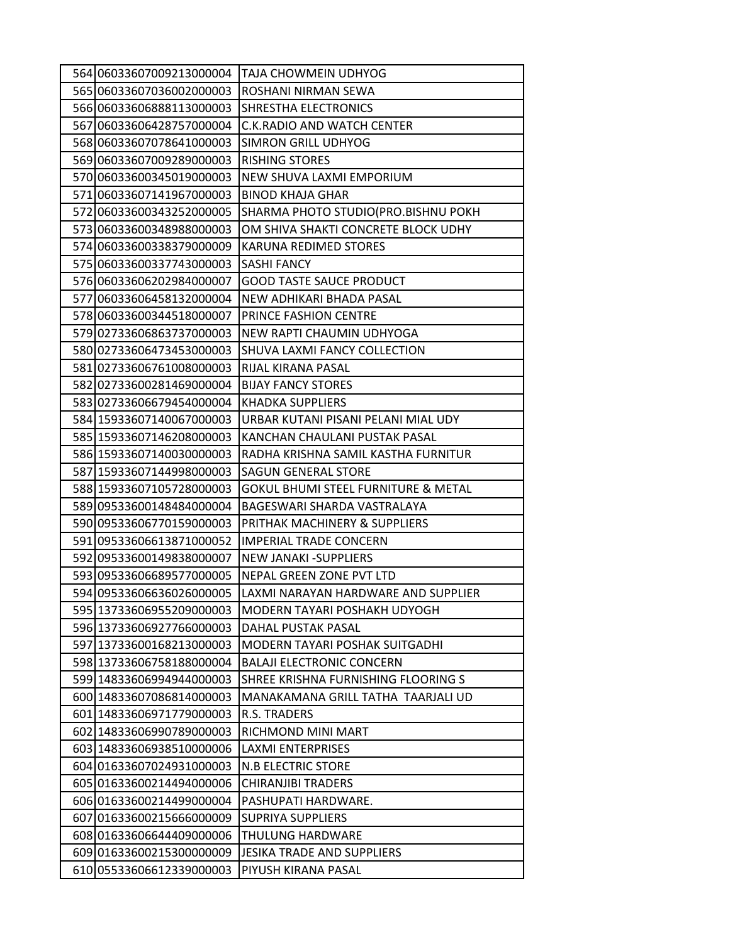| 564 06033607009213000004                             | TAJA CHOWMEIN UDHYOG                         |
|------------------------------------------------------|----------------------------------------------|
| 565 06033607036002000003                             | ROSHANI NIRMAN SEWA                          |
| 566 06033606888113000003                             | SHRESTHA ELECTRONICS                         |
| 567 06033606428757000004                             | <b>C.K.RADIO AND WATCH CENTER</b>            |
| 568 06033607078641000003                             | SIMRON GRILL UDHYOG                          |
| 569 06033607009289000003                             | RISHING STORES                               |
| 570 06033600345019000003                             | NEW SHUVA LAXMI EMPORIUM                     |
| 571 06033607141967000003                             | <b>BINOD KHAJA GHAR</b>                      |
| 572 06033600343252000005                             | SHARMA PHOTO STUDIO(PRO.BISHNU POKH          |
| 573 06033600348988000003                             | OM SHIVA SHAKTI CONCRETE BLOCK UDHY          |
| 574 06033600338379000009                             | KARUNA REDIMED STORES                        |
| 575 06033600337743000003                             | SASHI FANCY                                  |
| 576 06033606202984000007                             | <b>GOOD TASTE SAUCE PRODUCT</b>              |
| 577 06033606458132000004                             | NEW ADHIKARI BHADA PASAL                     |
| 578 06033600344518000007                             | PRINCE FASHION CENTRE                        |
| 579 02733606863737000003                             | NEW RAPTI CHAUMIN UDHYOGA                    |
| 580 02733606473453000003                             | SHUVA LAXMI FANCY COLLECTION                 |
| 581 02733606761008000003                             | RIJAL KIRANA PASAL                           |
| 582 02733600281469000004                             | <b>BIJAY FANCY STORES</b>                    |
| 583 02733606679454000004                             | <b>KHADKA SUPPLIERS</b>                      |
| 584 15933607140067000003                             | URBAR KUTANI PISANI PELANI MIAL UDY          |
| 585 15933607146208000003                             | KANCHAN CHAULANI PUSTAK PASAL                |
| 586 15933607140030000003                             | RADHA KRISHNA SAMIL KASTHA FURNITUR          |
| 587 15933607144998000003                             | <b>SAGUN GENERAL STORE</b>                   |
| 588 15933607105728000003                             | GOKUL BHUMI STEEL FURNITURE & METAL          |
| 589 09533600148484000004                             | BAGESWARI SHARDA VASTRALAYA                  |
| 590 09533606770159000003                             | PRITHAK MACHINERY & SUPPLIERS                |
| 591 09533606613871000052                             | <b>IMPERIAL TRADE CONCERN</b>                |
| 592 09533600149838000007                             | <b>NEW JANAKI-SUPPLIERS</b>                  |
| 593 09533606689577000005                             | NEPAL GREEN ZONE PVT LTD                     |
| 594 09533606636026000005                             | LAXMI NARAYAN HARDWARE AND SUPPLIER          |
| 595 13733606955209000003                             | MODERN TAYARI POSHAKH UDYOGH                 |
| 596 13733606927766000003                             | <b>DAHAL PUSTAK PASAL</b>                    |
| 597 13733600168213000003                             | MODERN TAYARI POSHAK SUITGADHI               |
| 598 13733606758188000004                             | <b>BALAJI ELECTRONIC CONCERN</b>             |
| 599 14833606994944000003                             | SHREE KRISHNA FURNISHING FLOORING S          |
| 600 14833607086814000003                             | MANAKAMANA GRILL TATHA TAARJALI UD           |
| 601 14833606971779000003<br>602 14833606990789000003 | R.S. TRADERS                                 |
|                                                      | RICHMOND MINI MART                           |
| 603 14833606938510000006                             | <b>LAXMI ENTERPRISES</b>                     |
| 604 01633607024931000003                             | <b>N.B ELECTRIC STORE</b>                    |
| 605 01633600214494000006                             | <b>CHIRANJIBI TRADERS</b>                    |
| 606 01633600214499000004                             | PASHUPATI HARDWARE.                          |
| 607 01633600215666000009<br>608 01633606644409000006 | <b>SUPRIYA SUPPLIERS</b><br>THULUNG HARDWARE |
|                                                      |                                              |
| 609 01633600215300000009                             | JESIKA TRADE AND SUPPLIERS                   |
| 610 05533606612339000003                             | PIYUSH KIRANA PASAL                          |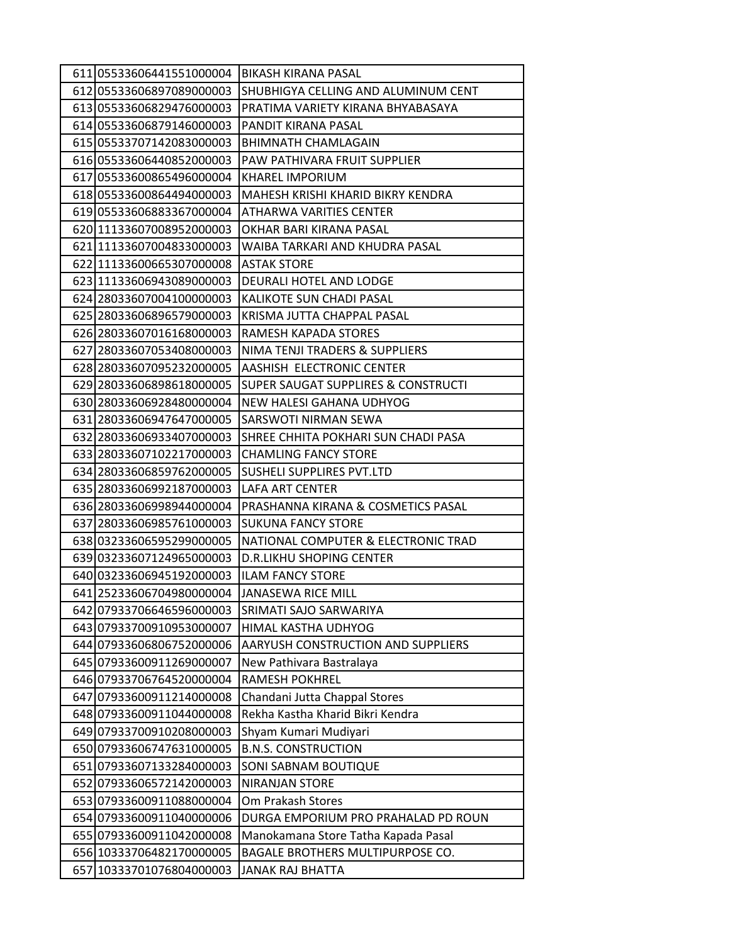| 611 05533606441551000004 | BIKASH KIRANA PASAL                 |
|--------------------------|-------------------------------------|
| 612 05533606897089000003 | SHUBHIGYA CELLING AND ALUMINUM CENT |
| 613 05533606829476000003 | PRATIMA VARIETY KIRANA BHYABASAYA   |
| 614 05533606879146000003 | PANDIT KIRANA PASAL                 |
| 615 05533707142083000003 | <b>BHIMNATH CHAMLAGAIN</b>          |
| 616 05533606440852000003 | PAW PATHIVARA FRUIT SUPPLIER        |
| 617 05533600865496000004 | <b>KHAREL IMPORIUM</b>              |
| 618 05533600864494000003 | MAHESH KRISHI KHARID BIKRY KENDRA   |
| 619 05533606883367000004 | ATHARWA VARITIES CENTER             |
| 620 11133607008952000003 | OKHAR BARI KIRANA PASAL             |
| 621 11133607004833000003 | WAIBA TARKARI AND KHUDRA PASAL      |
| 622 11133600665307000008 | <b>ASTAK STORE</b>                  |
| 623 11133606943089000003 | DEURALI HOTEL AND LODGE             |
| 624 28033607004100000003 | KALIKOTE SUN CHADI PASAL            |
| 625 28033606896579000003 | KRISMA JUTTA CHAPPAL PASAL          |
| 626 28033607016168000003 | RAMESH KAPADA STORES                |
| 627 28033607053408000003 | NIMA TENJI TRADERS & SUPPLIERS      |
| 628 28033607095232000005 | AASHISH ELECTRONIC CENTER           |
| 629 28033606898618000005 | SUPER SAUGAT SUPPLIRES & CONSTRUCTI |
| 630 28033606928480000004 | NEW HALESI GAHANA UDHYOG            |
| 631 28033606947647000005 | SARSWOTI NIRMAN SEWA                |
| 632 28033606933407000003 | SHREE CHHITA POKHARI SUN CHADI PASA |
| 633 28033607102217000003 | <b>CHAMLING FANCY STORE</b>         |
| 634 28033606859762000005 | SUSHELI SUPPLIRES PVT.LTD           |
| 635 28033606992187000003 | LAFA ART CENTER                     |
| 636 28033606998944000004 | PRASHANNA KIRANA & COSMETICS PASAL  |
| 637 28033606985761000003 | <b>SUKUNA FANCY STORE</b>           |
| 638 03233606595299000005 | NATIONAL COMPUTER & ELECTRONIC TRAD |
| 639 03233607124965000003 | <b>D.R.LIKHU SHOPING CENTER</b>     |
| 640 03233606945192000003 | <b>ILAM FANCY STORE</b>             |
| 641 25233606704980000004 | <b>JANASEWA RICE MILL</b>           |
| 642 07933706646596000003 | SRIMATI SAJO SARWARIYA              |
| 643 07933700910953000007 | HIMAL KASTHA UDHYOG                 |
| 644 07933606806752000006 | AARYUSH CONSTRUCTION AND SUPPLIERS  |
| 645 07933600911269000007 | New Pathivara Bastralaya            |
| 646 07933706764520000004 | <b>RAMESH POKHREL</b>               |
| 647 07933600911214000008 | Chandani Jutta Chappal Stores       |
| 648 07933600911044000008 | Rekha Kastha Kharid Bikri Kendra    |
| 649 07933700910208000003 | Shyam Kumari Mudiyari               |
| 650 07933606747631000005 | <b>B.N.S. CONSTRUCTION</b>          |
| 651 07933607133284000003 | SONI SABNAM BOUTIQUE                |
| 652 07933606572142000003 | <b>NIRANJAN STORE</b>               |
| 653 07933600911088000004 | Om Prakash Stores                   |
| 654 07933600911040000006 | DURGA EMPORIUM PRO PRAHALAD PD ROUN |
| 655 07933600911042000008 | Manokamana Store Tatha Kapada Pasal |
| 656 10333706482170000005 | BAGALE BROTHERS MULTIPURPOSE CO.    |
| 657 10333701076804000003 | <b>JANAK RAJ BHATTA</b>             |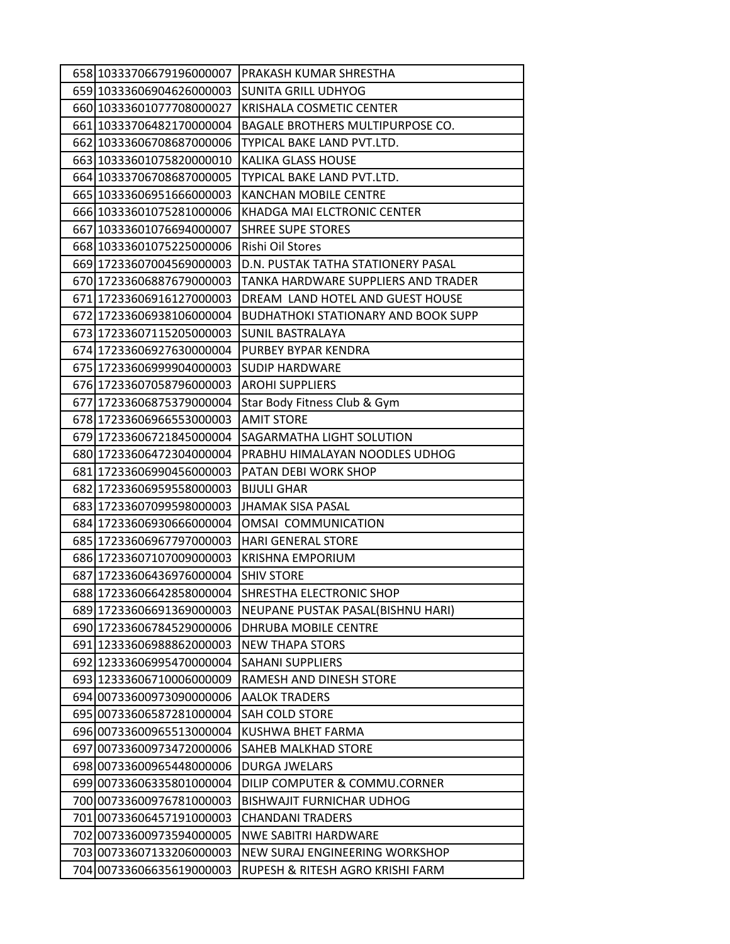| 658 10333706679196000007 | PRAKASH KUMAR SHRESTHA                     |
|--------------------------|--------------------------------------------|
| 659 10333606904626000003 | <b>SUNITA GRILL UDHYOG</b>                 |
| 660 10333601077708000027 | <b>KRISHALA COSMETIC CENTER</b>            |
| 661 10333706482170000004 | BAGALE BROTHERS MULTIPURPOSE CO.           |
| 662 10333606708687000006 | TYPICAL BAKE LAND PVT.LTD.                 |
| 663 10333601075820000010 | KALIKA GLASS HOUSE                         |
| 664 10333706708687000005 | TYPICAL BAKE LAND PVT.LTD.                 |
| 665 10333606951666000003 | <b>KANCHAN MOBILE CENTRE</b>               |
| 666 10333601075281000006 | KHADGA MAI ELCTRONIC CENTER                |
| 667 10333601076694000007 | <b>SHREE SUPE STORES</b>                   |
| 668 10333601075225000006 | Rishi Oil Stores                           |
| 669 17233607004569000003 | D.N. PUSTAK TATHA STATIONERY PASAL         |
| 670 17233606887679000003 | TANKA HARDWARE SUPPLIERS AND TRADER        |
| 671 17233606916127000003 | DREAM LAND HOTEL AND GUEST HOUSE           |
| 672 17233606938106000004 | <b>BUDHATHOKI STATIONARY AND BOOK SUPP</b> |
| 673 17233607115205000003 | <b>SUNIL BASTRALAYA</b>                    |
| 674 17233606927630000004 | PURBEY BYPAR KENDRA                        |
| 675 17233606999904000003 | <b>SUDIP HARDWARE</b>                      |
| 676 17233607058796000003 | <b>AROHI SUPPLIERS</b>                     |
| 677 17233606875379000004 | Star Body Fitness Club & Gym               |
| 678 17233606966553000003 | <b>AMIT STORE</b>                          |
| 679 17233606721845000004 | SAGARMATHA LIGHT SOLUTION                  |
| 680 17233606472304000004 | PRABHU HIMALAYAN NOODLES UDHOG             |
| 681 17233606990456000003 | <b>PATAN DEBI WORK SHOP</b>                |
| 682 17233606959558000003 | <b>BIJULI GHAR</b>                         |
| 683 17233607099598000003 | JHAMAK SISA PASAL                          |
| 684 17233606930666000004 | OMSAI COMMUNICATION                        |
| 685 17233606967797000003 | <b>HARI GENERAL STORE</b>                  |
| 686 17233607107009000003 | <b>KRISHNA EMPORIUM</b>                    |
| 687 17233606436976000004 | <b>SHIV STORE</b>                          |
| 688 17233606642858000004 | SHRESTHA ELECTRONIC SHOP                   |
| 689 17233606691369000003 | NEUPANE PUSTAK PASAL(BISHNU HARI)          |
| 690 17233606784529000006 | <b>DHRUBA MOBILE CENTRE</b>                |
| 691 12333606988862000003 | <b>NEW THAPA STORS</b>                     |
| 692 12333606995470000004 | <b>SAHANI SUPPLIERS</b>                    |
| 693 12333606710006000009 | RAMESH AND DINESH STORE                    |
| 694 00733600973090000006 | <b>AALOK TRADERS</b>                       |
| 695 00733606587281000004 | <b>SAH COLD STORE</b>                      |
| 696 00733600965513000004 | KUSHWA BHET FARMA                          |
| 697 00733600973472000006 | <b>SAHEB MALKHAD STORE</b>                 |
| 698 00733600965448000006 | DURGA JWELARS                              |
| 699 00733606335801000004 | DILIP COMPUTER & COMMU.CORNER              |
| 700 00733600976781000003 | <b>BISHWAJIT FURNICHAR UDHOG</b>           |
| 701 00733606457191000003 | <b>CHANDANI TRADERS</b>                    |
| 702 00733600973594000005 | <b>NWE SABITRI HARDWARE</b>                |
| 703 00733607133206000003 | NEW SURAJ ENGINEERING WORKSHOP             |
| 704 00733606635619000003 | RUPESH & RITESH AGRO KRISHI FARM           |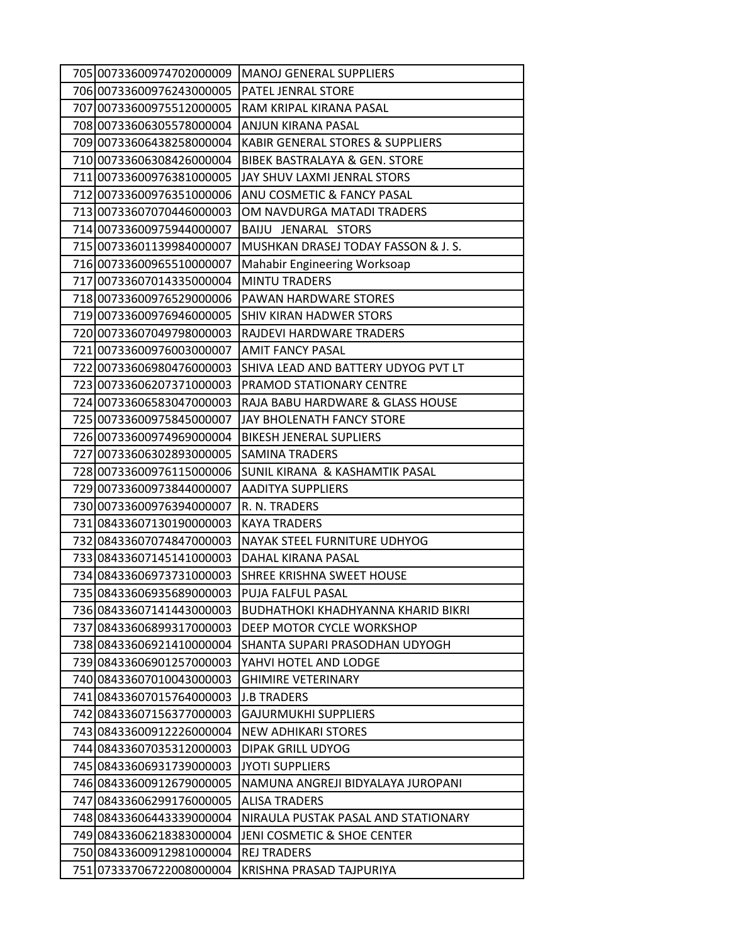| 705 00733600974702000009                             | <b>MANOJ GENERAL SUPPLIERS</b>                              |
|------------------------------------------------------|-------------------------------------------------------------|
| 706 00733600976243000005                             | PATEL JENRAL STORE                                          |
| 707 00733600975512000005                             | RAM KRIPAL KIRANA PASAL                                     |
| 708 00733606305578000004                             | ANJUN KIRANA PASAL                                          |
| 709 00733606438258000004                             | KABIR GENERAL STORES & SUPPLIERS                            |
| 710 00733606308426000004                             | <b>BIBEK BASTRALAYA &amp; GEN. STORE</b>                    |
| 711 00733600976381000005                             | JAY SHUV LAXMI JENRAL STORS                                 |
| 712 00733600976351000006                             | ANU COSMETIC & FANCY PASAL                                  |
| 713 00733607070446000003                             | OM NAVDURGA MATADI TRADERS                                  |
| 714 00733600975944000007                             | BAIJU JENARAL STORS                                         |
| 715 00733601139984000007                             | MUSHKAN DRASEJ TODAY FASSON & J. S.                         |
| 716 00733600965510000007                             | <b>Mahabir Engineering Worksoap</b>                         |
| 717 00733607014335000004                             | <b>MINTU TRADERS</b>                                        |
| 718 00733600976529000006                             | <b>PAWAN HARDWARE STORES</b>                                |
| 719 00733600976946000005                             | <b>SHIV KIRAN HADWER STORS</b>                              |
| 720 00733607049798000003                             | RAJDEVI HARDWARE TRADERS                                    |
| 721 00733600976003000007                             | <b>AMIT FANCY PASAL</b>                                     |
| 722 00733606980476000003                             | SHIVA LEAD AND BATTERY UDYOG PVT LT                         |
| 723 00733606207371000003                             | PRAMOD STATIONARY CENTRE                                    |
| 724 00733606583047000003                             | RAJA BABU HARDWARE & GLASS HOUSE                            |
| 725 00733600975845000007                             | JAY BHOLENATH FANCY STORE                                   |
| 726 00733600974969000004                             | <b>BIKESH JENERAL SUPLIERS</b>                              |
| 727 00733606302893000005                             | <b>SAMINA TRADERS</b>                                       |
| 728 00733600976115000006                             | <b>SUNIL KIRANA &amp; KASHAMTIK PASAL</b>                   |
| 729 00733600973844000007                             | <b>AADITYA SUPPLIERS</b>                                    |
| 730 00733600976394000007                             | R. N. TRADERS                                               |
| 731 08433607130190000003                             | <b>KAYA TRADERS</b>                                         |
| 732 08433607074847000003                             | NAYAK STEEL FURNITURE UDHYOG                                |
| 733 08433607145141000003                             | DAHAL KIRANA PASAL                                          |
| 734 08433606973731000003                             | SHREE KRISHNA SWEET HOUSE                                   |
| 735 08433606935689000003                             | PUJA FALFUL PASAL                                           |
| 736 08433607141443000003                             | <b>BUDHATHOKI KHADHYANNA KHARID BIKRI</b>                   |
| 737 08433606899317000003                             | DEEP MOTOR CYCLE WORKSHOP                                   |
| 738 08433606921410000004                             | SHANTA SUPARI PRASODHAN UDYOGH                              |
| 739 08433606901257000003                             | YAHVI HOTEL AND LODGE                                       |
| 740 08433607010043000003                             | <b>GHIMIRE VETERINARY</b>                                   |
| 741 08433607015764000003                             | <b>J.B TRADERS</b>                                          |
| 742 08433607156377000003                             | <b>GAJURMUKHI SUPPLIERS</b>                                 |
| 743 08433600912226000004                             | NEW ADHIKARI STORES<br><b>DIPAK GRILL UDYOG</b>             |
| 744 08433607035312000003                             |                                                             |
| 745 08433606931739000003<br>746 08433600912679000005 | <b>JYOTI SUPPLIERS</b><br>NAMUNA ANGREJI BIDYALAYA JUROPANI |
| 747 08433606299176000005                             | <b>ALISA TRADERS</b>                                        |
| 748 08433606443339000004                             | NIRAULA PUSTAK PASAL AND STATIONARY                         |
| 749 08433606218383000004                             | JENI COSMETIC & SHOE CENTER                                 |
| 750 08433600912981000004                             | <b>REJ TRADERS</b>                                          |
| 751 07333706722008000004                             | KRISHNA PRASAD TAJPURIYA                                    |
|                                                      |                                                             |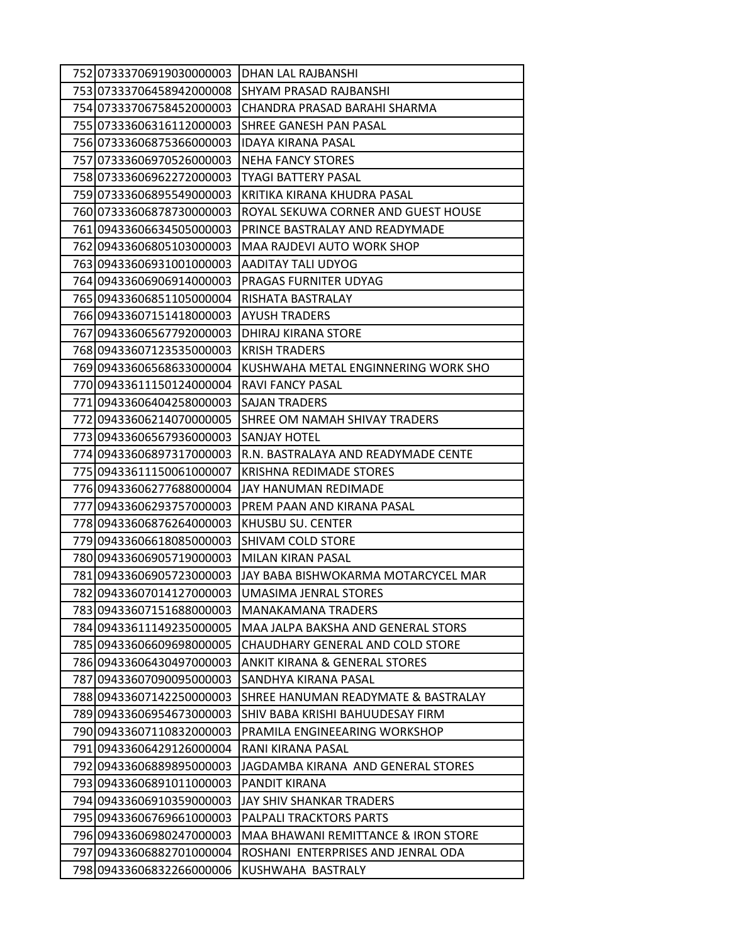| 752 07333706919030000003 | DHAN LAL RAJBANSHI                       |
|--------------------------|------------------------------------------|
| 753 07333706458942000008 | SHYAM PRASAD RAJBANSHI                   |
| 754 07333706758452000003 | CHANDRA PRASAD BARAHI SHARMA             |
| 755 07333606316112000003 | SHREE GANESH PAN PASAL                   |
| 756 07333606875366000003 | <b>IDAYA KIRANA PASAL</b>                |
| 757 07333606970526000003 | <b>NEHA FANCY STORES</b>                 |
| 758 07333606962272000003 | <b>TYAGI BATTERY PASAL</b>               |
| 759 07333606895549000003 | KRITIKA KIRANA KHUDRA PASAL              |
| 760 07333606878730000003 | ROYAL SEKUWA CORNER AND GUEST HOUSE      |
| 761 09433606634505000003 | PRINCE BASTRALAY AND READYMADE           |
| 762 09433606805103000003 | MAA RAJDEVI AUTO WORK SHOP               |
| 763 09433606931001000003 | AADITAY TALI UDYOG                       |
| 764 09433606906914000003 | PRAGAS FURNITER UDYAG                    |
| 765 09433606851105000004 | RISHATA BASTRALAY                        |
| 766 09433607151418000003 | <b>AYUSH TRADERS</b>                     |
| 767 09433606567792000003 | DHIRAJ KIRANA STORE                      |
| 768 09433607123535000003 | <b>KRISH TRADERS</b>                     |
| 769 09433606568633000004 | KUSHWAHA METAL ENGINNERING WORK SHO      |
| 77009433611150124000004  | <b>RAVI FANCY PASAL</b>                  |
| 771 09433606404258000003 | <b>SAJAN TRADERS</b>                     |
| 772 09433606214070000005 | SHREE OM NAMAH SHIVAY TRADERS            |
| 773 09433606567936000003 | <b>SANJAY HOTEL</b>                      |
| 774 09433606897317000003 | R.N. BASTRALAYA AND READYMADE CENTE      |
| 775 09433611150061000007 | <b>KRISHNA REDIMADE STORES</b>           |
| 776 09433606277688000004 | JAY HANUMAN REDIMADE                     |
| 777 09433606293757000003 | PREM PAAN AND KIRANA PASAL               |
| 778 09433606876264000003 | KHUSBU SU. CENTER                        |
| 779 09433606618085000003 | SHIVAM COLD STORE                        |
| 780 09433606905719000003 | <b>MILAN KIRAN PASAL</b>                 |
| 781 09433606905723000003 | JAY BABA BISHWOKARMA MOTARCYCEL MAR      |
| 782 09433607014127000003 | UMASIMA JENRAL STORES                    |
| 783 09433607151688000003 | <b>MANAKAMANA TRADERS</b>                |
| 784 09433611149235000005 | MAA JALPA BAKSHA AND GENERAL STORS       |
| 785 09433606609698000005 | CHAUDHARY GENERAL AND COLD STORE         |
| 786 09433606430497000003 | <b>ANKIT KIRANA &amp; GENERAL STORES</b> |
| 787 09433607090095000003 | SANDHYA KIRANA PASAL                     |
| 788 09433607142250000003 | SHREE HANUMAN READYMATE & BASTRALAY      |
| 789 09433606954673000003 | SHIV BABA KRISHI BAHUUDESAY FIRM         |
| 790 09433607110832000003 | PRAMILA ENGINEEARING WORKSHOP            |
| 791 09433606429126000004 | RANI KIRANA PASAL                        |
| 792 09433606889895000003 | JAGDAMBA KIRANA AND GENERAL STORES       |
| 793 09433606891011000003 | PANDIT KIRANA                            |
| 794 09433606910359000003 | JAY SHIV SHANKAR TRADERS                 |
| 795 09433606769661000003 | PALPALI TRACKTORS PARTS                  |
| 796 09433606980247000003 | MAA BHAWANI REMITTANCE & IRON STORE      |
| 797 09433606882701000004 | ROSHANI ENTERPRISES AND JENRAL ODA       |
| 798 09433606832266000006 | KUSHWAHA BASTRALY                        |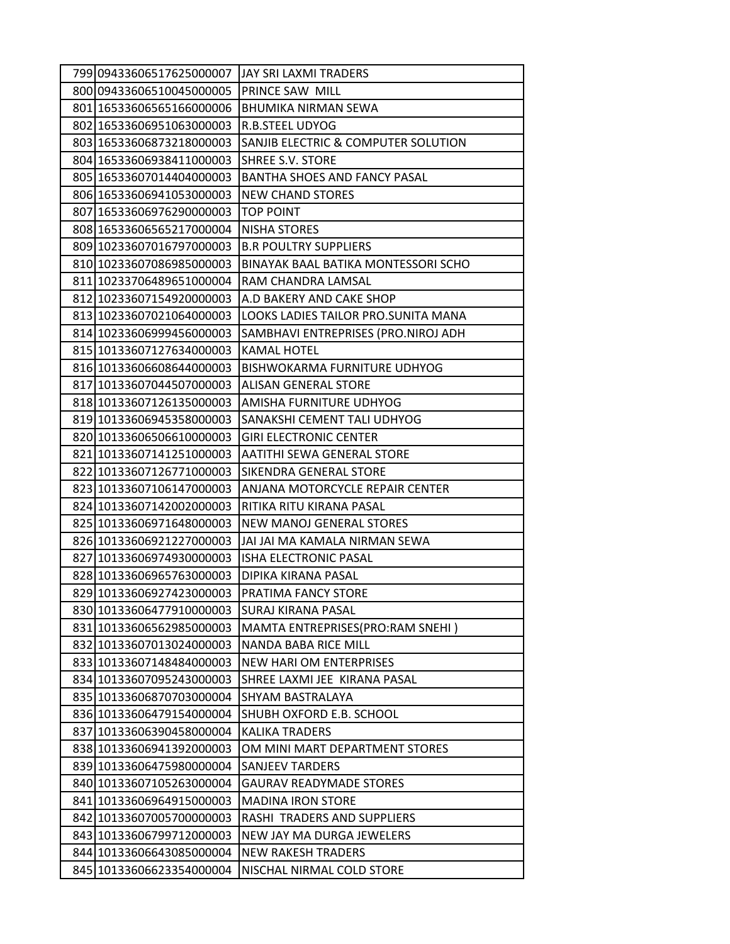| 799 09433606517625000007 | JAY SRI LAXMI TRADERS                |
|--------------------------|--------------------------------------|
| 800 09433606510045000005 | PRINCE SAW MILL                      |
| 801 16533606565166000006 | <b>BHUMIKA NIRMAN SEWA</b>           |
| 802 16533606951063000003 | R.B.STEEL UDYOG                      |
| 803 16533606873218000003 | SANJIB ELECTRIC & COMPUTER SOLUTION  |
| 804 16533606938411000003 | SHREE S.V. STORE                     |
| 805 16533607014404000003 | <b>BANTHA SHOES AND FANCY PASAL</b>  |
| 806 16533606941053000003 | <b>NEW CHAND STORES</b>              |
| 807 16533606976290000003 | TOP POINT                            |
| 808 16533606565217000004 | <b>NISHA STORES</b>                  |
| 809 10233607016797000003 | <b>B.R POULTRY SUPPLIERS</b>         |
| 810 10233607086985000003 | BINAYAK BAAL BATIKA MONTESSORI SCHO  |
| 811 10233706489651000004 | RAM CHANDRA LAMSAL                   |
| 812 10233607154920000003 | A.D BAKERY AND CAKE SHOP             |
| 813 10233607021064000003 | LOOKS LADIES TAILOR PRO. SUNITA MANA |
| 814 10233606999456000003 | SAMBHAVI ENTREPRISES (PRO.NIROJ ADH  |
| 815 10133607127634000003 | KAMAL HOTEL                          |
| 816 10133606608644000003 | BISHWOKARMA FURNITURE UDHYOG         |
| 817 10133607044507000003 | ALISAN GENERAL STORE                 |
| 818 10133607126135000003 | AMISHA FURNITURE UDHYOG              |
| 819 10133606945358000003 | SANAKSHI CEMENT TALI UDHYOG          |
| 820 10133606506610000003 | <b>GIRI ELECTRONIC CENTER</b>        |
| 821 10133607141251000003 | AATITHI SEWA GENERAL STORE           |
| 822 10133607126771000003 | SIKENDRA GENERAL STORE               |
| 823 10133607106147000003 | ANJANA MOTORCYCLE REPAIR CENTER      |
| 824 10133607142002000003 | RITIKA RITU KIRANA PASAL             |
| 825 10133606971648000003 | NEW MANOJ GENERAL STORES             |
| 826 10133606921227000003 | JAI JAI MA KAMALA NIRMAN SEWA        |
| 827 10133606974930000003 | <b>ISHA ELECTRONIC PASAL</b>         |
| 828 10133606965763000003 | DIPIKA KIRANA PASAL                  |
| 829 10133606927423000003 | PRATIMA FANCY STORE                  |
| 830 10133606477910000003 | <b>SURAJ KIRANA PASAL</b>            |
| 831 10133606562985000003 | MAMTA ENTREPRISES(PRO:RAM SNEHI)     |
| 832 10133607013024000003 | NANDA BABA RICE MILL                 |
| 833 10133607148484000003 | NEW HARI OM ENTERPRISES              |
| 834 10133607095243000003 | SHREE LAXMI JEE KIRANA PASAL         |
| 835 10133606870703000004 | SHYAM BASTRALAYA                     |
| 836 10133606479154000004 | SHUBH OXFORD E.B. SCHOOL             |
| 837 10133606390458000004 | KALIKA TRADERS                       |
| 838 10133606941392000003 | OM MINI MART DEPARTMENT STORES       |
| 839 10133606475980000004 | <b>SANJEEV TARDERS</b>               |
| 840 10133607105263000004 | <b>GAURAV READYMADE STORES</b>       |
| 841 10133606964915000003 | <b>MADINA IRON STORE</b>             |
| 842 10133607005700000003 | RASHI TRADERS AND SUPPLIERS          |
| 843 10133606799712000003 | NEW JAY MA DURGA JEWELERS            |
| 844 10133606643085000004 | <b>NEW RAKESH TRADERS</b>            |
| 845 10133606623354000004 | NISCHAL NIRMAL COLD STORE            |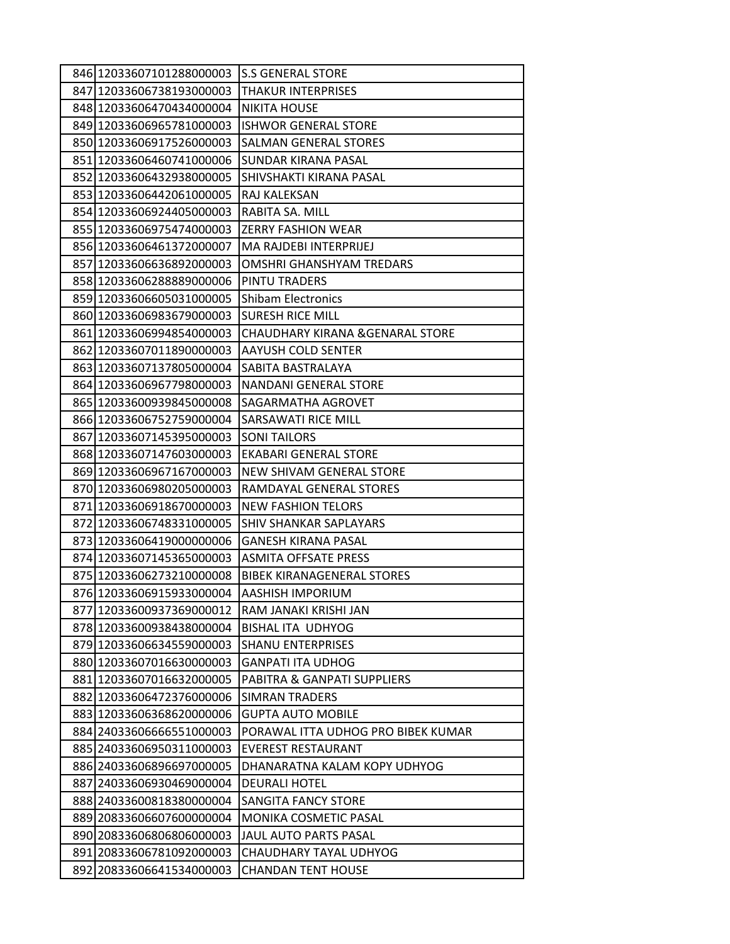| 846 12033607101288000003 | <b>S.S GENERAL STORE</b>               |
|--------------------------|----------------------------------------|
| 847 12033606738193000003 | <b>THAKUR INTERPRISES</b>              |
| 848 12033606470434000004 | <b>NIKITA HOUSE</b>                    |
| 849 12033606965781000003 | <b>ISHWOR GENERAL STORE</b>            |
| 850 12033606917526000003 | <b>SALMAN GENERAL STORES</b>           |
| 851 12033606460741000006 | SUNDAR KIRANA PASAL                    |
| 852 12033606432938000005 | SHIVSHAKTI KIRANA PASAL                |
| 853 12033606442061000005 | RAJ KALEKSAN                           |
| 854 12033606924405000003 | RABITA SA. MILL                        |
| 855 12033606975474000003 | <b>ZERRY FASHION WEAR</b>              |
| 856 12033606461372000007 | MA RAJDEBI INTERPRIJEJ                 |
| 857 12033606636892000003 | <b>OMSHRI GHANSHYAM TREDARS</b>        |
| 858 12033606288889000006 | PINTU TRADERS                          |
| 859 12033606605031000005 | <b>Shibam Electronics</b>              |
| 860 12033606983679000003 | <b>SURESH RICE MILL</b>                |
| 861 12033606994854000003 | CHAUDHARY KIRANA & GENARAL STORE       |
| 862 12033607011890000003 | <b>AAYUSH COLD SENTER</b>              |
| 863 12033607137805000004 | SABITA BASTRALAYA                      |
| 864 12033606967798000003 | <b>NANDANI GENERAL STORE</b>           |
| 865 12033600939845000008 | SAGARMATHA AGROVET                     |
| 866 12033606752759000004 | <b>SARSAWATI RICE MILL</b>             |
| 867 12033607145395000003 | <b>SONI TAILORS</b>                    |
| 868 12033607147603000003 | EKABARI GENERAL STORE                  |
| 869 12033606967167000003 | NEW SHIVAM GENERAL STORE               |
| 870 12033606980205000003 | RAMDAYAL GENERAL STORES                |
| 871 12033606918670000003 | <b>NEW FASHION TELORS</b>              |
| 872 12033606748331000005 | SHIV SHANKAR SAPLAYARS                 |
| 873 12033606419000000006 | <b>GANESH KIRANA PASAL</b>             |
| 874 12033607145365000003 | <b>ASMITA OFFSATE PRESS</b>            |
| 875 12033606273210000008 | <b>BIBEK KIRANAGENERAL STORES</b>      |
| 876 12033606915933000004 | AASHISH IMPORIUM                       |
| 877 12033600937369000012 | RAM JANAKI KRISHI JAN                  |
| 878 12033600938438000004 | <b>BISHAL ITA UDHYOG</b>               |
| 879 12033606634559000003 | <b>SHANU ENTERPRISES</b>               |
| 880 12033607016630000003 | <b>GANPATI ITA UDHOG</b>               |
| 881 12033607016632000005 | <b>PABITRA &amp; GANPATI SUPPLIERS</b> |
| 882 12033606472376000006 | <b>SIMRAN TRADERS</b>                  |
| 883 12033606368620000006 | <b>GUPTA AUTO MOBILE</b>               |
| 884 24033606666551000003 | PORAWAL ITTA UDHOG PRO BIBEK KUMAR     |
| 885 24033606950311000003 | <b>EVEREST RESTAURANT</b>              |
| 886 24033606896697000005 | DHANARATNA KALAM KOPY UDHYOG           |
| 887 24033606930469000004 | <b>DEURALI HOTEL</b>                   |
| 888 24033600818380000004 | SANGITA FANCY STORE                    |
| 889 20833606607600000004 | MONIKA COSMETIC PASAL                  |
| 890 20833606806806000003 | <b>JAUL AUTO PARTS PASAL</b>           |
| 891 20833606781092000003 | CHAUDHARY TAYAL UDHYOG                 |
| 892 20833606641534000003 | <b>CHANDAN TENT HOUSE</b>              |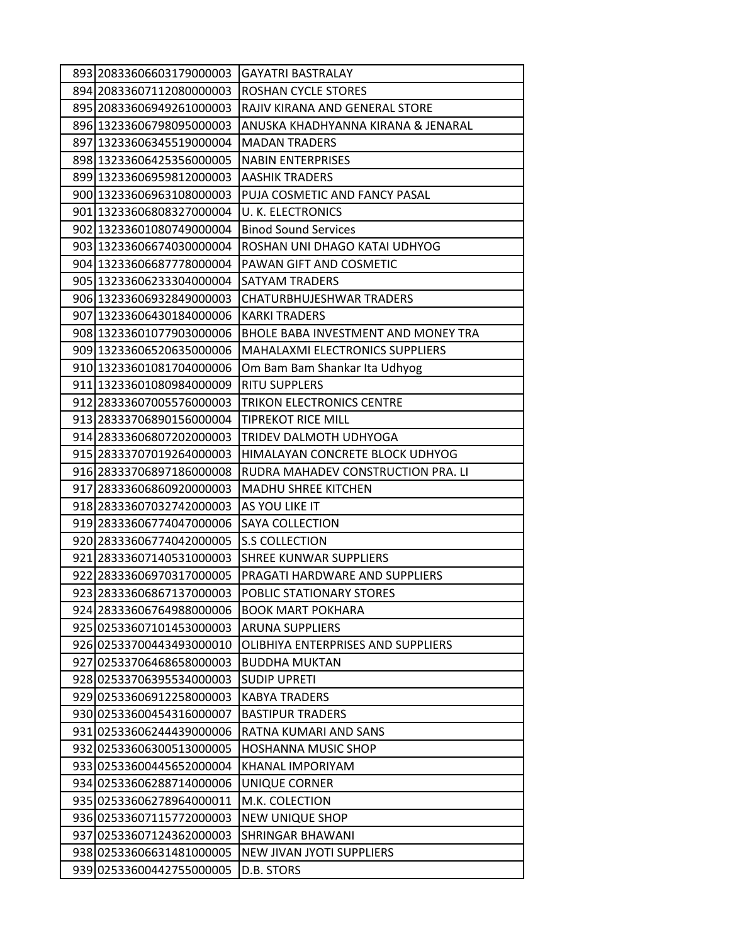| 893 20833606603179000003                             | <b>GAYATRI BASTRALAY</b>                                     |
|------------------------------------------------------|--------------------------------------------------------------|
| 894 20833607112080000003                             | ROSHAN CYCLE STORES                                          |
| 895 20833606949261000003                             | RAJIV KIRANA AND GENERAL STORE                               |
| 896 13233606798095000003                             | ANUSKA KHADHYANNA KIRANA & JENARAL                           |
| 897 13233606345519000004                             | <b>MADAN TRADERS</b>                                         |
| 898 13233606425356000005                             | <b>NABIN ENTERPRISES</b>                                     |
| 899 13233606959812000003                             | <b>AASHIK TRADERS</b>                                        |
| 900 13233606963108000003                             | PUJA COSMETIC AND FANCY PASAL                                |
| 901 13233606808327000004                             | <b>U. K. ELECTRONICS</b>                                     |
| 902 13233601080749000004                             | <b>Binod Sound Services</b>                                  |
| 903 13233606674030000004                             | ROSHAN UNI DHAGO KATAI UDHYOG                                |
| 904 13233606687778000004                             | PAWAN GIFT AND COSMETIC                                      |
| 905 13233606233304000004                             | SATYAM TRADERS                                               |
| 906 13233606932849000003                             | <b>CHATURBHUJESHWAR TRADERS</b>                              |
| 907 13233606430184000006                             | <b>KARKI TRADERS</b>                                         |
| 908 13233601077903000006                             | BHOLE BABA INVESTMENT AND MONEY TRA                          |
| 909 13233606520635000006                             | MAHALAXMI ELECTRONICS SUPPLIERS                              |
| 910 13233601081704000006                             | Om Bam Bam Shankar Ita Udhyog                                |
| 911 13233601080984000009                             | <b>RITU SUPPLERS</b>                                         |
| 912 28333607005576000003                             | <b>TRIKON ELECTRONICS CENTRE</b>                             |
| 913 28333706890156000004                             | <b>TIPREKOT RICE MILL</b>                                    |
| 914 28333606807202000003                             | TRIDEV DALMOTH UDHYOGA                                       |
| 915 28333707019264000003                             | HIMALAYAN CONCRETE BLOCK UDHYOG                              |
| 916 28333706897186000008                             | RUDRA MAHADEV CONSTRUCTION PRA. LI                           |
| 917 28333606860920000003                             | <b>MADHU SHREE KITCHEN</b>                                   |
| 918 28333607032742000003                             | AS YOU LIKE IT                                               |
| 919 28333606774047000006                             | SAYA COLLECTION                                              |
| 920 28333606774042000005                             | <b>S.S COLLECTION</b>                                        |
| 921 28333607140531000003                             | SHREE KUNWAR SUPPLIERS                                       |
| 922 28333606970317000005                             | PRAGATI HARDWARE AND SUPPLIERS                               |
| 923 28333606867137000003                             | POBLIC STATIONARY STORES                                     |
| 924 28333606764988000006                             | <b>BOOK MART POKHARA</b>                                     |
| 925 02533607101453000003                             | <b>ARUNA SUPPLIERS</b><br>OLIBHIYA ENTERPRISES AND SUPPLIERS |
| 926 02533700443493000010<br>927 02533706468658000003 | <b>BUDDHA MUKTAN</b>                                         |
| 928 02533706395534000003                             | <b>SUDIP UPRETI</b>                                          |
| 929 02533606912258000003                             | <b>KABYA TRADERS</b>                                         |
| 930 02533600454316000007                             | <b>BASTIPUR TRADERS</b>                                      |
| 931 02533606244439000006                             | RATNA KUMARI AND SANS                                        |
| 932 02533606300513000005                             | <b>HOSHANNA MUSIC SHOP</b>                                   |
| 933 02533600445652000004                             | KHANAL IMPORIYAM                                             |
| 934 02533606288714000006                             | UNIQUE CORNER                                                |
| 935 02533606278964000011                             | M.K. COLECTION                                               |
| 936 02533607115772000003                             | <b>NEW UNIQUE SHOP</b>                                       |
| 937 02533607124362000003                             | SHRINGAR BHAWANI                                             |
| 938 02533606631481000005                             | NEW JIVAN JYOTI SUPPLIERS                                    |
| 939 02533600442755000005                             | D.B. STORS                                                   |
|                                                      |                                                              |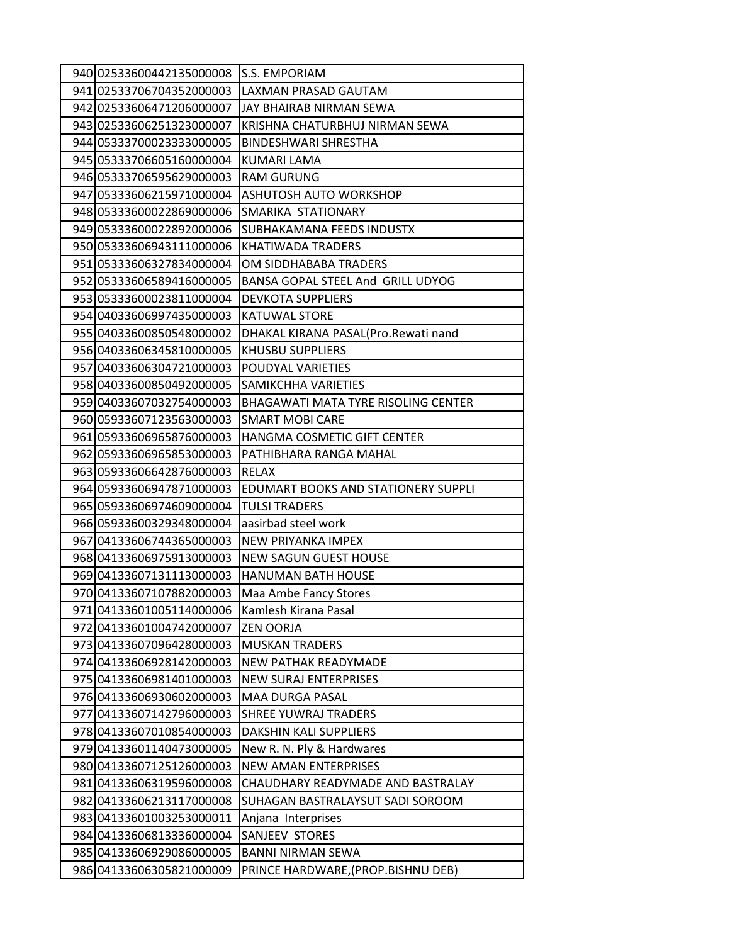| 940 02533600442135000008 | S.S. EMPORIAM                       |
|--------------------------|-------------------------------------|
| 941 02533706704352000003 | LAXMAN PRASAD GAUTAM                |
| 942 02533606471206000007 | JAY BHAIRAB NIRMAN SEWA             |
| 943 02533606251323000007 | KRISHNA CHATURBHUJ NIRMAN SEWA      |
| 944 05333700023333000005 | BINDESHWARI SHRESTHA                |
| 945 05333706605160000004 | KUMARI LAMA                         |
| 946 05333706595629000003 | <b>RAM GURUNG</b>                   |
| 947 05333606215971000004 | ASHUTOSH AUTO WORKSHOP              |
| 948 05333600022869000006 | SMARIKA STATIONARY                  |
| 949 05333600022892000006 | SUBHAKAMANA FEEDS INDUSTX           |
| 950 05333606943111000006 | KHATIWADA TRADERS                   |
| 951 05333606327834000004 | OM SIDDHABABA TRADERS               |
| 952 05333606589416000005 | BANSA GOPAL STEEL And GRILL UDYOG   |
| 953 05333600023811000004 | <b>DEVKOTA SUPPLIERS</b>            |
| 954 04033606997435000003 | <b>KATUWAL STORE</b>                |
| 955 04033600850548000002 | DHAKAL KIRANA PASAL(Pro.Rewati nand |
| 956 04033606345810000005 | KHUSBU SUPPLIERS                    |
| 957 04033606304721000003 | POUDYAL VARIETIES                   |
| 958 04033600850492000005 | SAMIKCHHA VARIETIES                 |
| 959 04033607032754000003 | BHAGAWATI MATA TYRE RISOLING CENTER |
| 960 05933607123563000003 | SMART MOBI CARE                     |
| 961 05933606965876000003 | HANGMA COSMETIC GIFT CENTER         |
| 962 05933606965853000003 | PATHIBHARA RANGA MAHAL              |
| 963 05933606642876000003 | RELAX                               |
| 964 05933606947871000003 | EDUMART BOOKS AND STATIONERY SUPPLI |
| 965 05933606974609000004 | <b>TULSI TRADERS</b>                |
| 966 05933600329348000004 | aasirbad steel work                 |
| 967 04133606744365000003 | NEW PRIYANKA IMPEX                  |
| 968 04133606975913000003 | <b>NEW SAGUN GUEST HOUSE</b>        |
| 969 04133607131113000003 | <b>HANUMAN BATH HOUSE</b>           |
| 97004133607107882000003  | Maa Ambe Fancy Stores               |
| 97104133601005114000006  | Kamlesh Kirana Pasal                |
| 972 04133601004742000007 | <b>ZEN OORJA</b>                    |
| 973 04133607096428000003 | <b>MUSKAN TRADERS</b>               |
| 974 04133606928142000003 | NEW PATHAK READYMADE                |
| 975 04133606981401000003 | <b>NEW SURAJ ENTERPRISES</b>        |
| 976 04133606930602000003 | MAA DURGA PASAL                     |
| 977 04133607142796000003 | SHREE YUWRAJ TRADERS                |
| 978 04133607010854000003 | DAKSHIN KALI SUPPLIERS              |
| 979 04133601140473000005 | New R. N. Ply & Hardwares           |
| 980 04133607125126000003 | <b>NEW AMAN ENTERPRISES</b>         |
| 981 04133606319596000008 | CHAUDHARY READYMADE AND BASTRALAY   |
| 982 04133606213117000008 | SUHAGAN BASTRALAYSUT SADI SOROOM    |
| 983 04133601003253000011 | Anjana Interprises                  |
| 984 04133606813336000004 | SANJEEV STORES                      |
| 985 04133606929086000005 | <b>BANNI NIRMAN SEWA</b>            |
| 986 04133606305821000009 | PRINCE HARDWARE, (PROP.BISHNU DEB)  |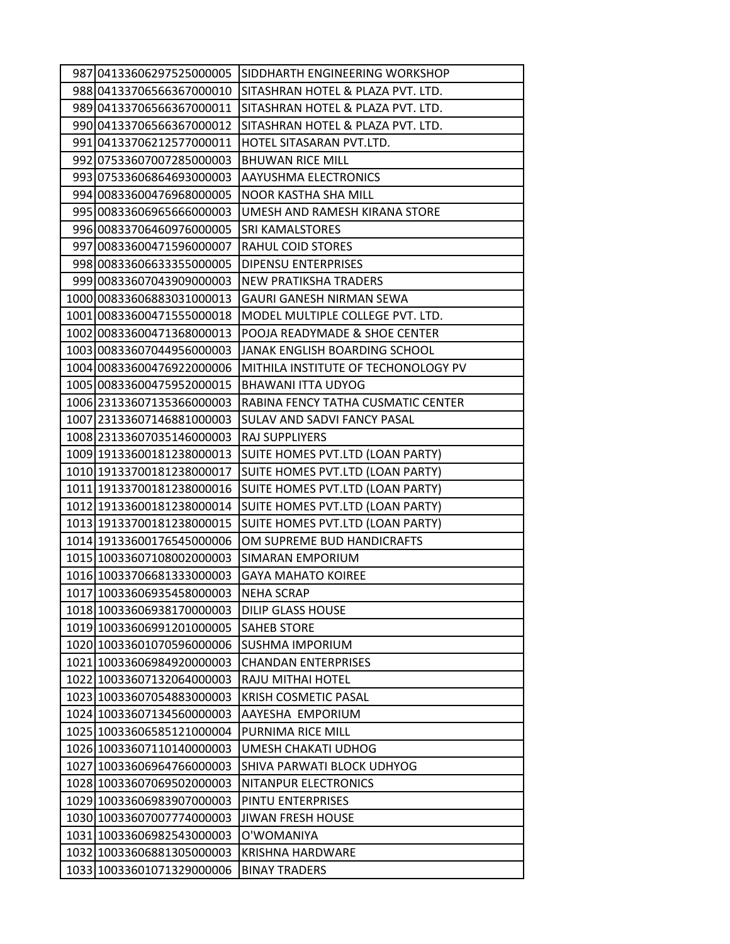| 987 04133606297525000005  | SIDDHARTH ENGINEERING WORKSHOP      |
|---------------------------|-------------------------------------|
| 988 04133706566367000010  | SITASHRAN HOTEL & PLAZA PVT. LTD.   |
| 989 04133706566367000011  | SITASHRAN HOTEL & PLAZA PVT. LTD.   |
| 990 04133706566367000012  | SITASHRAN HOTEL & PLAZA PVT. LTD.   |
| 991 04133706212577000011  | HOTEL SITASARAN PVT.LTD.            |
| 992 07533607007285000003  | <b>BHUWAN RICE MILL</b>             |
| 993 07533606864693000003  | <b>AAYUSHMA ELECTRONICS</b>         |
| 994 00833600476968000005  | NOOR KASTHA SHA MILL                |
| 995 00833606965666000003  | UMESH AND RAMESH KIRANA STORE       |
| 996 00833706460976000005  | <b>SRI KAMALSTORES</b>              |
| 997 00833600471596000007  | <b>RAHUL COID STORES</b>            |
| 998 00833606633355000005  | <b>DIPENSU ENTERPRISES</b>          |
| 999 00833607043909000003  | <b>NEW PRATIKSHA TRADERS</b>        |
| 1000 00833606883031000013 | GAURI GANESH NIRMAN SEWA            |
| 1001 00833600471555000018 | MODEL MULTIPLE COLLEGE PVT. LTD.    |
| 1002 00833600471368000013 | POOJA READYMADE & SHOE CENTER       |
| 1003 00833607044956000003 | JANAK ENGLISH BOARDING SCHOOL       |
| 1004 00833600476922000006 | MITHILA INSTITUTE OF TECHONOLOGY PV |
| 1005 00833600475952000015 | <b>BHAWANI ITTA UDYOG</b>           |
| 1006 23133607135366000003 | RABINA FENCY TATHA CUSMATIC CENTER  |
| 1007 23133607146881000003 | SULAV AND SADVI FANCY PASAL         |
| 1008 23133607035146000003 | RAJ SUPPLIYERS                      |
| 1009 19133600181238000013 | SUITE HOMES PVT.LTD (LOAN PARTY)    |
| 1010 19133700181238000017 | SUITE HOMES PVT.LTD (LOAN PARTY)    |
| 1011 19133700181238000016 | SUITE HOMES PVT.LTD (LOAN PARTY)    |
| 1012 19133600181238000014 | SUITE HOMES PVT.LTD (LOAN PARTY)    |
| 1013 19133700181238000015 | SUITE HOMES PVT.LTD (LOAN PARTY)    |
| 1014 19133600176545000006 | OM SUPREME BUD HANDICRAFTS          |
| 1015 10033607108002000003 | SIMARAN EMPORIUM                    |
| 1016 10033706681333000003 | <b>GAYA MAHATO KOIREE</b>           |
| 1017 10033606935458000003 | <b>NEHA SCRAP</b>                   |
| 1018 10033606938170000003 | <b>DILIP GLASS HOUSE</b>            |
| 1019 10033606991201000005 | <b>SAHEB STORE</b>                  |
| 1020 10033601070596000006 | <b>SUSHMA IMPORIUM</b>              |
| 1021 10033606984920000003 | <b>CHANDAN ENTERPRISES</b>          |
| 1022 10033607132064000003 | RAJU MITHAI HOTEL                   |
| 1023 10033607054883000003 | <b>KRISH COSMETIC PASAL</b>         |
| 1024 10033607134560000003 | AAYESHA EMPORIUM                    |
| 1025 10033606585121000004 | PURNIMA RICE MILL                   |
| 1026 10033607110140000003 | UMESH CHAKATI UDHOG                 |
| 1027 10033606964766000003 | SHIVA PARWATI BLOCK UDHYOG          |
| 1028 10033607069502000003 | NITANPUR ELECTRONICS                |
| 1029 10033606983907000003 | PINTU ENTERPRISES                   |
| 1030 10033607007774000003 | <b>JIWAN FRESH HOUSE</b>            |
| 1031 10033606982543000003 | O'WOMANIYA                          |
| 1032 10033606881305000003 | <b>KRISHNA HARDWARE</b>             |
| 1033 10033601071329000006 | <b>BINAY TRADERS</b>                |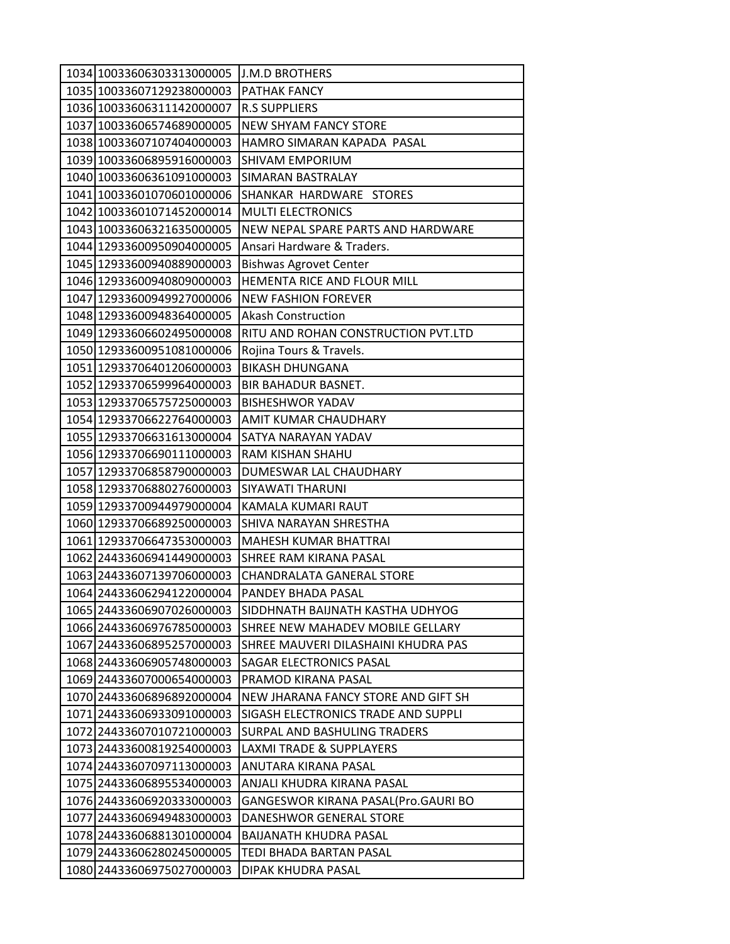| 1034 10033606303313000005 | <b>J.M.D BROTHERS</b>               |
|---------------------------|-------------------------------------|
| 1035 10033607129238000003 | <b>PATHAK FANCY</b>                 |
| 1036 10033606311142000007 | <b>R.S SUPPLIERS</b>                |
| 1037 10033606574689000005 | <b>NEW SHYAM FANCY STORE</b>        |
| 1038 10033607107404000003 | HAMRO SIMARAN KAPADA PASAL          |
| 1039 10033606895916000003 | <b>SHIVAM EMPORIUM</b>              |
| 1040 10033606361091000003 | SIMARAN BASTRALAY                   |
| 1041 10033601070601000006 | SHANKAR HARDWARE STORES             |
| 1042 10033601071452000014 | <b>MULTI ELECTRONICS</b>            |
| 1043 10033606321635000005 | NEW NEPAL SPARE PARTS AND HARDWARE  |
| 1044 12933600950904000005 | Ansari Hardware & Traders.          |
| 1045 12933600940889000003 | <b>Bishwas Agrovet Center</b>       |
| 1046 12933600940809000003 | HEMENTA RICE AND FLOUR MILL         |
| 1047 12933600949927000006 | <b>NEW FASHION FOREVER</b>          |
| 1048 12933600948364000005 | <b>Akash Construction</b>           |
| 1049 12933606602495000008 | RITU AND ROHAN CONSTRUCTION PVT.LTD |
| 1050 12933600951081000006 | Rojina Tours & Travels.             |
| 1051 12933706401206000003 | <b>BIKASH DHUNGANA</b>              |
| 1052 12933706599964000003 | <b>BIR BAHADUR BASNET.</b>          |
| 1053 12933706575725000003 | <b>BISHESHWOR YADAV</b>             |
| 1054 12933706622764000003 | AMIT KUMAR CHAUDHARY                |
| 1055 12933706631613000004 | SATYA NARAYAN YADAV                 |
| 1056 12933706690111000003 | RAM KISHAN SHAHU                    |
| 1057 12933706858790000003 | DUMESWAR LAL CHAUDHARY              |
| 1058 12933706880276000003 | SIYAWATI THARUNI                    |
| 1059 12933700944979000004 | KAMALA KUMARI RAUT                  |
| 1060 12933706689250000003 | SHIVA NARAYAN SHRESTHA              |
| 1061 12933706647353000003 | <b>MAHESH KUMAR BHATTRAI</b>        |
| 1062 24433606941449000003 | SHREE RAM KIRANA PASAL              |
| 1063 24433607139706000003 | CHANDRALATA GANERAL STORE           |
| 1064 24433606294122000004 | PANDEY BHADA PASAL                  |
| 1065 24433606907026000003 | SIDDHNATH BAIJNATH KASTHA UDHYOG    |
| 1066 24433606976785000003 | SHREE NEW MAHADEV MOBILE GELLARY    |
| 1067 24433606895257000003 | SHREE MAUVERI DILASHAINI KHUDRA PAS |
| 1068 24433606905748000003 | SAGAR ELECTRONICS PASAL             |
| 1069 24433607000654000003 | PRAMOD KIRANA PASAL                 |
| 1070 24433606896892000004 | NEW JHARANA FANCY STORE AND GIFT SH |
| 1071 24433606933091000003 | SIGASH ELECTRONICS TRADE AND SUPPLI |
| 1072 24433607010721000003 | SURPAL AND BASHULING TRADERS        |
| 1073 24433600819254000003 | <b>LAXMI TRADE &amp; SUPPLAYERS</b> |
| 1074 24433607097113000003 | ANUTARA KIRANA PASAL                |
| 1075 24433606895534000003 | ANJALI KHUDRA KIRANA PASAL          |
| 1076 24433606920333000003 | GANGESWOR KIRANA PASAL(Pro.GAURI BO |
| 1077 24433606949483000003 | DANESHWOR GENERAL STORE             |
| 1078 24433606881301000004 | BAIJANATH KHUDRA PASAL              |
| 1079 24433606280245000005 | TEDI BHADA BARTAN PASAL             |
| 1080 24433606975027000003 | DIPAK KHUDRA PASAL                  |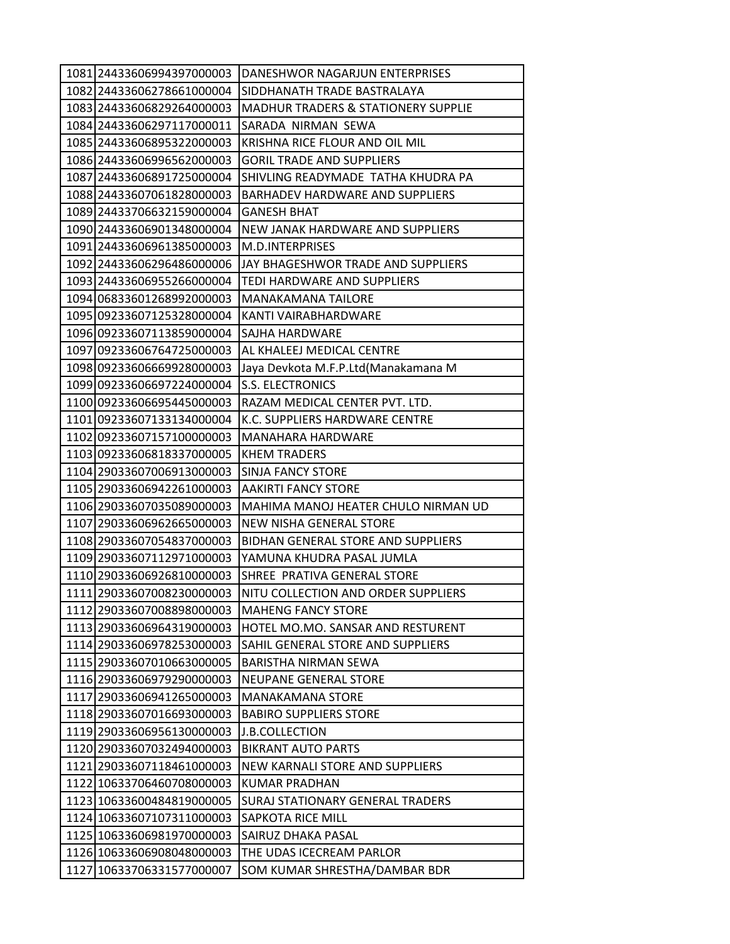| 1081 24433606994397000003 | DANESHWOR NAGARJUN ENTERPRISES                 |
|---------------------------|------------------------------------------------|
| 1082 24433606278661000004 | SIDDHANATH TRADE BASTRALAYA                    |
| 1083 24433606829264000003 | <b>MADHUR TRADERS &amp; STATIONERY SUPPLIE</b> |
| 1084 24433606297117000011 | SARADA NIRMAN SEWA                             |
| 1085 24433606895322000003 | KRISHNA RICE FLOUR AND OIL MIL                 |
| 1086 24433606996562000003 | <b>GORIL TRADE AND SUPPLIERS</b>               |
| 1087 24433606891725000004 | SHIVLING READYMADE TATHA KHUDRA PA             |
| 1088 24433607061828000003 | BARHADEV HARDWARE AND SUPPLIERS                |
| 1089 24433706632159000004 | <b>GANESH BHAT</b>                             |
| 1090 24433606901348000004 | NEW JANAK HARDWARE AND SUPPLIERS               |
| 1091 24433606961385000003 | M.D.INTERPRISES                                |
| 1092 24433606296486000006 | JAY BHAGESHWOR TRADE AND SUPPLIERS             |
| 1093 24433606955266000004 | TEDI HARDWARE AND SUPPLIERS                    |
| 1094 06833601268992000003 | <b>MANAKAMANA TAILORE</b>                      |
| 1095 09233607125328000004 | KANTI VAIRABHARDWARE                           |
| 1096 09233607113859000004 | SAJHA HARDWARE                                 |
| 1097 09233606764725000003 | AL KHALEEJ MEDICAL CENTRE                      |
| 1098 09233606669928000003 | Jaya Devkota M.F.P.Ltd(Manakamana M            |
| 1099 09233606697224000004 | <b>S.S. ELECTRONICS</b>                        |
| 1100 09233606695445000003 | RAZAM MEDICAL CENTER PVT. LTD.                 |
| 1101 09233607133134000004 | K.C. SUPPLIERS HARDWARE CENTRE                 |
| 1102 09233607157100000003 | MANAHARA HARDWARE                              |
| 1103 09233606818337000005 | <b>KHEM TRADERS</b>                            |
| 1104 29033607006913000003 | <b>SINJA FANCY STORE</b>                       |
| 1105 29033606942261000003 | <b>AAKIRTI FANCY STORE</b>                     |
| 1106 29033607035089000003 | MAHIMA MANOJ HEATER CHULO NIRMAN UD            |
| 1107 29033606962665000003 | NEW NISHA GENERAL STORE                        |
| 1108 29033607054837000003 | BIDHAN GENERAL STORE AND SUPPLIERS             |
| 1109 29033607112971000003 | YAMUNA KHUDRA PASAL JUMLA                      |
| 1110 29033606926810000003 | SHREE PRATIVA GENERAL STORE                    |
| 1111 29033607008230000003 | NITU COLLECTION AND ORDER SUPPLIERS            |
| 1112 29033607008898000003 | <b>MAHENG FANCY STORE</b>                      |
| 1113 29033606964319000003 | HOTEL MO.MO. SANSAR AND RESTURENT              |
| 1114 29033606978253000003 | SAHIL GENERAL STORE AND SUPPLIERS              |
| 1115 29033607010663000005 | <b>BARISTHA NIRMAN SEWA</b>                    |
| 1116 29033606979290000003 | <b>NEUPANE GENERAL STORE</b>                   |
| 1117 29033606941265000003 | <b>MANAKAMANA STORE</b>                        |
| 1118 29033607016693000003 | <b>BABIRO SUPPLIERS STORE</b>                  |
| 1119 29033606956130000003 | J.B.COLLECTION                                 |
| 1120 29033607032494000003 | <b>BIKRANT AUTO PARTS</b>                      |
| 1121 29033607118461000003 | NEW KARNALI STORE AND SUPPLIERS                |
| 1122 10633706460708000003 | <b>KUMAR PRADHAN</b>                           |
| 1123 10633600484819000005 | SURAJ STATIONARY GENERAL TRADERS               |
| 1124 10633607107311000003 | SAPKOTA RICE MILL                              |
| 1125 10633606981970000003 | SAIRUZ DHAKA PASAL                             |
| 1126 10633606908048000003 | THE UDAS ICECREAM PARLOR                       |
| 1127 10633706331577000007 | SOM KUMAR SHRESTHA/DAMBAR BDR                  |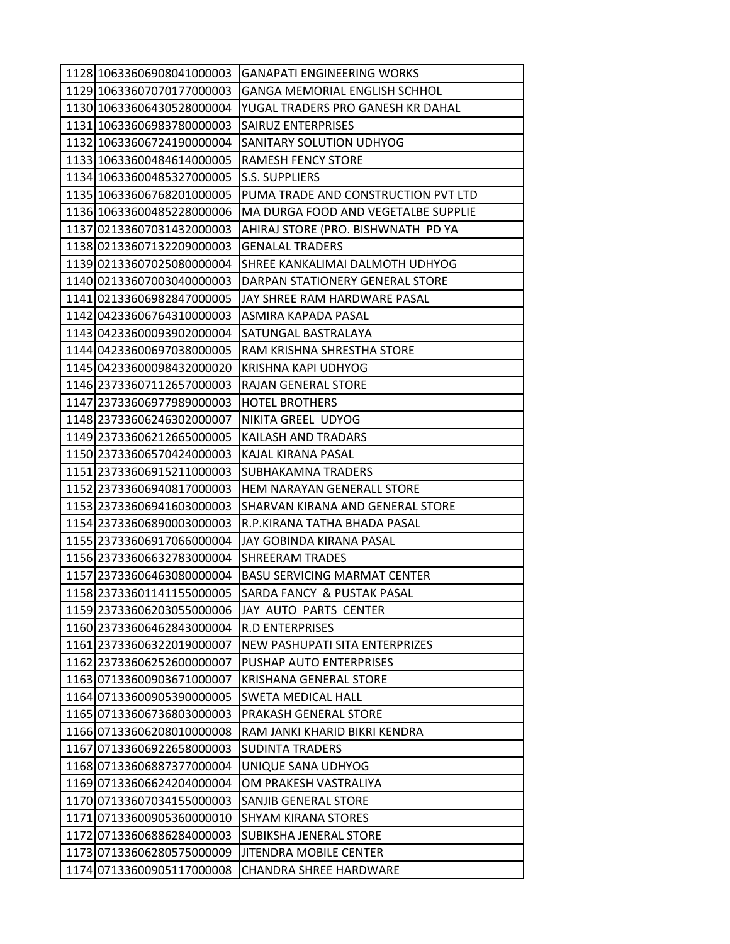| 1128 10633606908041000003 | <b>GANAPATI ENGINEERING WORKS</b>    |
|---------------------------|--------------------------------------|
| 1129 10633607070177000003 | <b>GANGA MEMORIAL ENGLISH SCHHOL</b> |
| 1130 10633606430528000004 | YUGAL TRADERS PRO GANESH KR DAHAL    |
| 1131 10633606983780000003 | <b>SAIRUZ ENTERPRISES</b>            |
| 1132 10633606724190000004 | SANITARY SOLUTION UDHYOG             |
| 1133 10633600484614000005 | <b>RAMESH FENCY STORE</b>            |
| 1134 10633600485327000005 | <b>S.S. SUPPLIERS</b>                |
| 1135 10633606768201000005 | PUMA TRADE AND CONSTRUCTION PVT LTD  |
| 1136 10633600485228000006 | MA DURGA FOOD AND VEGETALBE SUPPLIE  |
| 1137 02133607031432000003 | AHIRAJ STORE (PRO. BISHWNATH PD YA   |
| 1138 02133607132209000003 | <b>GENALAL TRADERS</b>               |
| 1139 02133607025080000004 | SHREE KANKALIMAI DALMOTH UDHYOG      |
| 1140 02133607003040000003 | DARPAN STATIONERY GENERAL STORE      |
| 1141 02133606982847000005 | JAY SHREE RAM HARDWARE PASAL         |
| 1142 04233606764310000003 | ASMIRA KAPADA PASAL                  |
| 1143 04233600093902000004 | SATUNGAL BASTRALAYA                  |
| 1144 04233600697038000005 | RAM KRISHNA SHRESTHA STORE           |
| 1145 04233600098432000020 | KRISHNA KAPI UDHYOG                  |
| 1146 23733607112657000003 | RAJAN GENERAL STORE                  |
| 1147 23733606977989000003 | <b>HOTEL BROTHERS</b>                |
| 1148 23733606246302000007 | NIKITA GREEL UDYOG                   |
| 1149 23733606212665000005 | KAILASH AND TRADARS                  |
| 1150 23733606570424000003 | KAJAL KIRANA PASAL                   |
| 1151 23733606915211000003 | <b>SUBHAKAMNA TRADERS</b>            |
| 1152 23733606940817000003 | HEM NARAYAN GENERALL STORE           |
| 1153 23733606941603000003 | SHARVAN KIRANA AND GENERAL STORE     |
| 1154 23733606890003000003 | R.P.KIRANA TATHA BHADA PASAL         |
| 1155 23733606917066000004 | JAY GOBINDA KIRANA PASAL             |
| 1156 23733606632783000004 | <b>SHREERAM TRADES</b>               |
| 1157 23733606463080000004 | <b>BASU SERVICING MARMAT CENTER</b>  |
| 1158 23733601141155000005 | SARDA FANCY & PUSTAK PASAL           |
| 1159 23733606203055000006 | JAY AUTO PARTS CENTER                |
| 1160 23733606462843000004 | <b>R.D ENTERPRISES</b>               |
| 1161 23733606322019000007 | NEW PASHUPATI SITA ENTERPRIZES       |
| 1162 23733606252600000007 | PUSHAP AUTO ENTERPRISES              |
| 1163 07133600903671000007 | <b>KRISHANA GENERAL STORE</b>        |
| 1164 07133600905390000005 | <b>SWETA MEDICAL HALL</b>            |
| 1165 07133606736803000003 | PRAKASH GENERAL STORE                |
| 1166 07133606208010000008 | RAM JANKI KHARID BIKRI KENDRA        |
| 1167 07133606922658000003 | <b>SUDINTA TRADERS</b>               |
| 1168 07133606887377000004 | UNIQUE SANA UDHYOG                   |
| 1169 07133606624204000004 | OM PRAKESH VASTRALIYA                |
| 1170007133607034155000003 | SANJIB GENERAL STORE                 |
| 1171 07133600905360000010 | <b>SHYAM KIRANA STORES</b>           |
| 1172 07133606886284000003 | <b>SUBIKSHA JENERAL STORE</b>        |
| 1173 07133606280575000009 | <b>JITENDRA MOBILE CENTER</b>        |
| 1174 07133600905117000008 | <b>CHANDRA SHREE HARDWARE</b>        |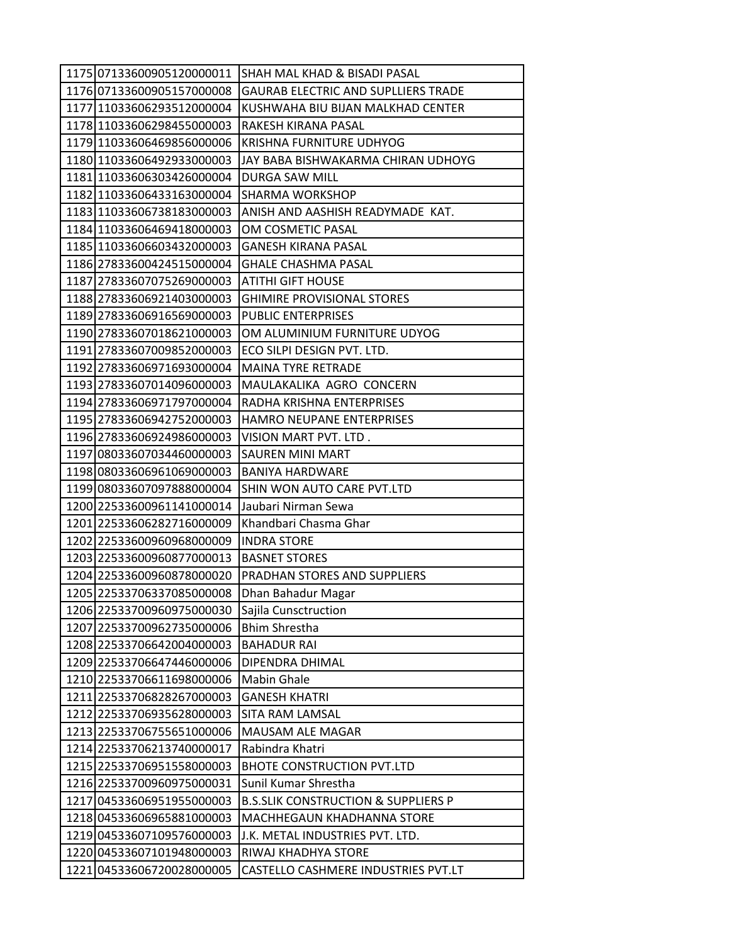| 1175 07133600905120000011 | <b>SHAH MAL KHAD &amp; BISADI PASAL</b>        |
|---------------------------|------------------------------------------------|
| 1176 07133600905157000008 | GAURAB ELECTRIC AND SUPLLIERS TRADE            |
| 1177 11033606293512000004 | KUSHWAHA BIU BIJAN MALKHAD CENTER              |
| 1178 11033606298455000003 | RAKESH KIRANA PASAL                            |
| 1179 11033606469856000006 | KRISHNA FURNITURE UDHYOG                       |
| 1180 11033606492933000003 | JAY BABA BISHWAKARMA CHIRAN UDHOYG             |
| 1181 11033606303426000004 | DURGA SAW MILL                                 |
| 1182 11033606433163000004 | <b>SHARMA WORKSHOP</b>                         |
| 1183 11033606738183000003 | ANISH AND AASHISH READYMADE KAT.               |
| 1184 11033606469418000003 | OM COSMETIC PASAL                              |
| 1185 11033606603432000003 | <b>GANESH KIRANA PASAL</b>                     |
| 1186 27833600424515000004 | <b>GHALE CHASHMA PASAL</b>                     |
| 1187 27833607075269000003 | ATITHI GIFT HOUSE                              |
| 1188 27833606921403000003 | <b>GHIMIRE PROVISIONAL STORES</b>              |
| 1189 27833606916569000003 | <b>PUBLIC ENTERPRISES</b>                      |
| 1190 27833607018621000003 | OM ALUMINIUM FURNITURE UDYOG                   |
| 1191 27833607009852000003 | ECO SILPI DESIGN PVT. LTD.                     |
| 1192 27833606971693000004 | <b>MAINA TYRE RETRADE</b>                      |
| 1193 27833607014096000003 | MAULAKALIKA AGRO CONCERN                       |
| 1194 27833606971797000004 | RADHA KRISHNA ENTERPRISES                      |
| 1195 27833606942752000003 | HAMRO NEUPANE ENTERPRISES                      |
| 1196 27833606924986000003 | VISION MART PVT. LTD.                          |
| 1197 08033607034460000003 | SAUREN MINI MART                               |
| 1198 08033606961069000003 | <b>BANIYA HARDWARE</b>                         |
| 1199 08033607097888000004 | SHIN WON AUTO CARE PVT.LTD                     |
| 1200 22533600961141000014 | Jaubari Nirman Sewa                            |
| 1201 22533606282716000009 | Khandbari Chasma Ghar                          |
| 1202 22533600960968000009 | <b>INDRA STORE</b>                             |
| 1203 22533600960877000013 | <b>BASNET STORES</b>                           |
| 1204 22533600960878000020 | PRADHAN STORES AND SUPPLIERS                   |
| 1205 22533706337085000008 | Dhan Bahadur Magar                             |
| 1206 22533700960975000030 | Sajila Cunsctruction                           |
| 1207 22533700962735000006 | <b>Bhim Shrestha</b>                           |
| 1208 22533706642004000003 | <b>BAHADUR RAI</b>                             |
| 1209 22533706647446000006 | DIPENDRA DHIMAL                                |
| 1210 22533706611698000006 | <b>Mabin Ghale</b>                             |
| 1211 22533706828267000003 | <b>GANESH KHATRI</b>                           |
| 1212 22533706935628000003 | SITA RAM LAMSAL                                |
| 1213 22533706755651000006 | <b>MAUSAM ALE MAGAR</b>                        |
| 1214 22533706213740000017 | Rabindra Khatri                                |
| 1215 22533706951558000003 | <b>BHOTE CONSTRUCTION PVT.LTD</b>              |
| 1216 22533700960975000031 | Sunil Kumar Shrestha                           |
| 1217 04533606951955000003 | <b>B.S.SLIK CONSTRUCTION &amp; SUPPLIERS P</b> |
| 1218 04533606965881000003 | MACHHEGAUN KHADHANNA STORE                     |
| 1219 04533607109576000003 | J.K. METAL INDUSTRIES PVT. LTD.                |
| 1220 04533607101948000003 | RIWAJ KHADHYA STORE                            |
| 1221 04533606720028000005 | CASTELLO CASHMERE INDUSTRIES PVT.LT            |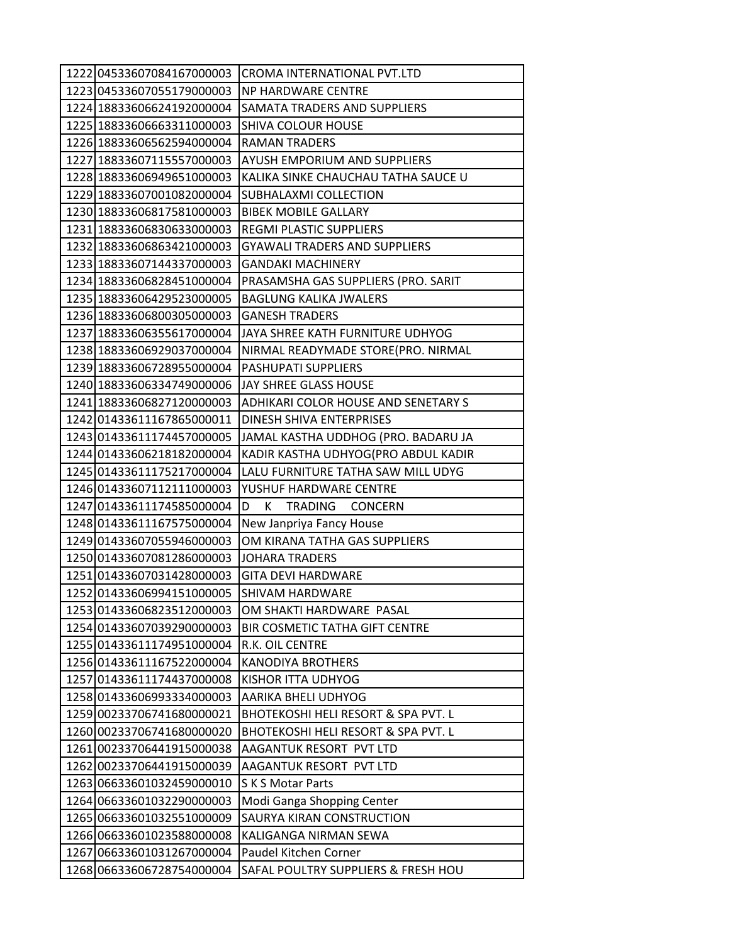| 1222 04533607084167000003 | CROMA INTERNATIONAL PVT.LTD          |
|---------------------------|--------------------------------------|
| 1223 04533607055179000003 | NP HARDWARE CENTRE                   |
| 1224 18833606624192000004 | SAMATA TRADERS AND SUPPLIERS         |
| 1225 18833606663311000003 | <b>SHIVA COLOUR HOUSE</b>            |
| 1226 18833606562594000004 | <b>RAMAN TRADERS</b>                 |
| 1227 18833607115557000003 | AYUSH EMPORIUM AND SUPPLIERS         |
| 1228 18833606949651000003 | KALIKA SINKE CHAUCHAU TATHA SAUCE U  |
| 1229 18833607001082000004 | SUBHALAXMI COLLECTION                |
| 1230 18833606817581000003 | <b>BIBEK MOBILE GALLARY</b>          |
| 1231 18833606830633000003 | <b>REGMI PLASTIC SUPPLIERS</b>       |
| 1232 18833606863421000003 | <b>GYAWALI TRADERS AND SUPPLIERS</b> |
| 1233 18833607144337000003 | <b>GANDAKI MACHINERY</b>             |
| 1234 18833606828451000004 | PRASAMSHA GAS SUPPLIERS (PRO. SARIT  |
| 1235 18833606429523000005 | <b>BAGLUNG KALIKA JWALERS</b>        |
| 1236 18833606800305000003 | <b>GANESH TRADERS</b>                |
| 1237 18833606355617000004 | JAYA SHREE KATH FURNITURE UDHYOG     |
| 1238 18833606929037000004 | NIRMAL READYMADE STORE(PRO. NIRMAL   |
| 1239 18833606728955000004 | PASHUPATI SUPPLIERS                  |
| 1240 18833606334749000006 | JAY SHREE GLASS HOUSE                |
| 1241 18833606827120000003 | ADHIKARI COLOR HOUSE AND SENETARY S  |
| 1242 01433611167865000011 | DINESH SHIVA ENTERPRISES             |
| 1243 01433611174457000005 | JAMAL KASTHA UDDHOG (PRO. BADARU JA  |
| 1244 01433606218182000004 | KADIR KASTHA UDHYOG(PRO ABDUL KADIR  |
| 1245 01433611175217000004 | LALU FURNITURE TATHA SAW MILL UDYG   |
| 1246 01433607112111000003 | YUSHUF HARDWARE CENTRE               |
| 1247 01433611174585000004 | D<br>К<br><b>TRADING</b><br>CONCERN  |
| 1248 01433611167575000004 | New Janpriya Fancy House             |
| 1249 01433607055946000003 | OM KIRANA TATHA GAS SUPPLIERS        |
| 1250 01433607081286000003 | <b>JOHARA TRADERS</b>                |
| 1251 01433607031428000003 | <b>GITA DEVI HARDWARE</b>            |
| 1252 01433606994151000005 | <b>SHIVAM HARDWARE</b>               |
| 1253 01433606823512000003 | OM SHAKTI HARDWARE PASAL             |
| 1254 01433607039290000003 | BIR COSMETIC TATHA GIFT CENTRE       |
| 1255 01433611174951000004 | R.K. OIL CENTRE                      |
| 125601433611167522000004  | <b>KANODIYA BROTHERS</b>             |
| 1257 01433611174437000008 | KISHOR ITTA UDHYOG                   |
| 1258 01433606993334000003 | AARIKA BHELI UDHYOG                  |
| 1259 00233706741680000021 | BHOTEKOSHI HELI RESORT & SPA PVT. L  |
| 1260 00233706741680000020 | BHOTEKOSHI HELI RESORT & SPA PVT. L  |
| 1261 00233706441915000038 | AAGANTUK RESORT PVT LTD              |
| 1262 00233706441915000039 | AAGANTUK RESORT PVT LTD              |
| 1263 06633601032459000010 | S K S Motar Parts                    |
| 1264 06633601032290000003 | Modi Ganga Shopping Center           |
| 1265 06633601032551000009 | SAURYA KIRAN CONSTRUCTION            |
| 1266 06633601023588000008 | KALIGANGA NIRMAN SEWA                |
| 1267 06633601031267000004 | Paudel Kitchen Corner                |
| 1268 06633606728754000004 | SAFAL POULTRY SUPPLIERS & FRESH HOU  |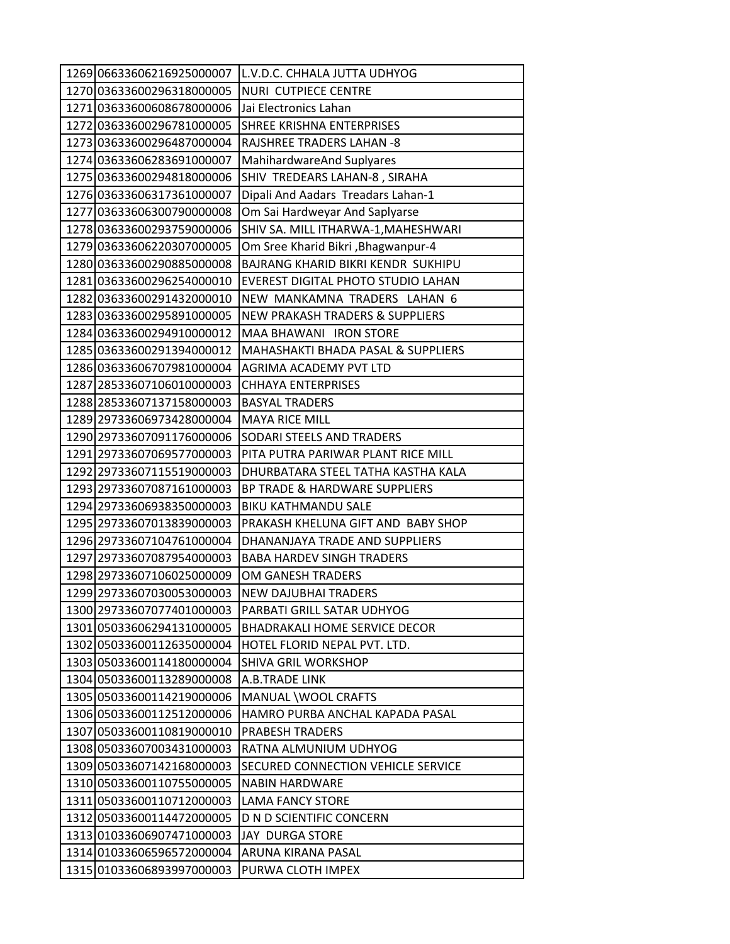|  | 1269 06633606216925000007 | L.V.D.C. CHHALA JUTTA UDHYOG               |
|--|---------------------------|--------------------------------------------|
|  | 1270 03633600296318000005 | NURI CUTPIECE CENTRE                       |
|  | 1271 03633600608678000006 | Jai Electronics Lahan                      |
|  | 1272 03633600296781000005 | SHREE KRISHNA ENTERPRISES                  |
|  | 1273 03633600296487000004 | RAJSHREE TRADERS LAHAN -8                  |
|  | 1274 03633606283691000007 | MahihardwareAnd Suplyares                  |
|  | 1275 03633600294818000006 | SHIV TREDEARS LAHAN-8, SIRAHA              |
|  | 1276 03633606317361000007 | Dipali And Aadars Treadars Lahan-1         |
|  | 1277 03633606300790000008 | Om Sai Hardweyar And Saplyarse             |
|  | 1278 03633600293759000006 | SHIV SA. MILL ITHARWA-1, MAHESHWARI        |
|  | 1279 03633606220307000005 | Om Sree Kharid Bikri, Bhagwanpur-4         |
|  | 1280 03633600290885000008 | BAJRANG KHARID BIKRI KENDR SUKHIPU         |
|  | 128103633600296254000010  | EVEREST DIGITAL PHOTO STUDIO LAHAN         |
|  | 1282 03633600291432000010 | NEW MANKAMNA TRADERS LAHAN 6               |
|  | 1283 03633600295891000005 | <b>NEW PRAKASH TRADERS &amp; SUPPLIERS</b> |
|  | 1284 03633600294910000012 | MAA BHAWANI IRON STORE                     |
|  | 1285 03633600291394000012 | MAHASHAKTI BHADA PASAL & SUPPLIERS         |
|  | 1286 03633606707981000004 | AGRIMA ACADEMY PVT LTD                     |
|  | 1287 28533607106010000003 | <b>CHHAYA ENTERPRISES</b>                  |
|  | 1288 28533607137158000003 | <b>BASYAL TRADERS</b>                      |
|  | 1289 29733606973428000004 | <b>MAYA RICE MILL</b>                      |
|  | 1290 29733607091176000006 | SODARI STEELS AND TRADERS                  |
|  | 1291 29733607069577000003 | PITA PUTRA PARIWAR PLANT RICE MILL         |
|  | 1292 29733607115519000003 | DHURBATARA STEEL TATHA KASTHA KALA         |
|  | 1293 29733607087161000003 | BP TRADE & HARDWARE SUPPLIERS              |
|  | 1294 29733606938350000003 | <b>BIKU KATHMANDU SALE</b>                 |
|  | 1295 29733607013839000003 | PRAKASH KHELUNA GIFT AND BABY SHOP         |
|  | 1296 29733607104761000004 | DHANANJAYA TRADE AND SUPPLIERS             |
|  | 1297 29733607087954000003 | <b>BABA HARDEV SINGH TRADERS</b>           |
|  | 1298 29733607106025000009 | OM GANESH TRADERS                          |
|  | 1299 29733607030053000003 | <b>NEW DAJUBHAI TRADERS</b>                |
|  | 1300 29733607077401000003 | PARBATI GRILL SATAR UDHYOG                 |
|  | 1301 05033606294131000005 | <b>BHADRAKALI HOME SERVICE DECOR</b>       |
|  | 1302 05033600112635000004 | HOTEL FLORID NEPAL PVT. LTD.               |
|  | 1303 05033600114180000004 | SHIVA GRIL WORKSHOP                        |
|  | 1304 05033600113289000008 | A.B.TRADE LINK                             |
|  | 1305 05033600114219000006 | MANUAL \WOOL CRAFTS                        |
|  | 1306 05033600112512000006 | HAMRO PURBA ANCHAL KAPADA PASAL            |
|  | 1307 05033600110819000010 | PRABESH TRADERS                            |
|  | 1308 05033607003431000003 | RATNA ALMUNIUM UDHYOG                      |
|  | 1309 05033607142168000003 | SECURED CONNECTION VEHICLE SERVICE         |
|  | 1310 05033600110755000005 | <b>NABIN HARDWARE</b>                      |
|  | 1311 05033600110712000003 | <b>LAMA FANCY STORE</b>                    |
|  | 1312 05033600114472000005 | <b>D N D SCIENTIFIC CONCERN</b>            |
|  | 1313 01033606907471000003 | <b>JAY DURGA STORE</b>                     |
|  | 1314 01033606596572000004 | ARUNA KIRANA PASAL                         |
|  | 1315 01033606893997000003 | PURWA CLOTH IMPEX                          |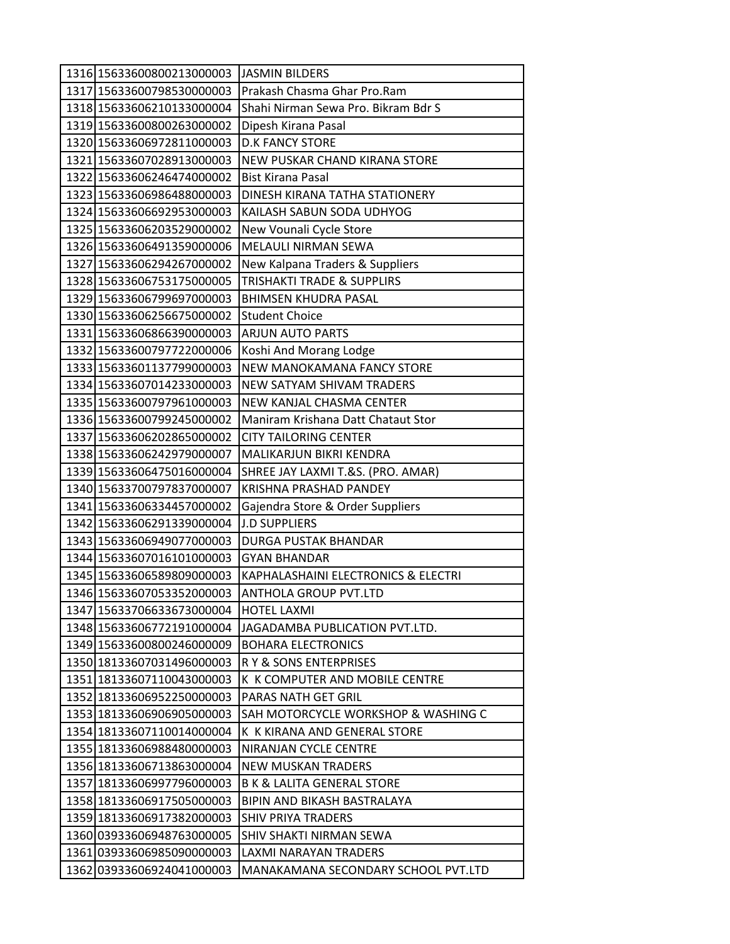| 1316 15633600800213000003 | <b>JASMIN BILDERS</b>                 |
|---------------------------|---------------------------------------|
| 1317 15633600798530000003 | Prakash Chasma Ghar Pro.Ram           |
| 1318 15633606210133000004 | Shahi Nirman Sewa Pro. Bikram Bdr S   |
| 1319 15633600800263000002 | Dipesh Kirana Pasal                   |
| 1320 15633606972811000003 | <b>D.K FANCY STORE</b>                |
| 1321 15633607028913000003 | NEW PUSKAR CHAND KIRANA STORE         |
| 1322 15633606246474000002 | <b>Bist Kirana Pasal</b>              |
| 1323 15633606986488000003 | DINESH KIRANA TATHA STATIONERY        |
| 1324 15633606692953000003 | KAILASH SABUN SODA UDHYOG             |
| 1325 15633606203529000002 | New Vounali Cycle Store               |
| 1326 15633606491359000006 | <b>MELAULI NIRMAN SEWA</b>            |
| 1327 15633606294267000002 | New Kalpana Traders & Suppliers       |
| 1328 15633606753175000005 | <b>TRISHAKTI TRADE &amp; SUPPLIRS</b> |
| 1329 15633606799697000003 | <b>BHIMSEN KHUDRA PASAL</b>           |
| 1330 15633606256675000002 | <b>Student Choice</b>                 |
| 1331 15633606866390000003 | <b>ARJUN AUTO PARTS</b>               |
| 1332 15633600797722000006 | Koshi And Morang Lodge                |
| 1333 15633601137799000003 | NEW MANOKAMANA FANCY STORE            |
| 1334 15633607014233000003 | NEW SATYAM SHIVAM TRADERS             |
| 1335 15633600797961000003 | NEW KANJAL CHASMA CENTER              |
| 1336 15633600799245000002 | Maniram Krishana Datt Chataut Stor    |
| 1337 15633606202865000002 | <b>CITY TAILORING CENTER</b>          |
| 1338 15633606242979000007 | MALIKARJUN BIKRI KENDRA               |
| 1339 15633606475016000004 | SHREE JAY LAXMI T.&S. (PRO. AMAR)     |
| 1340 15633700797837000007 | <b>KRISHNA PRASHAD PANDEY</b>         |
| 1341 15633606334457000002 | Gajendra Store & Order Suppliers      |
| 1342 15633606291339000004 | <b>J.D SUPPLIERS</b>                  |
| 1343 15633606949077000003 | <b>DURGA PUSTAK BHANDAR</b>           |
| 1344 15633607016101000003 | <b>GYAN BHANDAR</b>                   |
| 1345 15633606589809000003 | KAPHALASHAINI ELECTRONICS & ELECTRI   |
| 1346 15633607053352000003 | <b>ANTHOLA GROUP PVT.LTD</b>          |
| 1347 15633706633673000004 | <b>HOTEL LAXMI</b>                    |
| 1348 15633606772191000004 | JAGADAMBA PUBLICATION PVT.LTD.        |
| 1349 15633600800246000009 | <b>BOHARA ELECTRONICS</b>             |
| 1350 18133607031496000003 | R Y & SONS ENTERPRISES                |
| 1351 18133607110043000003 | K K COMPUTER AND MOBILE CENTRE        |
| 1352 18133606952250000003 | PARAS NATH GET GRIL                   |
| 1353 18133606906905000003 | SAH MOTORCYCLE WORKSHOP & WASHING C   |
| 1354 18133607110014000004 | K K KIRANA AND GENERAL STORE          |
| 1355 18133606988480000003 | NIRANJAN CYCLE CENTRE                 |
| 1356 18133606713863000004 | NEW MUSKAN TRADERS                    |
| 1357 18133606997796000003 | <b>B K &amp; LALITA GENERAL STORE</b> |
| 1358 18133606917505000003 | BIPIN AND BIKASH BASTRALAYA           |
| 1359 18133606917382000003 | <b>SHIV PRIYA TRADERS</b>             |
| 1360 03933606948763000005 | SHIV SHAKTI NIRMAN SEWA               |
| 1361 03933606985090000003 | LAXMI NARAYAN TRADERS                 |
| 1362 03933606924041000003 | MANAKAMANA SECONDARY SCHOOL PVT.LTD   |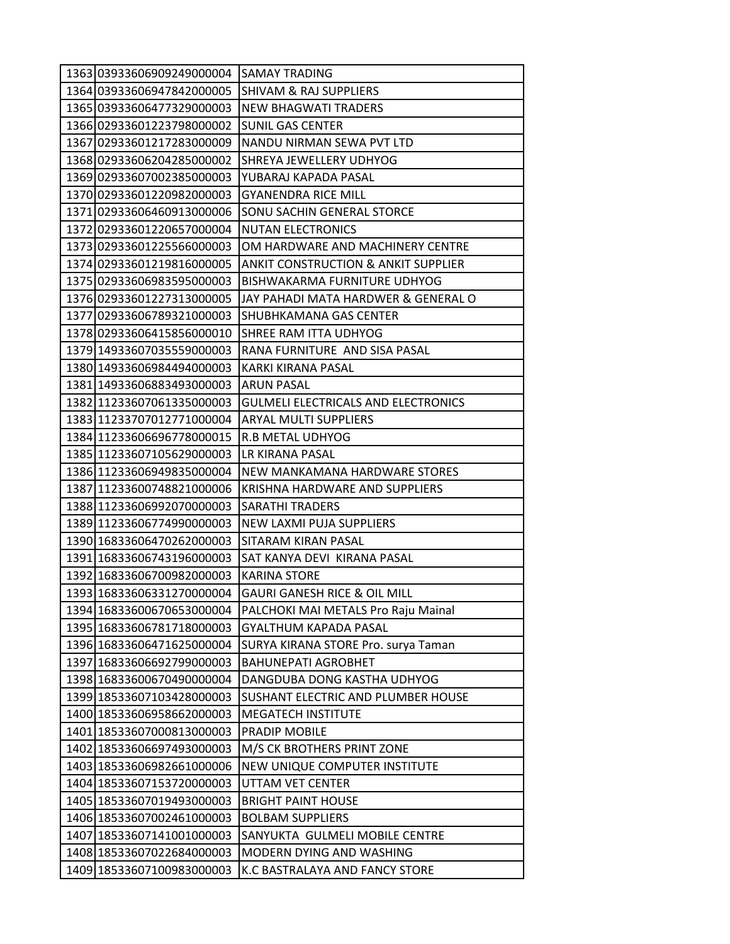| 1363 03933606909249000004 | <b>SAMAY TRADING</b>                           |
|---------------------------|------------------------------------------------|
| 1364 03933606947842000005 | <b>SHIVAM &amp; RAJ SUPPLIERS</b>              |
| 1365 03933606477329000003 | <b>NEW BHAGWATI TRADERS</b>                    |
| 1366 02933601223798000002 | <b>SUNIL GAS CENTER</b>                        |
| 1367 02933601217283000009 | NANDU NIRMAN SEWA PVT LTD                      |
| 1368 02933606204285000002 | SHREYA JEWELLERY UDHYOG                        |
| 1369 02933607002385000003 | YUBARAJ KAPADA PASAL                           |
| 1370 02933601220982000003 | <b>GYANENDRA RICE MILL</b>                     |
| 1371 02933606460913000006 | <b>SONU SACHIN GENERAL STORCE</b>              |
| 1372 02933601220657000004 | <b>NUTAN ELECTRONICS</b>                       |
| 1373 02933601225566000003 | OM HARDWARE AND MACHINERY CENTRE               |
| 1374 02933601219816000005 | <b>ANKIT CONSTRUCTION &amp; ANKIT SUPPLIER</b> |
| 1375 02933606983595000003 | BISHWAKARMA FURNITURE UDHYOG                   |
| 1376 02933601227313000005 | JAY PAHADI MATA HARDWER & GENERAL O            |
| 1377 02933606789321000003 | SHUBHKAMANA GAS CENTER                         |
| 1378 02933606415856000010 | SHREE RAM ITTA UDHYOG                          |
| 1379 14933607035559000003 | RANA FURNITURE AND SISA PASAL                  |
| 1380 14933606984494000003 | KARKI KIRANA PASAL                             |
| 1381 14933606883493000003 | <b>ARUN PASAL</b>                              |
| 1382 11233607061335000003 | <b>GULMELI ELECTRICALS AND ELECTRONICS</b>     |
| 1383 11233707012771000004 | <b>ARYAL MULTI SUPPLIERS</b>                   |
| 1384 11233606696778000015 | R.B METAL UDHYOG                               |
| 1385 11233607105629000003 | LR KIRANA PASAL                                |
| 1386 11233606949835000004 | NEW MANKAMANA HARDWARE STORES                  |
| 1387 11233600748821000006 | KRISHNA HARDWARE AND SUPPLIERS                 |
| 1388 11233606992070000003 | <b>SARATHI TRADERS</b>                         |
| 1389 11233606774990000003 | NEW LAXMI PUJA SUPPLIERS                       |
| 1390 16833606470262000003 | SITARAM KIRAN PASAL                            |
| 1391 16833606743196000003 | SAT KANYA DEVI KIRANA PASAL                    |
| 1392 16833606700982000003 | <b>KARINA STORE</b>                            |
| 1393 16833606331270000004 | <b>GAURI GANESH RICE &amp; OIL MILL</b>        |
| 1394 16833600670653000004 | PALCHOKI MAI METALS Pro Raju Mainal            |
| 1395 16833606781718000003 | GYALTHUM KAPADA PASAL                          |
| 1396 16833606471625000004 | SURYA KIRANA STORE Pro. surya Taman            |
| 1397 16833606692799000003 | <b>BAHUNEPATI AGROBHET</b>                     |
| 1398 16833600670490000004 | DANGDUBA DONG KASTHA UDHYOG                    |
| 1399 18533607103428000003 | SUSHANT ELECTRIC AND PLUMBER HOUSE             |
| 1400 18533606958662000003 | <b>MEGATECH INSTITUTE</b>                      |
| 1401 18533607000813000003 | PRADIP MOBILE                                  |
| 1402 18533606697493000003 | M/S CK BROTHERS PRINT ZONE                     |
| 1403 18533606982661000006 | NEW UNIQUE COMPUTER INSTITUTE                  |
| 1404 18533607153720000003 | UTTAM VET CENTER                               |
| 1405 18533607019493000003 | <b>BRIGHT PAINT HOUSE</b>                      |
| 1406 18533607002461000003 | <b>BOLBAM SUPPLIERS</b>                        |
| 1407 18533607141001000003 | SANYUKTA GULMELI MOBILE CENTRE                 |
| 1408 18533607022684000003 | MODERN DYING AND WASHING                       |
| 1409 18533607100983000003 | K.C BASTRALAYA AND FANCY STORE                 |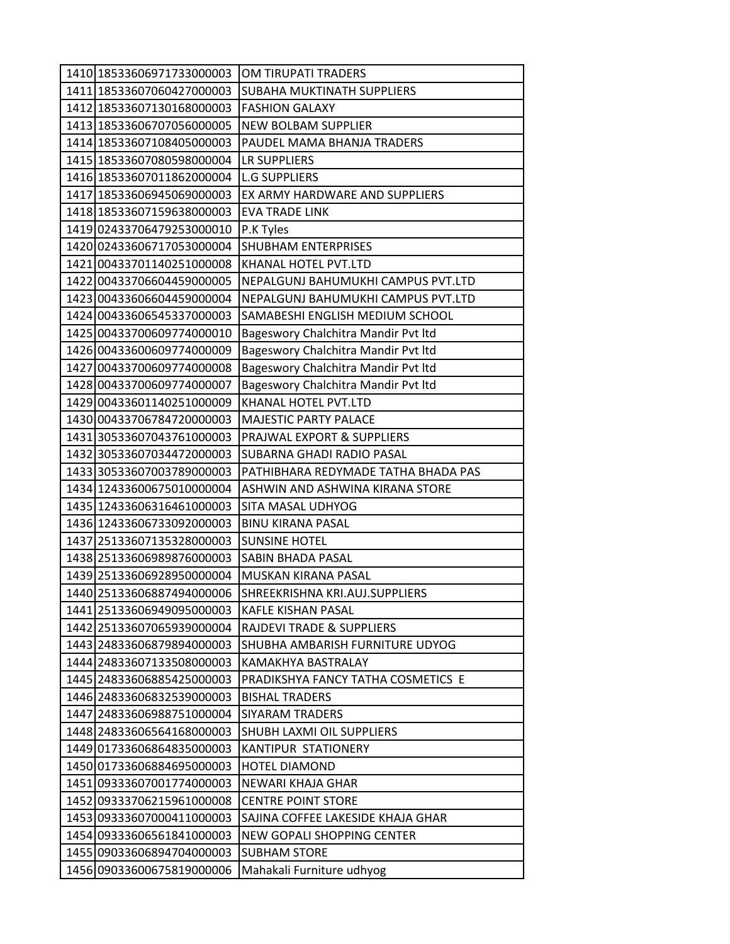| 1410 18533606971733000003                              | OM TIRUPATI TRADERS                                             |
|--------------------------------------------------------|-----------------------------------------------------------------|
| 1411 18533607060427000003                              | SUBAHA MUKTINATH SUPPLIERS                                      |
| 1412 18533607130168000003                              | <b>FASHION GALAXY</b>                                           |
| 1413 18533606707056000005                              | <b>NEW BOLBAM SUPPLIER</b>                                      |
| 1414 18533607108405000003                              | PAUDEL MAMA BHANJA TRADERS                                      |
| 1415 18533607080598000004                              | LR SUPPLIERS                                                    |
| 1416 18533607011862000004                              | <b>L.G SUPPLIERS</b>                                            |
| 1417 18533606945069000003                              | EX ARMY HARDWARE AND SUPPLIERS                                  |
| 1418 18533607159638000003                              | <b>EVA TRADE LINK</b>                                           |
| 1419 02433706479253000010                              | P.K Tyles                                                       |
| 1420 02433606717053000004                              | <b>SHUBHAM ENTERPRISES</b>                                      |
| 1421 00433701140251000008                              | KHANAL HOTEL PVT.LTD                                            |
| 1422 00433706604459000005                              | NEPALGUNJ BAHUMUKHI CAMPUS PVT.LTD                              |
| 1423 00433606604459000004                              | NEPALGUNJ BAHUMUKHI CAMPUS PVT.LTD                              |
| 1424 00433606545337000003                              | SAMABESHI ENGLISH MEDIUM SCHOOL                                 |
| 1425 00433700609774000010                              | Bageswory Chalchitra Mandir Pvt ltd                             |
| 1426 00433600609774000009                              | Bageswory Chalchitra Mandir Pvt Itd                             |
| 1427 00433700609774000008                              | Bageswory Chalchitra Mandir Pvt ltd                             |
| 1428 00433700609774000007                              | Bageswory Chalchitra Mandir Pvt Itd                             |
| 1429 00433601140251000009                              | KHANAL HOTEL PVT.LTD                                            |
| 1430 00433706784720000003                              | MAJESTIC PARTY PALACE                                           |
| 1431 30533607043761000003                              | PRAJWAL EXPORT & SUPPLIERS                                      |
| 1432 30533607034472000003                              | SUBARNA GHADI RADIO PASAL                                       |
| 1433 30533607003789000003                              | PATHIBHARA REDYMADE TATHA BHADA PAS                             |
| 1434 12433600675010000004                              | ASHWIN AND ASHWINA KIRANA STORE                                 |
| 1435 12433606316461000003                              | SITA MASAL UDHYOG                                               |
| 1436 12433606733092000003                              | <b>BINU KIRANA PASAL</b>                                        |
| 1437 25133607135328000003                              | <b>SUNSINE HOTEL</b>                                            |
| 1438 25133606989876000003                              | SABIN BHADA PASAL                                               |
| 1439 25133606928950000004                              | <b>MUSKAN KIRANA PASAL</b>                                      |
| 1440 25133606887494000006                              | SHREEKRISHNA KRI.AUJ.SUPPLIERS                                  |
| 1441 25133606949095000003                              | <b>KAFLE KISHAN PASAL</b>                                       |
| 1442 25133607065939000004                              | <b>RAJDEVI TRADE &amp; SUPPLIERS</b>                            |
| 1443 24833606879894000003                              | SHUBHA AMBARISH FURNITURE UDYOG                                 |
| 1444 24833607133508000003                              | KAMAKHYA BASTRALAY                                              |
| 1445 24833606885425000003                              | PRADIKSHYA FANCY TATHA COSMETICS E                              |
| 1446 24833606832539000003                              | <b>BISHAL TRADERS</b>                                           |
| 1447 24833606988751000004                              | <b>SIYARAM TRADERS</b>                                          |
| 1448 24833606564168000003                              | SHUBH LAXMI OIL SUPPLIERS                                       |
| 1449 01733606864835000003                              | KANTIPUR STATIONERY                                             |
| 1450 01733606884695000003                              | <b>HOTEL DIAMOND</b>                                            |
| 1451 09333607001774000003                              | NEWARI KHAJA GHAR                                               |
| 1452 09333706215961000008                              | <b>CENTRE POINT STORE</b>                                       |
| 1453 09333607000411000003<br>1454 09333606561841000003 | SAJINA COFFEE LAKESIDE KHAJA GHAR<br>NEW GOPALI SHOPPING CENTER |
|                                                        | <b>SUBHAM STORE</b>                                             |
| 1455 09033606894704000003                              |                                                                 |
| 1456 09033600675819000006                              | Mahakali Furniture udhyog                                       |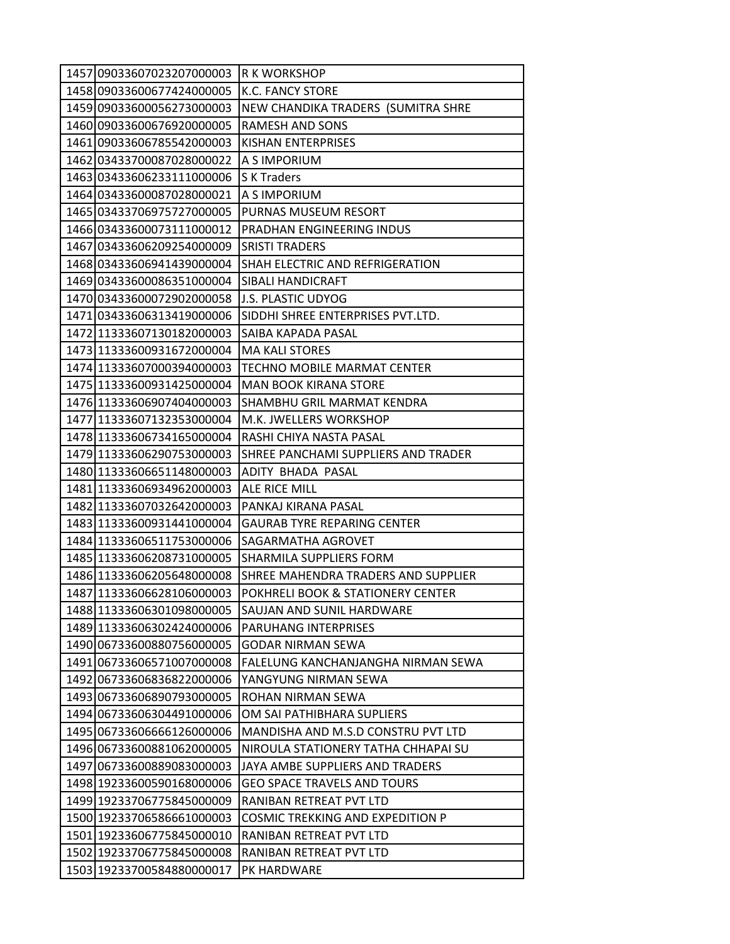| 1457 09033607023207000003 | R K WORKSHOP                            |
|---------------------------|-----------------------------------------|
| 1458 09033600677424000005 | K.C. FANCY STORE                        |
| 1459 09033600056273000003 | NEW CHANDIKA TRADERS (SUMITRA SHRE      |
| 1460 09033600676920000005 | <b>RAMESH AND SONS</b>                  |
| 1461 09033606785542000003 | KISHAN ENTERPRISES                      |
| 1462 03433700087028000022 | A S IMPORIUM                            |
| 1463 03433606233111000006 | S K Traders                             |
| 1464 03433600087028000021 | A S IMPORIUM                            |
| 1465 03433706975727000005 | PURNAS MUSEUM RESORT                    |
| 1466 03433600073111000012 | PRADHAN ENGINEERING INDUS               |
| 1467 03433606209254000009 | <b>SRISTI TRADERS</b>                   |
| 1468 03433606941439000004 | SHAH ELECTRIC AND REFRIGERATION         |
| 1469 03433600086351000004 | SIBALI HANDICRAFT                       |
| 1470 03433600072902000058 | J.S. PLASTIC UDYOG                      |
| 1471 03433606313419000006 | SIDDHI SHREE ENTERPRISES PVT.LTD.       |
| 1472 11333607130182000003 | SAIBA KAPADA PASAL                      |
| 1473 11333600931672000004 | <b>MA KALI STORES</b>                   |
| 1474 11333607000394000003 | <b>TECHNO MOBILE MARMAT CENTER</b>      |
| 1475 11333600931425000004 | <b>MAN BOOK KIRANA STORE</b>            |
| 1476 11333606907404000003 | SHAMBHU GRIL MARMAT KENDRA              |
| 1477 11333607132353000004 | M.K. JWELLERS WORKSHOP                  |
| 1478 11333606734165000004 | RASHI CHIYA NASTA PASAL                 |
| 1479 11333606290753000003 | SHREE PANCHAMI SUPPLIERS AND TRADER     |
| 1480 11333606651148000003 | ADITY BHADA PASAL                       |
| 1481 11333606934962000003 | ALE RICE MILL                           |
| 1482 11333607032642000003 | PANKAJ KIRANA PASAL                     |
| 1483 11333600931441000004 | GAURAB TYRE REPARING CENTER             |
| 1484 11333606511753000006 | SAGARMATHA AGROVET                      |
| 1485 11333606208731000005 | SHARMILA SUPPLIERS FORM                 |
| 1486 11333606205648000008 | SHREE MAHENDRA TRADERS AND SUPPLIER     |
| 1487 11333606628106000003 | POKHRELI BOOK & STATIONERY CENTER       |
| 1488 11333606301098000005 | SAUJAN AND SUNIL HARDWARE               |
| 1489 11333606302424000006 | <b>PARUHANG INTERPRISES</b>             |
| 1490 06733600880756000005 | GODAR NIRMAN SEWA                       |
| 1491 06733606571007000008 | FALELUNG KANCHANJANGHA NIRMAN SEWA      |
| 1492 06733606836822000006 | YANGYUNG NIRMAN SEWA                    |
| 1493 06733606890793000005 | ROHAN NIRMAN SEWA                       |
| 1494 06733606304491000006 | OM SAI PATHIBHARA SUPLIERS              |
| 1495 06733606666126000006 | MANDISHA AND M.S.D CONSTRU PVT LTD      |
| 1496 06733600881062000005 | NIROULA STATIONERY TATHA CHHAPAI SU     |
| 1497 06733600889083000003 | JAYA AMBE SUPPLIERS AND TRADERS         |
| 1498 19233600590168000006 | <b>GEO SPACE TRAVELS AND TOURS</b>      |
| 1499 19233706775845000009 | RANIBAN RETREAT PVT LTD                 |
| 1500 19233706586661000003 | <b>COSMIC TREKKING AND EXPEDITION P</b> |
| 1501 19233606775845000010 | RANIBAN RETREAT PVT LTD                 |
| 1502 19233706775845000008 | RANIBAN RETREAT PVT LTD                 |
| 1503 19233700584880000017 | PK HARDWARE                             |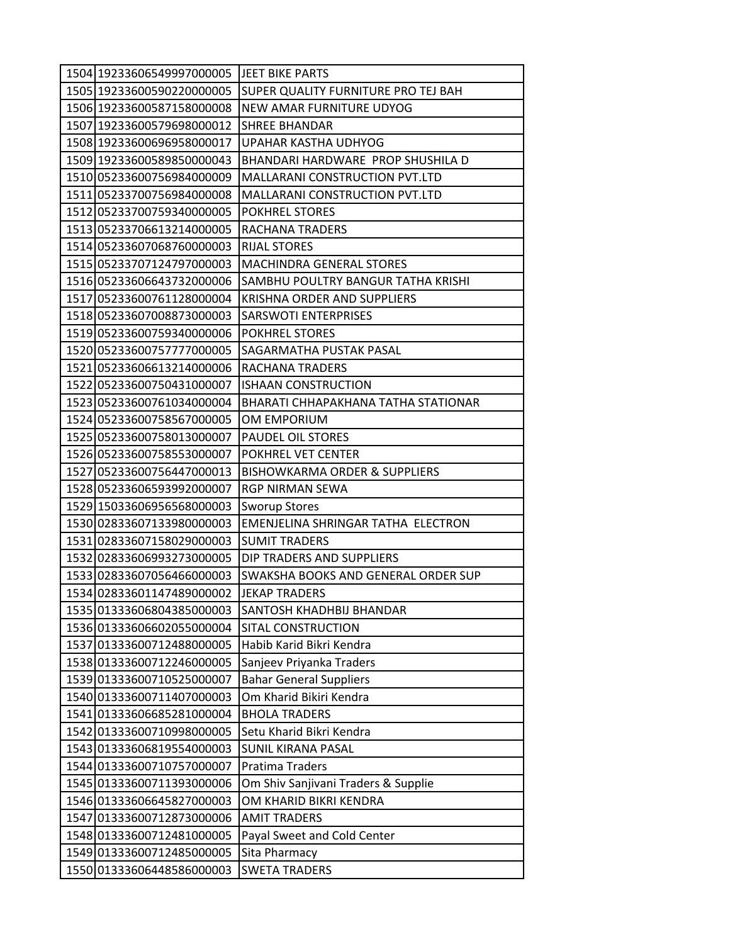| 1504 19233606549997000005 JEET BIKE PARTS |                                          |
|-------------------------------------------|------------------------------------------|
| 1505 19233600590220000005                 | SUPER QUALITY FURNITURE PRO TEJ BAH      |
| 1506 19233600587158000008                 | NEW AMAR FURNITURE UDYOG                 |
| 1507 19233600579698000012                 | <b>SHREE BHANDAR</b>                     |
| 1508 19233600696958000017                 | UPAHAR KASTHA UDHYOG                     |
| 1509 19233600589850000043                 | BHANDARI HARDWARE PROP SHUSHILA D        |
| 1510 05233600756984000009                 | MALLARANI CONSTRUCTION PVT.LTD           |
| 1511 05233700756984000008                 | <b>MALLARANI CONSTRUCTION PVT.LTD</b>    |
| 1512 05233700759340000005                 | <b>POKHREL STORES</b>                    |
| 1513 05233706613214000005                 | RACHANA TRADERS                          |
| 1514 05233607068760000003                 | <b>RIJAL STORES</b>                      |
| 1515 05233707124797000003                 | <b>MACHINDRA GENERAL STORES</b>          |
| 1516 05233606643732000006                 | SAMBHU POULTRY BANGUR TATHA KRISHI       |
| 1517 05233600761128000004                 | KRISHNA ORDER AND SUPPLIERS              |
| 1518 05233607008873000003                 | <b>SARSWOTI ENTERPRISES</b>              |
| 1519 05233600759340000006                 | <b>POKHREL STORES</b>                    |
| 1520 05233600757777000005                 | SAGARMATHA PUSTAK PASAL                  |
| 1521 05233606613214000006                 | RACHANA TRADERS                          |
| 1522 05233600750431000007                 | <b>ISHAAN CONSTRUCTION</b>               |
| 1523 05233600761034000004                 | BHARATI CHHAPAKHANA TATHA STATIONAR      |
| 1524 05233600758567000005                 | OM EMPORIUM                              |
| 1525 05233600758013000007                 | PAUDEL OIL STORES                        |
| 1526 05233600758553000007                 | POKHREL VET CENTER                       |
| 1527 05233600756447000013                 | <b>BISHOWKARMA ORDER &amp; SUPPLIERS</b> |
| 1528 05233606593992000007                 | <b>RGP NIRMAN SEWA</b>                   |
| 1529 15033606956568000003                 | <b>Sworup Stores</b>                     |
| 1530 02833607133980000003                 | EMENJELINA SHRINGAR TATHA ELECTRON       |
| 1531 02833607158029000003                 | <b>SUMIT TRADERS</b>                     |
| 1532 02833606993273000005                 | DIP TRADERS AND SUPPLIERS                |
| 1533 02833607056466000003                 | SWAKSHA BOOKS AND GENERAL ORDER SUP      |
| 1534 02833601147489000002                 | <b>JEKAP TRADERS</b>                     |
| 1535 01333606804385000003                 | SANTOSH KHADHBIJ BHANDAR                 |
| 1536 01333606602055000004                 | SITAL CONSTRUCTION                       |
| 1537 01333600712488000005                 | Habib Karid Bikri Kendra                 |
| 1538 01333600712246000005                 | Sanjeev Priyanka Traders                 |
| 1539 01333600710525000007                 | <b>Bahar General Suppliers</b>           |
| 1540 01333600711407000003                 | Om Kharid Bikiri Kendra                  |
| 1541 01333606685281000004                 | <b>BHOLA TRADERS</b>                     |
| 1542 01333600710998000005                 | Setu Kharid Bikri Kendra                 |
| 1543 01333606819554000003                 | <b>SUNIL KIRANA PASAL</b>                |
| 1544 01333600710757000007                 | <b>Pratima Traders</b>                   |
| 1545 01333600711393000006                 | Om Shiv Sanjivani Traders & Supplie      |
| 1546 01333606645827000003                 | OM KHARID BIKRI KENDRA                   |
| 1547 01333600712873000006                 | <b>AMIT TRADERS</b>                      |
| 1548 01333600712481000005                 | Payal Sweet and Cold Center              |
| 1549 01333600712485000005                 | Sita Pharmacy                            |
| 1550 01333606448586000003                 | <b>SWETA TRADERS</b>                     |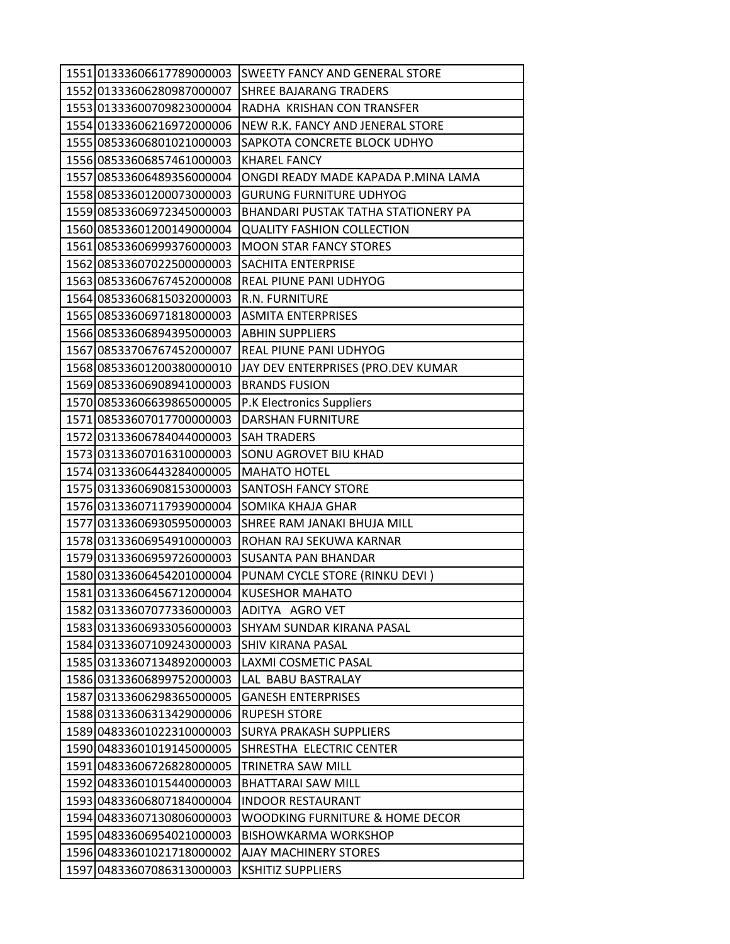| 1551 01333606617789000003                              | <b>SWEETY FANCY AND GENERAL STORE</b>      |
|--------------------------------------------------------|--------------------------------------------|
| 1552 01333606280987000007                              | <b>SHREE BAJARANG TRADERS</b>              |
| 1553 01333600709823000004                              | RADHA KRISHAN CON TRANSFER                 |
| 1554 01333606216972000006                              | NEW R.K. FANCY AND JENERAL STORE           |
| 1555 08533606801021000003                              | SAPKOTA CONCRETE BLOCK UDHYO               |
| 1556 08533606857461000003                              | <b>KHAREL FANCY</b>                        |
| 1557 08533606489356000004                              | ONGDI READY MADE KAPADA P.MINA LAMA        |
| 1558 08533601200073000003                              | <b>GURUNG FURNITURE UDHYOG</b>             |
| 1559 08533606972345000003                              | BHANDARI PUSTAK TATHA STATIONERY PA        |
| 1560 08533601200149000004                              | <b>QUALITY FASHION COLLECTION</b>          |
| 1561 08533606999376000003                              | <b>MOON STAR FANCY STORES</b>              |
| 1562 08533607022500000003                              | SACHITA ENTERPRISE                         |
| 1563 08533606767452000008                              | REAL PIUNE PANI UDHYOG                     |
| 1564 08533606815032000003                              | R.N. FURNITURE                             |
| 1565 08533606971818000003                              | <b>ASMITA ENTERPRISES</b>                  |
| 1566 08533606894395000003                              | <b>ABHIN SUPPLIERS</b>                     |
| 1567 08533706767452000007                              | <b>REAL PIUNE PANI UDHYOG</b>              |
| 1568 08533601200380000010                              | JAY DEV ENTERPRISES (PRO.DEV KUMAR         |
| 1569 08533606908941000003                              | <b>BRANDS FUSION</b>                       |
| 1570 08533606639865000005                              | P.K Electronics Suppliers                  |
| 1571 08533607017700000003                              | <b>DARSHAN FURNITURE</b>                   |
| 1572 03133606784044000003                              | <b>SAH TRADERS</b>                         |
| 1573 03133607016310000003                              | SONU AGROVET BIU KHAD                      |
| 1574 03133606443284000005                              | <b>MAHATO HOTEL</b>                        |
| 1575 03133606908153000003                              | <b>SANTOSH FANCY STORE</b>                 |
| 1576 03133607117939000004                              | <b>SOMIKA KHAJA GHAR</b>                   |
| 1577 03133606930595000003                              | SHREE RAM JANAKI BHUJA MILL                |
| 1578 03133606954910000003                              | ROHAN RAJ SEKUWA KARNAR                    |
| 1579 03133606959726000003                              | <b>SUSANTA PAN BHANDAR</b>                 |
| 1580 03133606454201000004                              | PUNAM CYCLE STORE (RINKU DEVI)             |
| 1581 03133606456712000004                              | <b>KUSESHOR MAHATO</b>                     |
| 1582 03133607077336000003                              | ADITYA AGRO VET                            |
| 1583 03133606933056000003                              | <b>SHYAM SUNDAR KIRANA PASAL</b>           |
| 1584 03133607109243000003                              | <b>SHIV KIRANA PASAL</b>                   |
| 1585 03133607134892000003<br>1586 03133606899752000003 | LAXMI COSMETIC PASAL<br>LAL BABU BASTRALAY |
| 1587 03133606298365000005                              | <b>GANESH ENTERPRISES</b>                  |
| 1588 03133606313429000006                              | <b>RUPESH STORE</b>                        |
| 1589 04833601022310000003                              | <b>SURYA PRAKASH SUPPLIERS</b>             |
| 1590 04833601019145000005                              | SHRESTHA ELECTRIC CENTER                   |
| 1591 04833606726828000005                              | TRINETRA SAW MILL                          |
| 1592 04833601015440000003                              | <b>BHATTARAI SAW MILL</b>                  |
| 1593 04833606807184000004                              | <b>INDOOR RESTAURANT</b>                   |
| 1594 04833607130806000003                              | WOODKING FURNITURE & HOME DECOR            |
| 1595 04833606954021000003                              | <b>BISHOWKARMA WORKSHOP</b>                |
| 1596 04833601021718000002                              | <b>AJAY MACHINERY STORES</b>               |
| 1597 04833607086313000003                              | <b>KSHITIZ SUPPLIERS</b>                   |
|                                                        |                                            |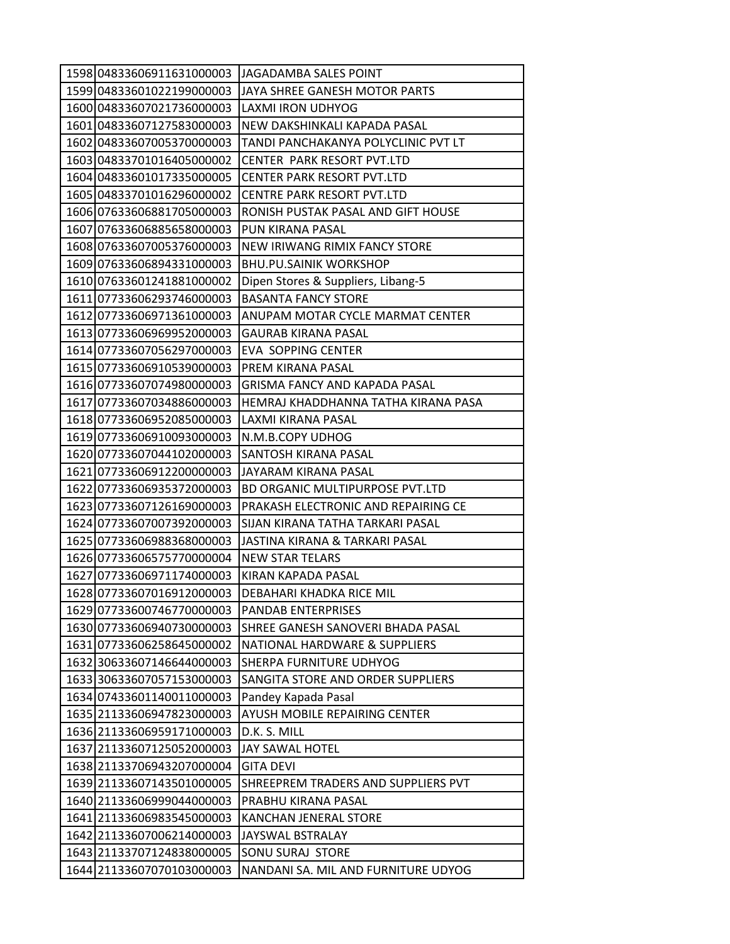| 1598 04833606911631000003 | <b>JAGADAMBA SALES POINT</b>         |
|---------------------------|--------------------------------------|
| 1599 04833601022199000003 | JAYA SHREE GANESH MOTOR PARTS        |
| 1600 04833607021736000003 | LAXMI IRON UDHYOG                    |
| 1601 04833607127583000003 | NEW DAKSHINKALI KAPADA PASAL         |
| 1602 04833607005370000003 | TANDI PANCHAKANYA POLYCLINIC PVT LT  |
| 1603 04833701016405000002 | <b>CENTER PARK RESORT PVT.LTD</b>    |
| 1604 04833601017335000005 | <b>CENTER PARK RESORT PVT.LTD</b>    |
| 1605 04833701016296000002 | CENTRE PARK RESORT PVT.LTD           |
| 1606 07633606881705000003 | RONISH PUSTAK PASAL AND GIFT HOUSE   |
| 1607 07633606885658000003 | PUN KIRANA PASAL                     |
| 1608 07633607005376000003 | NEW IRIWANG RIMIX FANCY STORE        |
| 1609 07633606894331000003 | <b>BHU.PU.SAINIK WORKSHOP</b>        |
| 1610 07633601241881000002 | Dipen Stores & Suppliers, Libang-5   |
| 1611 07733606293746000003 | <b>BASANTA FANCY STORE</b>           |
| 1612 07733606971361000003 | ANUPAM MOTAR CYCLE MARMAT CENTER     |
| 1613 07733606969952000003 | <b>GAURAB KIRANA PASAL</b>           |
| 1614 07733607056297000003 | EVA SOPPING CENTER                   |
| 1615 07733606910539000003 | PREM KIRANA PASAL                    |
| 1616 07733607074980000003 | <b>GRISMA FANCY AND KAPADA PASAL</b> |
| 1617 07733607034886000003 | HEMRAJ KHADDHANNA TATHA KIRANA PASA  |
| 1618 07733606952085000003 | LAXMI KIRANA PASAL                   |
| 1619 07733606910093000003 | N.M.B.COPY UDHOG                     |
| 1620 07733607044102000003 | SANTOSH KIRANA PASAL                 |
| 1621 07733606912200000003 | JAYARAM KIRANA PASAL                 |
| 1622 07733606935372000003 | BD ORGANIC MULTIPURPOSE PVT.LTD      |
| 1623 07733607126169000003 | PRAKASH ELECTRONIC AND REPAIRING CE  |
| 1624 07733607007392000003 | SIJAN KIRANA TATHA TARKARI PASAL     |
| 1625 07733606988368000003 | JASTINA KIRANA & TARKARI PASAL       |
| 1626 07733606575770000004 | <b>NEW STAR TELARS</b>               |
| 1627 07733606971174000003 | KIRAN KAPADA PASAL                   |
| 1628 07733607016912000003 | DEBAHARI KHADKA RICE MIL             |
| 1629 07733600746770000003 | <b>PANDAB ENTERPRISES</b>            |
| 1630 07733606940730000003 | SHREE GANESH SANOVERI BHADA PASAL    |
| 1631 07733606258645000002 | NATIONAL HARDWARE & SUPPLIERS        |
| 1632 30633607146644000003 | SHERPA FURNITURE UDHYOG              |
| 1633 30633607057153000003 | SANGITA STORE AND ORDER SUPPLIERS    |
| 1634 07433601140011000003 | Pandey Kapada Pasal                  |
| 1635 21133606947823000003 | AYUSH MOBILE REPAIRING CENTER        |
| 1636 21133606959171000003 | D.K. S. MILL                         |
| 1637 21133607125052000003 | <b>JAY SAWAL HOTEL</b>               |
| 1638 21133706943207000004 | <b>GITA DEVI</b>                     |
| 1639 21133607143501000005 | SHREEPREM TRADERS AND SUPPLIERS PVT  |
| 1640 21133606999044000003 | PRABHU KIRANA PASAL                  |
| 1641 21133606983545000003 | KANCHAN JENERAL STORE                |
| 1642 21133607006214000003 | JAYSWAL BSTRALAY                     |
| 1643 21133707124838000005 | SONU SURAJ STORE                     |
| 1644 21133607070103000003 | NANDANI SA. MIL AND FURNITURE UDYOG  |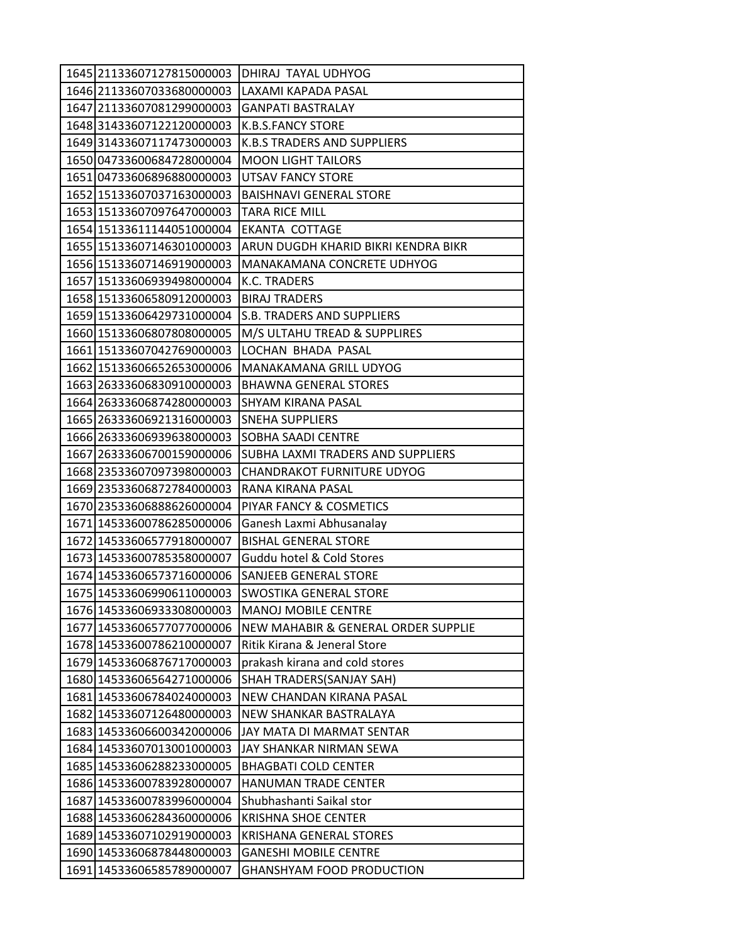| 1645 21133607127815000003 | DHIRAJ TAYAL UDHYOG                 |
|---------------------------|-------------------------------------|
| 1646 21133607033680000003 | LAXAMI KAPADA PASAL                 |
| 1647 21133607081299000003 | <b>GANPATI BASTRALAY</b>            |
| 1648 31433607122120000003 | <b>K.B.S.FANCY STORE</b>            |
| 1649 31433607117473000003 | <b>K.B.S TRADERS AND SUPPLIERS</b>  |
| 1650 04733600684728000004 | <b>MOON LIGHT TAILORS</b>           |
| 1651 04733606896880000003 | <b>UTSAV FANCY STORE</b>            |
| 1652 15133607037163000003 | <b>BAISHNAVI GENERAL STORE</b>      |
| 1653 15133607097647000003 | <b>TARA RICE MILL</b>               |
| 1654 15133611144051000004 | <b>EKANTA COTTAGE</b>               |
| 1655 15133607146301000003 | ARUN DUGDH KHARID BIKRI KENDRA BIKR |
| 1656 15133607146919000003 | MANAKAMANA CONCRETE UDHYOG          |
| 1657 15133606939498000004 | K.C. TRADERS                        |
| 1658 15133606580912000003 | <b>BIRAJ TRADERS</b>                |
| 1659 15133606429731000004 | S.B. TRADERS AND SUPPLIERS          |
| 1660 15133606807808000005 | M/S ULTAHU TREAD & SUPPLIRES        |
| 1661 15133607042769000003 | LOCHAN BHADA PASAL                  |
| 1662 15133606652653000006 | MANAKAMANA GRILL UDYOG              |
| 1663 26333606830910000003 | <b>BHAWNA GENERAL STORES</b>        |
| 1664 26333606874280000003 | SHYAM KIRANA PASAL                  |
| 1665 26333606921316000003 | <b>SNEHA SUPPLIERS</b>              |
| 1666 26333606939638000003 | SOBHA SAADI CENTRE                  |
| 1667 26333606700159000006 | SUBHA LAXMI TRADERS AND SUPPLIERS   |
| 1668 23533607097398000003 | <b>CHANDRAKOT FURNITURE UDYOG</b>   |
| 1669 23533606872784000003 | RANA KIRANA PASAL                   |
| 1670 23533606888626000004 | PIYAR FANCY & COSMETICS             |
| 1671 14533600786285000006 | Ganesh Laxmi Abhusanalay            |
| 1672 14533606577918000007 | <b>BISHAL GENERAL STORE</b>         |
| 1673 14533600785358000007 | Guddu hotel & Cold Stores           |
| 1674 14533606573716000006 | SANJEEB GENERAL STORE               |
| 1675 14533606990611000003 | SWOSTIKA GENERAL STORE              |
| 1676 14533606933308000003 | <b>MANOJ MOBILE CENTRE</b>          |
| 1677 14533606577077000006 | NEW MAHABIR & GENERAL ORDER SUPPLIE |
| 1678 14533600786210000007 | Ritik Kirana & Jeneral Store        |
| 1679 14533606876717000003 | prakash kirana and cold stores      |
| 1680 14533606564271000006 | SHAH TRADERS(SANJAY SAH)            |
| 1681 14533606784024000003 | NEW CHANDAN KIRANA PASAL            |
| 1682 14533607126480000003 | NEW SHANKAR BASTRALAYA              |
| 1683 14533606600342000006 | JAY MATA DI MARMAT SENTAR           |
| 1684 14533607013001000003 | JAY SHANKAR NIRMAN SEWA             |
| 1685 14533606288233000005 | <b>BHAGBATI COLD CENTER</b>         |
| 1686 14533600783928000007 | HANUMAN TRADE CENTER                |
| 1687 14533600783996000004 | Shubhashanti Saikal stor            |
| 1688 14533606284360000006 | <b>KRISHNA SHOE CENTER</b>          |
| 1689 14533607102919000003 | <b>KRISHANA GENERAL STORES</b>      |
| 1690 14533606878448000003 | <b>GANESHI MOBILE CENTRE</b>        |
| 1691 14533606585789000007 | <b>GHANSHYAM FOOD PRODUCTION</b>    |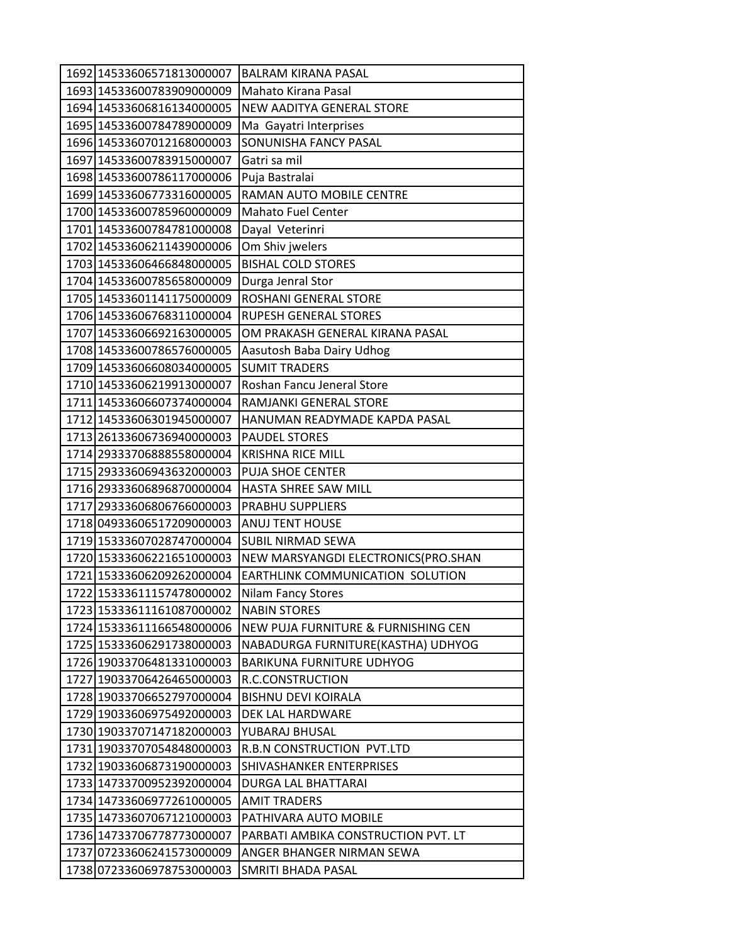| 1692 14533606571813000007 | <b>BALRAM KIRANA PASAL</b>          |
|---------------------------|-------------------------------------|
| 1693 14533600783909000009 | Mahato Kirana Pasal                 |
| 1694 14533606816134000005 | NEW AADITYA GENERAL STORE           |
| 1695 14533600784789000009 | Ma Gayatri Interprises              |
| 1696 14533607012168000003 | SONUNISHA FANCY PASAL               |
| 1697 14533600783915000007 | Gatri sa mil                        |
| 1698 14533600786117000006 | Puja Bastralai                      |
| 1699 14533606773316000005 | RAMAN AUTO MOBILE CENTRE            |
| 1700 14533600785960000009 | <b>Mahato Fuel Center</b>           |
| 1701 14533600784781000008 | Dayal Veterinri                     |
| 1702 14533606211439000006 | Om Shiv jwelers                     |
| 1703 14533606466848000005 | <b>BISHAL COLD STORES</b>           |
| 1704 14533600785658000009 | Durga Jenral Stor                   |
| 1705 14533601141175000009 | ROSHANI GENERAL STORE               |
| 1706 14533606768311000004 | <b>RUPESH GENERAL STORES</b>        |
| 1707 14533606692163000005 | OM PRAKASH GENERAL KIRANA PASAL     |
| 1708 14533600786576000005 | Aasutosh Baba Dairy Udhog           |
| 1709 14533606608034000005 | <b>SUMIT TRADERS</b>                |
| 1710 14533606219913000007 | Roshan Fancu Jeneral Store          |
| 1711 14533606607374000004 | RAMJANKI GENERAL STORE              |
| 1712 14533606301945000007 | HANUMAN READYMADE KAPDA PASAL       |
| 1713 26133606736940000003 | <b>PAUDEL STORES</b>                |
| 1714 29333706888558000004 | <b>KRISHNA RICE MILL</b>            |
| 1715 29333606943632000003 | <b>PUJA SHOE CENTER</b>             |
| 1716 29333606896870000004 | HASTA SHREE SAW MILL                |
| 1717 29333606806766000003 | PRABHU SUPPLIERS                    |
| 1718 04933606517209000003 | <b>ANUJ TENT HOUSE</b>              |
| 1719 15333607028747000004 | <b>SUBIL NIRMAD SEWA</b>            |
| 1720 15333606221651000003 | NEW MARSYANGDI ELECTRONICS(PRO.SHAN |
| 1721 15333606209262000004 | EARTHLINK COMMUNICATION SOLUTION    |
| 1722 15333611157478000002 | <b>Nilam Fancy Stores</b>           |
| 1723 15333611161087000002 | <b>NABIN STORES</b>                 |
| 1724 15333611166548000006 | NEW PUJA FURNITURE & FURNISHING CEN |
| 1725 15333606291738000003 | NABADURGA FURNITURE(KASTHA) UDHYOG  |
| 1726 19033706481331000003 | <b>BARIKUNA FURNITURE UDHYOG</b>    |
| 1727 19033706426465000003 | R.C.CONSTRUCTION                    |
| 1728 19033706652797000004 | <b>BISHNU DEVI KOIRALA</b>          |
| 1729 19033606975492000003 | DEK LAL HARDWARE                    |
| 1730 19033707147182000003 | YUBARAJ BHUSAL                      |
| 1731 19033707054848000003 | R.B.N CONSTRUCTION PVT.LTD          |
| 1732 19033606873190000003 | SHIVASHANKER ENTERPRISES            |
| 1733 14733700952392000004 | DURGA LAL BHATTARAI                 |
| 1734 14733606977261000005 | <b>AMIT TRADERS</b>                 |
| 1735 14733607067121000003 | PATHIVARA AUTO MOBILE               |
| 1736 14733706778773000007 | PARBATI AMBIKA CONSTRUCTION PVT. LT |
| 1737 07233606241573000009 | ANGER BHANGER NIRMAN SEWA           |
| 1738 07233606978753000003 | SMRITI BHADA PASAL                  |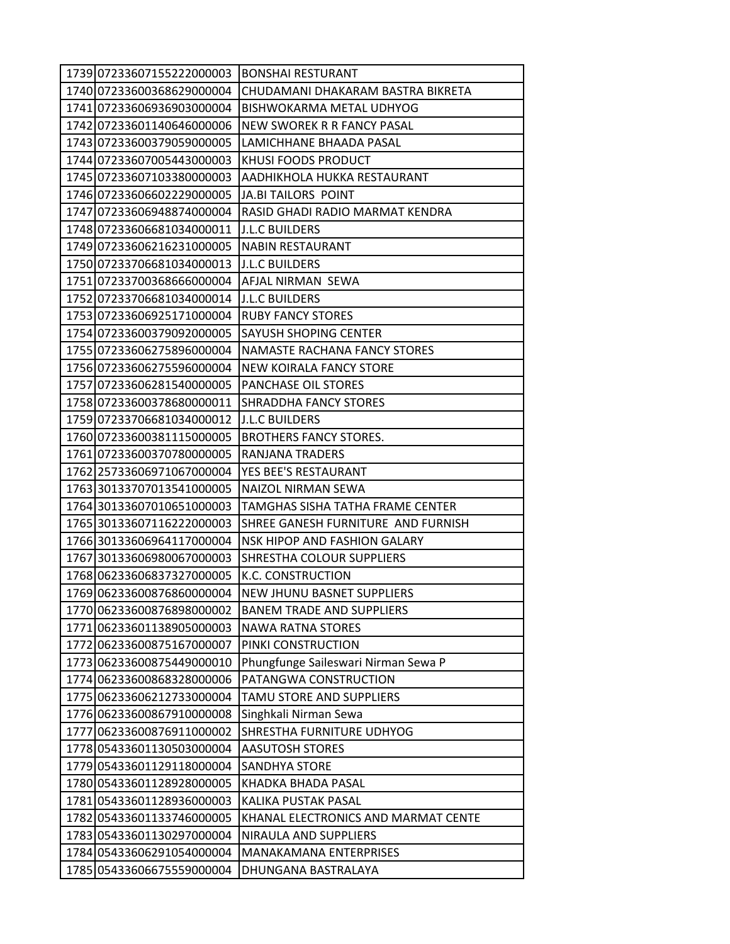| 1739 07233607155222000003 | <b>BONSHAI RESTURANT</b>                |
|---------------------------|-----------------------------------------|
| 1740 07233600368629000004 | CHUDAMANI DHAKARAM BASTRA BIKRETA       |
| 1741 07233606936903000004 | BISHWOKARMA METAL UDHYOG                |
| 1742 07233601140646000006 | <b>NEW SWOREK R R FANCY PASAL</b>       |
| 1743 07233600379059000005 | LAMICHHANE BHAADA PASAL                 |
| 1744 07233607005443000003 | KHUSI FOODS PRODUCT                     |
| 1745 07233607103380000003 | AADHIKHOLA HUKKA RESTAURANT             |
| 1746 07233606602229000005 | <b>JA.BI TAILORS POINT</b>              |
| 1747 07233606948874000004 | RASID GHADI RADIO MARMAT KENDRA         |
| 1748 07233606681034000011 | <b>J.L.C BUILDERS</b>                   |
| 1749 07233606216231000005 | <b>NABIN RESTAURANT</b>                 |
| 1750 07233706681034000013 | <b>J.L.C BUILDERS</b>                   |
| 1751 07233700368666000004 | AFJAL NIRMAN SEWA                       |
| 1752 07233706681034000014 | <b>J.L.C BUILDERS</b>                   |
| 1753 07233606925171000004 | <b>RUBY FANCY STORES</b>                |
| 1754 07233600379092000005 | <b>SAYUSH SHOPING CENTER</b>            |
| 1755 07233606275896000004 | NAMASTE RACHANA FANCY STORES            |
| 1756 07233606275596000004 | NEW KOIRALA FANCY STORE                 |
| 1757 07233606281540000005 | <b>PANCHASE OIL STORES</b>              |
| 1758 07233600378680000011 | SHRADDHA FANCY STORES                   |
| 1759 07233706681034000012 | <b>J.L.C BUILDERS</b>                   |
| 1760 07233600381115000005 | <b>BROTHERS FANCY STORES.</b>           |
| 1761 07233600370780000005 | RANJANA TRADERS                         |
| 1762 25733606971067000004 | YES BEE'S RESTAURANT                    |
| 1763 30133707013541000005 | NAIZOL NIRMAN SEWA                      |
| 1764 30133607010651000003 | <b>TAMGHAS SISHA TATHA FRAME CENTER</b> |
| 1765 30133607116222000003 | SHREE GANESH FURNITURE AND FURNISH      |
| 1766 30133606964117000004 | NSK HIPOP AND FASHION GALARY            |
| 1767 30133606980067000003 | <b>SHRESTHA COLOUR SUPPLIERS</b>        |
| 1768 06233606837327000005 | <b>K.C. CONSTRUCTION</b>                |
| 1769 06233600876860000004 | NEW JHUNU BASNET SUPPLIERS              |
| 1770 06233600876898000002 | <b>BANEM TRADE AND SUPPLIERS</b>        |
| 177106233601138905000003  | <b>NAWA RATNA STORES</b>                |
| 1772 06233600875167000007 | PINKI CONSTRUCTION                      |
| 1773 06233600875449000010 | Phungfunge Saileswari Nirman Sewa P     |
| 1774 06233600868328000006 | PATANGWA CONSTRUCTION                   |
| 1775 06233606212733000004 | TAMU STORE AND SUPPLIERS                |
| 1776 06233600867910000008 | Singhkali Nirman Sewa                   |
| 1777 06233600876911000002 | SHRESTHA FURNITURE UDHYOG               |
| 1778 05433601130503000004 | <b>AASUTOSH STORES</b>                  |
| 1779 05433601129118000004 | <b>SANDHYA STORE</b>                    |
| 1780 05433601128928000005 | KHADKA BHADA PASAL                      |
| 1781 05433601128936000003 | KALIKA PUSTAK PASAL                     |
| 1782 05433601133746000005 | KHANAL ELECTRONICS AND MARMAT CENTE     |
| 1783 05433601130297000004 | NIRAULA AND SUPPLIERS                   |
| 1784 05433606291054000004 | MANAKAMANA ENTERPRISES                  |
| 1785 05433606675559000004 | DHUNGANA BASTRALAYA                     |